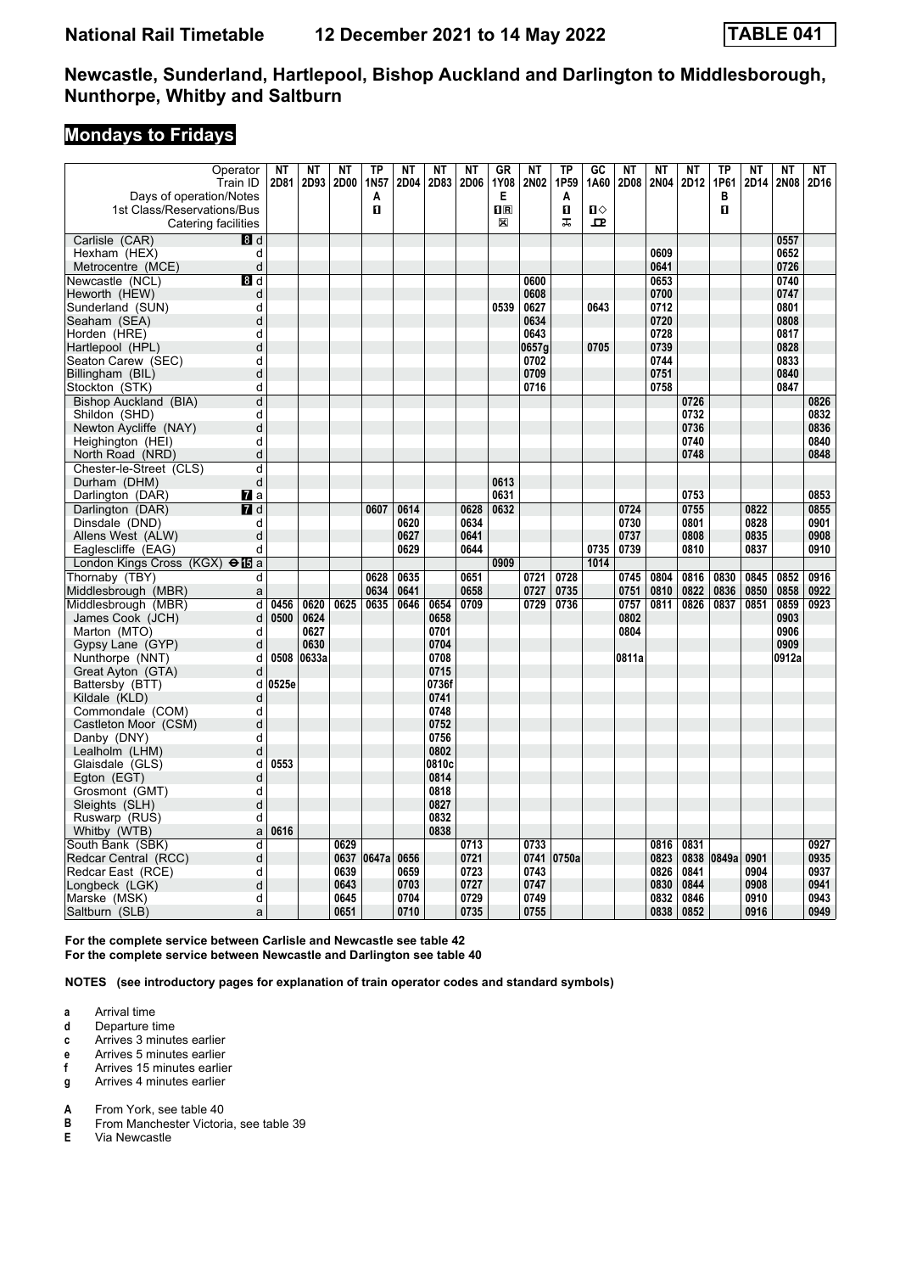# **Mondays to Fridays**

| Operator                                          | <b>NT</b> | <b>NT</b> | NT   | <b>TP</b> | NT   | <b>NT</b>    | <b>NT</b> | <b>GR</b>                                            | NT    | <b>TP</b>         | GC   | NT    | <b>NT</b>   | NT   | <b>TP</b> | <b>NT</b> | <b>NT</b>    | NT   |
|---------------------------------------------------|-----------|-----------|------|-----------|------|--------------|-----------|------------------------------------------------------|-------|-------------------|------|-------|-------------|------|-----------|-----------|--------------|------|
| Train ID                                          | 2D81      | 2D93      | 2D00 | 1N57      | 2D04 | 2D83         | 2D06      | 1Y08                                                 | 2N02  | 1P59              | 1A60 | 2D08  | <b>2N04</b> | 2D12 | 1P61      | 2D14      | 2N08         | 2D16 |
| Days of operation/Notes                           |           |           |      | A<br>O    |      |              |           | Е<br>$\overline{\mathbf{H}}$ $\overline{\mathbf{R}}$ |       | A<br>$\mathbf{u}$ | О    |       |             |      | В<br>O    |           |              |      |
| 1st Class/Reservations/Bus<br>Catering facilities |           |           |      |           |      |              |           | X                                                    |       | ᠼ                 | 고    |       |             |      |           |           |              |      |
|                                                   |           |           |      |           |      |              |           |                                                      |       |                   |      |       |             |      |           |           |              |      |
| Carlisle (CAR)<br>8d<br>Hexham (HEX)<br>d         |           |           |      |           |      |              |           |                                                      |       |                   |      |       | 0609        |      |           |           | 0557<br>0652 |      |
| d<br>Metrocentre (MCE)                            |           |           |      |           |      |              |           |                                                      |       |                   |      |       | 0641        |      |           |           | 0726         |      |
| Newcastle (NCL)<br>8 d                            |           |           |      |           |      |              |           |                                                      | 0600  |                   |      |       | 0653        |      |           |           | 0740         |      |
| Heworth (HEW)<br>d                                |           |           |      |           |      |              |           |                                                      | 0608  |                   |      |       | 0700        |      |           |           | 0747         |      |
| d<br>Sunderland (SUN)                             |           |           |      |           |      |              |           | 0539                                                 | 0627  |                   | 0643 |       | 0712        |      |           |           | 0801         |      |
| d<br>Seaham (SEA)                                 |           |           |      |           |      |              |           |                                                      | 0634  |                   |      |       | 0720        |      |           |           | 0808         |      |
| Horden (HRE)<br>d                                 |           |           |      |           |      |              |           |                                                      | 0643  |                   |      |       | 0728        |      |           |           | 0817         |      |
| d<br>Hartlepool (HPL)                             |           |           |      |           |      |              |           |                                                      | 0657a |                   | 0705 |       | 0739        |      |           |           | 0828         |      |
| d<br>Seaton Carew (SEC)                           |           |           |      |           |      |              |           |                                                      | 0702  |                   |      |       | 0744        |      |           |           | 0833         |      |
| d<br>Billingham (BIL)                             |           |           |      |           |      |              |           |                                                      | 0709  |                   |      |       | 0751        |      |           |           | 0840         |      |
| Stockton (STK)<br>d                               |           |           |      |           |      |              |           |                                                      | 0716  |                   |      |       | 0758        |      |           |           | 0847         |      |
| d<br>Bishop Auckland (BIA)                        |           |           |      |           |      |              |           |                                                      |       |                   |      |       |             | 0726 |           |           |              | 0826 |
| Shildon (SHD)<br>d                                |           |           |      |           |      |              |           |                                                      |       |                   |      |       |             | 0732 |           |           |              | 0832 |
| Newton Avcliffe (NAY)<br>d                        |           |           |      |           |      |              |           |                                                      |       |                   |      |       |             | 0736 |           |           |              | 0836 |
| d<br>Heighington (HEI)                            |           |           |      |           |      |              |           |                                                      |       |                   |      |       |             | 0740 |           |           |              | 0840 |
| d<br>North Road (NRD)                             |           |           |      |           |      |              |           |                                                      |       |                   |      |       |             | 0748 |           |           |              | 0848 |
| Chester-le-Street (CLS)<br>d                      |           |           |      |           |      |              |           |                                                      |       |                   |      |       |             |      |           |           |              |      |
| d<br>Durham (DHM)                                 |           |           |      |           |      |              |           | 0613                                                 |       |                   |      |       |             |      |           |           |              |      |
| Darlington (DAR)<br>Ma                            |           |           |      |           |      |              |           | 0631                                                 |       |                   |      |       |             | 0753 |           |           |              | 0853 |
| 7d<br>Darlington (DAR)                            |           |           |      | 0607      | 0614 |              | 0628      | 0632                                                 |       |                   |      | 0724  |             | 0755 |           | 0822      |              | 0855 |
| Dinsdale (DND)<br>d                               |           |           |      |           | 0620 |              | 0634      |                                                      |       |                   |      | 0730  |             | 0801 |           | 0828      |              | 0901 |
| Allens West (ALW)<br>d                            |           |           |      |           | 0627 |              | 0641      |                                                      |       |                   |      | 0737  |             | 0808 |           | 0835      |              | 0908 |
| d<br>Eaglescliffe (EAG)                           |           |           |      |           | 0629 |              | 0644      |                                                      |       |                   | 0735 | 0739  |             | 0810 |           | 0837      |              | 0910 |
| London Kings Cross (KGX) $\Theta$ <b>is</b> a     |           |           |      |           |      |              |           | 0909                                                 |       |                   | 1014 |       |             |      |           |           |              |      |
| Thornaby (TBY)<br>d                               |           |           |      | 0628      | 0635 |              | 0651      |                                                      | 0721  | 0728              |      | 0745  | 0804        | 0816 | 0830      | 0845      | 0852         | 0916 |
| Middlesbrough (MBR)<br>a                          |           |           |      | 0634      | 0641 |              | 0658      |                                                      | 0727  | 0735              |      | 0751  | 0810        | 0822 | 0836      | 0850      | 0858         | 0922 |
| Middlesbrough (MBR)<br>d                          | 0456      | 0620      | 0625 | 0635      | 0646 | 0654         | 0709      |                                                      | 0729  | 0736              |      | 0757  | 0811        | 0826 | 0837      | 0851      | 0859         | 0923 |
| James Cook (JCH)<br>d                             | 0500      | 0624      |      |           |      | 0658         |           |                                                      |       |                   |      | 0802  |             |      |           |           | 0903         |      |
| d<br>Marton (MTO)                                 |           | 0627      |      |           |      | 0701         |           |                                                      |       |                   |      | 0804  |             |      |           |           | 0906         |      |
| d<br>Gypsy Lane (GYP)                             |           | 0630      |      |           |      | 0704         |           |                                                      |       |                   |      |       |             |      |           |           | 0909         |      |
| d<br>Nunthorpe (NNT)                              | 0508      | 0633a     |      |           |      | 0708         |           |                                                      |       |                   |      | 0811a |             |      |           |           | 0912a        |      |
| Great Ayton (GTA)<br>d                            |           |           |      |           |      | 0715         |           |                                                      |       |                   |      |       |             |      |           |           |              |      |
| Battersby (BTT)<br>d                              | 0525e     |           |      |           |      | 0736f        |           |                                                      |       |                   |      |       |             |      |           |           |              |      |
| Kildale (KLD)<br>d                                |           |           |      |           |      | 0741         |           |                                                      |       |                   |      |       |             |      |           |           |              |      |
| Commondale (COM)<br>d                             |           |           |      |           |      | 0748         |           |                                                      |       |                   |      |       |             |      |           |           |              |      |
| d<br>Castleton Moor (CSM)                         |           |           |      |           |      | 0752         |           |                                                      |       |                   |      |       |             |      |           |           |              |      |
| Danby (DNY)<br>d<br>d                             |           |           |      |           |      | 0756<br>0802 |           |                                                      |       |                   |      |       |             |      |           |           |              |      |
| Lealholm (LHM)<br>d                               | 0553      |           |      |           |      | 0810c        |           |                                                      |       |                   |      |       |             |      |           |           |              |      |
| Glaisdale (GLS)<br>Egton (EGT)<br>d               |           |           |      |           |      | 0814         |           |                                                      |       |                   |      |       |             |      |           |           |              |      |
| Grosmont (GMT)<br>d                               |           |           |      |           |      | 0818         |           |                                                      |       |                   |      |       |             |      |           |           |              |      |
| d<br>Sleights (SLH)                               |           |           |      |           |      | 0827         |           |                                                      |       |                   |      |       |             |      |           |           |              |      |
| d<br>Ruswarp (RUS)                                |           |           |      |           |      | 0832         |           |                                                      |       |                   |      |       |             |      |           |           |              |      |
| Whitby (WTB)<br>a                                 | 0616      |           |      |           |      | 0838         |           |                                                      |       |                   |      |       |             |      |           |           |              |      |
| South Bank (SBK)<br>d                             |           |           | 0629 |           |      |              | 0713      |                                                      | 0733  |                   |      |       | 0816        | 0831 |           |           |              | 0927 |
| d<br>Redcar Central (RCC)                         |           |           | 0637 | 0647a     | 0656 |              | 0721      |                                                      | 0741  | 0750a             |      |       | 0823        | 0838 | 0849a     | 0901      |              | 0935 |
| Redcar East (RCE)<br>d                            |           |           | 0639 |           | 0659 |              | 0723      |                                                      | 0743  |                   |      |       | 0826        | 0841 |           | 0904      |              | 0937 |
| d<br>Longbeck (LGK)                               |           |           | 0643 |           | 0703 |              | 0727      |                                                      | 0747  |                   |      |       | 0830        | 0844 |           | 0908      |              | 0941 |
| d<br>Marske (MSK)                                 |           |           | 0645 |           | 0704 |              | 0729      |                                                      | 0749  |                   |      |       | 0832        | 0846 |           | 0910      |              | 0943 |
| Saltburn (SLB)<br>a                               |           |           | 0651 |           | 0710 |              | 0735      |                                                      | 0755  |                   |      |       | 0838        | 0852 |           | 0916      |              | 0949 |

**For the complete service between Carlisle and Newcastle see table 42 For the complete service between Newcastle and Darlington see table 40**

**NOTES (see introductory pages for explanation of train operator codes and standard symbols)**

**a** Arrival time<br>**d** Departure t

- **d** Departure time
- **c** Arrives 3 minutes earlier
- **e** Arrives 5 minutes earlier<br>**f** Arrives 15 minutes earlie
- **f** Arrives 15 minutes earlier<br>**g** Arrives 4 minutes earlier **g** Arrives 4 minutes earlier

**A** From York, see table 40<br>**B** From Manchester Victori **B** From Manchester Victoria, see table 39<br>**E** Via Newcastle

**(** 9ia Newcastle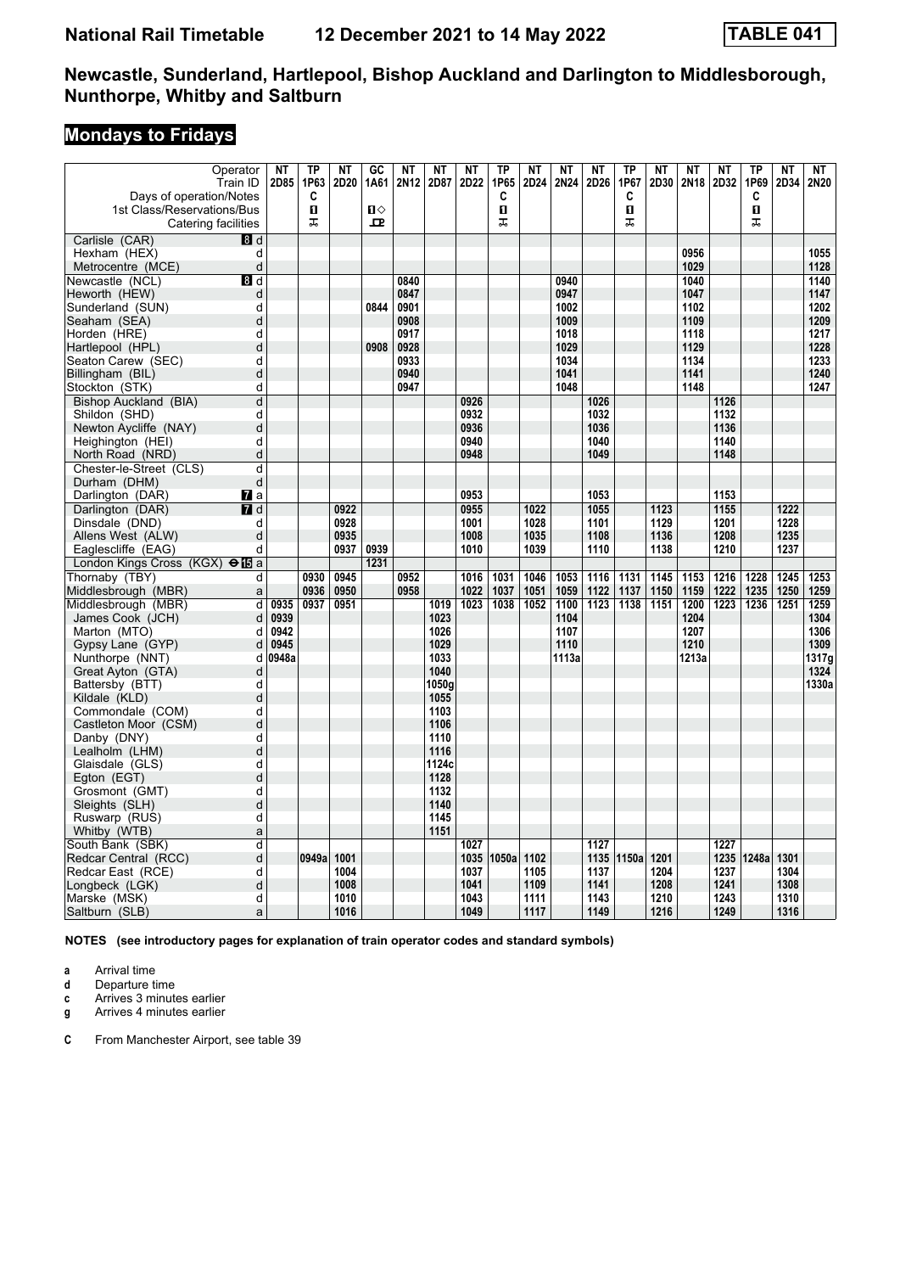# **Mondays to Fridays**

| Operator<br>Train ID                              | <b>NT</b><br>2D85 | TP<br>1P63 | <b>NT</b><br>2D20 | $G$ C<br>1A61     | <b>NT</b><br>2N12 | <b>NT</b><br>2D87 | <b>NT</b><br>2D22 | <b>TP</b><br>1P65 | NT<br>2D24 | <b>NT</b><br>2N24 | <b>NT</b><br>2D26 | <b>TP</b><br>1P67 | <b>NT</b><br>2D30 | <b>NT</b><br>2N18 | <b>NT</b><br>2D32 | <b>TP</b><br>1P69 | <b>NT</b><br>2D34 | NT<br>2N20 |
|---------------------------------------------------|-------------------|------------|-------------------|-------------------|-------------------|-------------------|-------------------|-------------------|------------|-------------------|-------------------|-------------------|-------------------|-------------------|-------------------|-------------------|-------------------|------------|
| Days of operation/Notes                           |                   | C          |                   |                   |                   |                   |                   | C                 |            |                   |                   | C                 |                   |                   |                   | C                 |                   |            |
| 1st Class/Reservations/Bus<br>Catering facilities |                   | п<br>ᠼ     |                   | $\mathbf{u}$<br>모 |                   |                   |                   | $\mathbf{u}$<br>工 |            |                   |                   | $\mathbf{u}$<br>ᠼ |                   |                   |                   | $\mathbf{u}$<br>ᠼ |                   |            |
| Carlisle (CAR)<br>8d                              |                   |            |                   |                   |                   |                   |                   |                   |            |                   |                   |                   |                   |                   |                   |                   |                   |            |
| Hexham (HEX)<br>d                                 |                   |            |                   |                   |                   |                   |                   |                   |            |                   |                   |                   |                   | 0956              |                   |                   |                   | 1055       |
| d<br>Metrocentre (MCE)                            |                   |            |                   |                   |                   |                   |                   |                   |            |                   |                   |                   |                   | 1029              |                   |                   |                   | 1128       |
| Newcastle (NCL)<br>8d                             |                   |            |                   |                   | 0840              |                   |                   |                   |            | 0940              |                   |                   |                   | 1040              |                   |                   |                   | 1140       |
| d<br>Heworth (HEW)                                |                   |            |                   |                   | 0847              |                   |                   |                   |            | 0947              |                   |                   |                   | 1047              |                   |                   |                   | 1147       |
| d<br>Sunderland (SUN)                             |                   |            |                   | 0844              | 0901              |                   |                   |                   |            | 1002              |                   |                   |                   | 1102              |                   |                   |                   | 1202       |
| Seaham (SEA)<br>d                                 |                   |            |                   |                   | 0908              |                   |                   |                   |            | 1009              |                   |                   |                   | 1109              |                   |                   |                   | 1209       |
| d<br>Horden (HRE)                                 |                   |            |                   |                   | 0917              |                   |                   |                   |            | 1018              |                   |                   |                   | 1118              |                   |                   |                   | 1217       |
| d<br>Hartlepool (HPL)                             |                   |            |                   | 0908              | 0928              |                   |                   |                   |            | 1029              |                   |                   |                   | 1129              |                   |                   |                   | 1228       |
| d<br>Seaton Carew (SEC)                           |                   |            |                   |                   | 0933              |                   |                   |                   |            | 1034              |                   |                   |                   | 1134              |                   |                   |                   | 1233       |
| Billingham (BIL)<br>d                             |                   |            |                   |                   | 0940              |                   |                   |                   |            | 1041              |                   |                   |                   | 1141              |                   |                   |                   | 1240       |
| Stockton (STK)<br>d                               |                   |            |                   |                   | 0947              |                   |                   |                   |            | 1048              |                   |                   |                   | 1148              |                   |                   |                   | 1247       |
| Bishop Auckland (BIA)<br>d                        |                   |            |                   |                   |                   |                   | 0926<br>0932      |                   |            |                   | 1026<br>1032      |                   |                   |                   | 1126<br>1132      |                   |                   |            |
| Shildon (SHD)<br>d<br>d                           |                   |            |                   |                   |                   |                   | 0936              |                   |            |                   | 1036              |                   |                   |                   | 1136              |                   |                   |            |
| Newton Aycliffe (NAY)<br>d                        |                   |            |                   |                   |                   |                   | 0940              |                   |            |                   | 1040              |                   |                   |                   | 1140              |                   |                   |            |
| Heighington (HEI)<br>d<br>North Road (NRD)        |                   |            |                   |                   |                   |                   | 0948              |                   |            |                   | 1049              |                   |                   |                   | 1148              |                   |                   |            |
| Chester-le-Street (CLS)<br>d                      |                   |            |                   |                   |                   |                   |                   |                   |            |                   |                   |                   |                   |                   |                   |                   |                   |            |
| d<br>Durham (DHM)                                 |                   |            |                   |                   |                   |                   |                   |                   |            |                   |                   |                   |                   |                   |                   |                   |                   |            |
| Darlington (DAR)<br>$\mathbf{z}$ a                |                   |            |                   |                   |                   |                   | 0953              |                   |            |                   | 1053              |                   |                   |                   | 1153              |                   |                   |            |
| Darlington (DAR)<br>7d                            |                   |            | 0922              |                   |                   |                   | 0955              |                   | 1022       |                   | 1055              |                   | 1123              |                   | 1155              |                   | 1222              |            |
| Dinsdale (DND)<br>d                               |                   |            | 0928              |                   |                   |                   | 1001              |                   | 1028       |                   | 1101              |                   | 1129              |                   | 1201              |                   | 1228              |            |
| Allens West (ALW)<br>d                            |                   |            | 0935              |                   |                   |                   | 1008              |                   | 1035       |                   | 1108              |                   | 1136              |                   | 1208              |                   | 1235              |            |
| d<br>Eaglescliffe (EAG)                           |                   |            | 0937              | 0939              |                   |                   | 1010              |                   | 1039       |                   | 1110              |                   | 1138              |                   | 1210              |                   | 1237              |            |
| London Kings Cross (KGX) $\Theta$ <b>is</b> a     |                   |            |                   | 1231              |                   |                   |                   |                   |            |                   |                   |                   |                   |                   |                   |                   |                   |            |
| Thornaby (TBY)<br>d                               |                   | 0930       | 0945              |                   | 0952              |                   | 1016              | 1031              | 1046       | 1053              | 1116              | 1131              | 1145              | 1153              | 1216              | 1228              | 1245              | 1253       |
| Middlesbrough (MBR)<br>a                          |                   | 0936       | 0950              |                   | 0958              |                   | 1022              | 1037              | 1051       | 1059              | 1122              | 1137              | 1150              | 1159              | 1222              | 1235              | 1250              | 1259       |
| Middlesbrough (MBR)<br>d                          | 0935              | 0937       | 0951              |                   |                   | 1019              | 1023              | 1038              | 1052       | 1100              | 1123              | 1138              | 1151              | 1200              | 1223              | 1236              | 1251              | 1259       |
| James Cook (JCH)<br>d                             | 0939              |            |                   |                   |                   | 1023              |                   |                   |            | 1104              |                   |                   |                   | 1204              |                   |                   |                   | 1304       |
| Marton (MTO)<br>d                                 | 0942              |            |                   |                   |                   | 1026              |                   |                   |            | 1107              |                   |                   |                   | 1207              |                   |                   |                   | 1306       |
| Gypsy Lane (GYP)<br>d                             | 0945              |            |                   |                   |                   | 1029              |                   |                   |            | 1110              |                   |                   |                   | 1210              |                   |                   |                   | 1309       |
| Nunthorpe (NNT)<br>d                              | 0948a             |            |                   |                   |                   | 1033              |                   |                   |            | 1113a             |                   |                   |                   | 1213a             |                   |                   |                   | 1317g      |
| Great Ayton (GTA)<br>d                            |                   |            |                   |                   |                   | 1040              |                   |                   |            |                   |                   |                   |                   |                   |                   |                   |                   | 1324       |
| Battersby (BTT)<br>d                              |                   |            |                   |                   |                   | 1050g             |                   |                   |            |                   |                   |                   |                   |                   |                   |                   |                   | 1330a      |
| d<br>Kildale (KLD)                                |                   |            |                   |                   |                   | 1055              |                   |                   |            |                   |                   |                   |                   |                   |                   |                   |                   |            |
| Commondale (COM)<br>d                             |                   |            |                   |                   |                   | 1103              |                   |                   |            |                   |                   |                   |                   |                   |                   |                   |                   |            |
| Castleton Moor (CSM)<br>d                         |                   |            |                   |                   |                   | 1106              |                   |                   |            |                   |                   |                   |                   |                   |                   |                   |                   |            |
| Danby (DNY)<br>d                                  |                   |            |                   |                   |                   | 1110              |                   |                   |            |                   |                   |                   |                   |                   |                   |                   |                   |            |
| Lealholm (LHM)<br>d                               |                   |            |                   |                   |                   | 1116              |                   |                   |            |                   |                   |                   |                   |                   |                   |                   |                   |            |
| d<br>Glaisdale (GLS)                              |                   |            |                   |                   |                   | 1124c             |                   |                   |            |                   |                   |                   |                   |                   |                   |                   |                   |            |
| d<br>Egton (EGT)                                  |                   |            |                   |                   |                   | 1128              |                   |                   |            |                   |                   |                   |                   |                   |                   |                   |                   |            |
| Grosmont (GMT)<br>d                               |                   |            |                   |                   |                   | 1132              |                   |                   |            |                   |                   |                   |                   |                   |                   |                   |                   |            |
| d<br>Sleights (SLH)                               |                   |            |                   |                   |                   | 1140              |                   |                   |            |                   |                   |                   |                   |                   |                   |                   |                   |            |
| d<br>Ruswarp (RUS)                                |                   |            |                   |                   |                   | 1145              |                   |                   |            |                   |                   |                   |                   |                   |                   |                   |                   |            |
| Whitby (WTB)<br>a                                 |                   |            |                   |                   |                   | 1151              |                   |                   |            |                   |                   |                   |                   |                   |                   |                   |                   |            |
| South Bank (SBK)<br>d                             |                   |            |                   |                   |                   |                   | 1027              |                   |            |                   | 1127              |                   |                   |                   | 1227              |                   |                   |            |
| d<br>Redcar Central (RCC)                         |                   | 0949a      | 1001              |                   |                   |                   | 1035              | 1050a             | 1102       |                   | 1135              | 1150a             | 1201              |                   | 1235              | 1248a             | 1301              |            |
| Redcar East (RCE)<br>d                            |                   |            | 1004              |                   |                   |                   | 1037              |                   | 1105       |                   | 1137              |                   | 1204              |                   | 1237              |                   | 1304              |            |
| d<br>Longbeck (LGK)                               |                   |            | 1008              |                   |                   |                   | 1041              |                   | 1109       |                   | 1141              |                   | 1208              |                   | 1241              |                   | 1308              |            |
| d<br>Marske (MSK)                                 |                   |            | 1010<br>1016      |                   |                   |                   | 1043<br>1049      |                   | 1111       |                   | 1143<br>1149      |                   | 1210              |                   | 1243<br>1249      |                   | 1310<br>1316      |            |
| Saltburn (SLB)<br>a                               |                   |            |                   |                   |                   |                   |                   |                   | 1117       |                   |                   |                   | 1216              |                   |                   |                   |                   |            |

**NOTES (see introductory pages for explanation of train operator codes and standard symbols)**

**a** Arrival time<br>**d** Departure t

**d** Departure time

**c** Arrives 3 minutes earlier

**g** Arrives 4 minutes earlier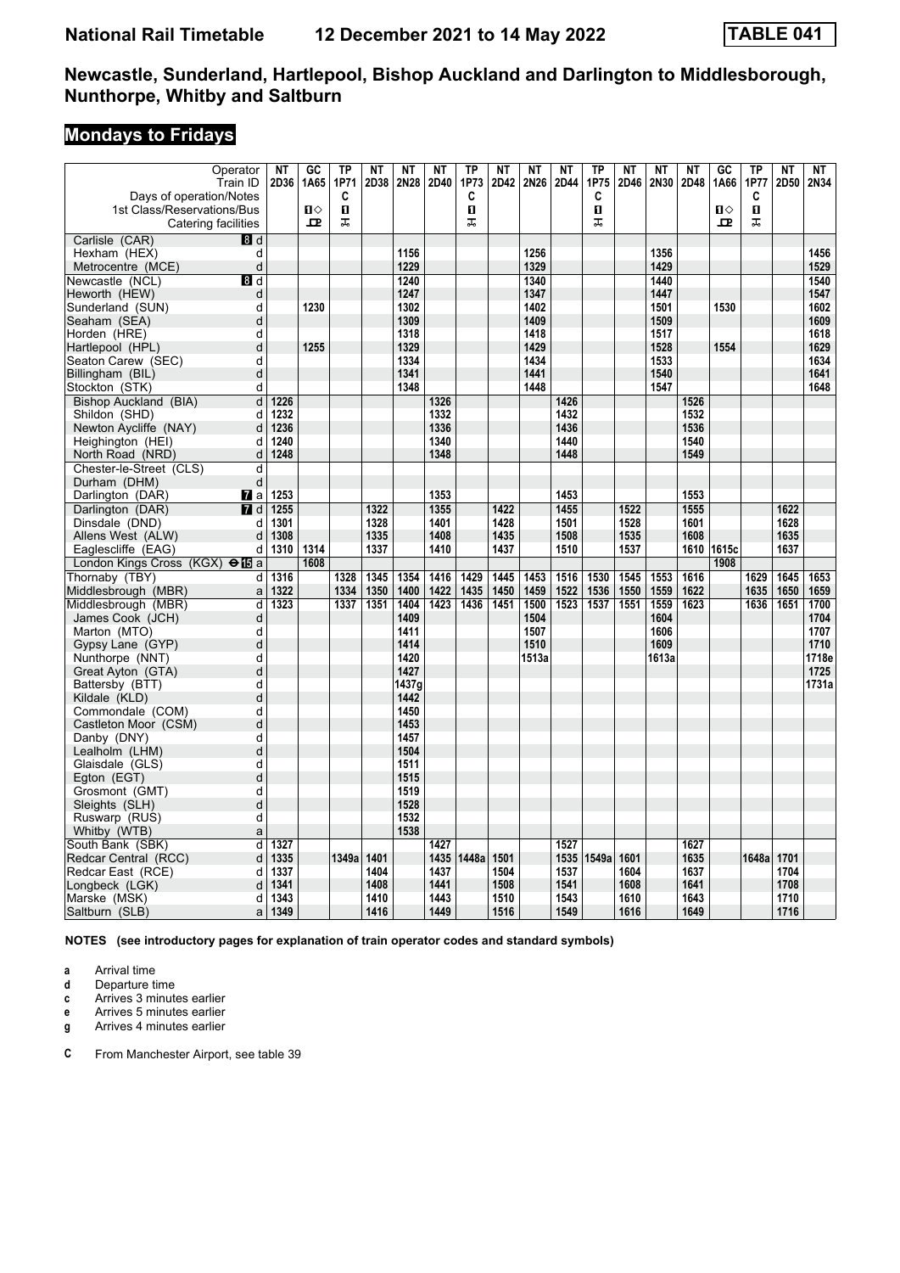# **Mondays to Fridays**

| Operator<br>Train ID                               | <b>NT</b><br>2D36 | GC<br>1A65   | TP<br>1P71 | <b>NT</b><br>2D38 | <b>NT</b><br>2N28 | <b>NT</b><br>2D40 | <b>TP</b><br>1P73 | <b>NT</b><br>2D42 | <b>NT</b><br>2N26 | <b>NT</b><br>2D44 | <b>TP</b><br>1P75 | <b>NT</b><br>2D46 | <b>NT</b><br>2N30 | <b>NT</b><br>2D48 | GC<br>1A66   | TP<br>1P77 | <b>NT</b><br>2D50 | <b>NT</b><br>2N34 |
|----------------------------------------------------|-------------------|--------------|------------|-------------------|-------------------|-------------------|-------------------|-------------------|-------------------|-------------------|-------------------|-------------------|-------------------|-------------------|--------------|------------|-------------------|-------------------|
| Days of operation/Notes                            |                   |              | C          |                   |                   |                   | C                 |                   |                   |                   | C                 |                   |                   |                   |              | C          |                   |                   |
| 1st Class/Reservations/Bus                         |                   | $\mathbf{u}$ | O.         |                   |                   |                   | O                 |                   |                   |                   | 0                 |                   |                   |                   | $\mathbf{u}$ | 0          |                   |                   |
| Catering facilities                                |                   | $\mathbf{p}$ | ᠼ          |                   |                   |                   | ᠼ                 |                   |                   |                   | ᠼ                 |                   |                   |                   | 고            | ᠼ          |                   |                   |
| Carlisle (CAR)<br>$\overline{8}$ d                 |                   |              |            |                   |                   |                   |                   |                   |                   |                   |                   |                   |                   |                   |              |            |                   |                   |
| d<br>Hexham (HEX)                                  |                   |              |            |                   | 1156              |                   |                   |                   | 1256              |                   |                   |                   | 1356              |                   |              |            |                   | 1456              |
| d<br>Metrocentre (MCE)                             |                   |              |            |                   | 1229              |                   |                   |                   | 1329              |                   |                   |                   | 1429              |                   |              |            |                   | 1529              |
| Newcastle (NCL)<br>8 d                             |                   |              |            |                   | 1240              |                   |                   |                   | 1340              |                   |                   |                   | 1440              |                   |              |            |                   | 1540              |
| Heworth (HEW)<br>d                                 |                   |              |            |                   | 1247              |                   |                   |                   | 1347              |                   |                   |                   | 1447              |                   |              |            |                   | 1547              |
| d<br>Sunderland (SUN)                              |                   | 1230         |            |                   | 1302              |                   |                   |                   | 1402              |                   |                   |                   | 1501              |                   | 1530         |            |                   | 1602              |
| Seaham (SEA)<br>d                                  |                   |              |            |                   | 1309              |                   |                   |                   | 1409              |                   |                   |                   | 1509              |                   |              |            |                   | 1609              |
| Horden (HRE)<br>d                                  |                   |              |            |                   | 1318              |                   |                   |                   | 1418              |                   |                   |                   | 1517              |                   |              |            |                   | 1618              |
| d<br>Hartlepool (HPL)                              |                   | 1255         |            |                   | 1329              |                   |                   |                   | 1429              |                   |                   |                   | 1528              |                   | 1554         |            |                   | 1629              |
| d<br>Seaton Carew (SEC)                            |                   |              |            |                   | 1334              |                   |                   |                   | 1434              |                   |                   |                   | 1533              |                   |              |            |                   | 1634              |
| d<br>Billingham (BIL)                              |                   |              |            |                   | 1341              |                   |                   |                   | 1441              |                   |                   |                   | 1540              |                   |              |            |                   | 1641              |
| d<br>Stockton (STK)                                |                   |              |            |                   | 1348              |                   |                   |                   | 1448              |                   |                   |                   | 1547              |                   |              |            |                   | 1648              |
| d<br>Bishop Auckland (BIA)                         | 1226              |              |            |                   |                   | 1326              |                   |                   |                   | 1426              |                   |                   |                   | 1526              |              |            |                   |                   |
| Shildon (SHD)<br>d                                 | 1232              |              |            |                   |                   | 1332              |                   |                   |                   | 1432              |                   |                   |                   | 1532              |              |            |                   |                   |
| Newton Aycliffe (NAY)<br>d                         | 1236              |              |            |                   |                   | 1336              |                   |                   |                   | 1436              |                   |                   |                   | 1536              |              |            |                   |                   |
| Heighington (HEI)<br>d                             | 1240              |              |            |                   |                   | 1340              |                   |                   |                   | 1440              |                   |                   |                   | 1540              |              |            |                   |                   |
| d<br>North Road (NRD)                              | 1248              |              |            |                   |                   | 1348              |                   |                   |                   | 1448              |                   |                   |                   | 1549              |              |            |                   |                   |
| Chester-le-Street (CLS)<br>d                       |                   |              |            |                   |                   |                   |                   |                   |                   |                   |                   |                   |                   |                   |              |            |                   |                   |
| d<br>Durham (DHM)                                  |                   |              |            |                   |                   |                   |                   |                   |                   |                   |                   |                   |                   |                   |              |            |                   |                   |
| Darlington (DAR)<br><b>7</b> ∎a                    | 1253              |              |            |                   |                   | 1353              |                   |                   |                   | 1453              |                   |                   |                   | 1553              |              |            |                   |                   |
| Darlington (DAR)<br>$\overline{a}$ d               | 1255              |              |            | 1322              |                   | 1355              |                   | 1422              |                   | 1455              |                   | 1522              |                   | 1555              |              |            | 1622              |                   |
| Dinsdale (DND)<br>d<br>Allens West (ALW)<br>d      | 1301<br>1308      |              |            | 1328<br>1335      |                   | 1401<br>1408      |                   | 1428<br>1435      |                   | 1501<br>1508      |                   | 1528<br>1535      |                   | 1601<br>1608      |              |            | 1628<br>1635      |                   |
| d                                                  | 1310              | 1314         |            | 1337              |                   | 1410              |                   | 1437              |                   | 1510              |                   | 1537              |                   | 1610              | 1615c        |            | 1637              |                   |
| Eaglescliffe (EAG)                                 |                   | 1608         |            |                   |                   |                   |                   |                   |                   |                   |                   |                   |                   |                   | 1908         |            |                   |                   |
| London Kings Cross (KGX) $\Theta$ <b>is</b> a<br>d | 1316              |              | 1328       | 1345              | 1354              | 1416              | 1429              | 1445              | 1453              | 1516              | 1530              | 1545              | 1553              | 1616              |              | 1629       | 1645              | 1653              |
| Thornaby (TBY)<br>Middlesbrough (MBR)<br>a         | 1322              |              | 1334       | 1350              | 1400              | 1422              | 1435              | 1450              | 1459              | 1522              | 1536              | 1550              | 1559              | 1622              |              | 1635       | 1650              | 1659              |
| d<br>Middlesbrough (MBR)                           | 1323              |              | 1337       | 1351              | 1404              | 1423              | 1436              | 1451              | 1500              | 1523              | 1537              | 1551              | 1559              | 1623              |              | 1636       | 1651              | 1700              |
| James Cook (JCH)<br>d                              |                   |              |            |                   | 1409              |                   |                   |                   | 1504              |                   |                   |                   | 1604              |                   |              |            |                   | 1704              |
| d<br>Marton (MTO)                                  |                   |              |            |                   | 1411              |                   |                   |                   | 1507              |                   |                   |                   | 1606              |                   |              |            |                   | 1707              |
| d<br>Gypsy Lane (GYP)                              |                   |              |            |                   | 1414              |                   |                   |                   | 1510              |                   |                   |                   | 1609              |                   |              |            |                   | 1710              |
| Nunthorpe (NNT)<br>d                               |                   |              |            |                   | 1420              |                   |                   |                   | 1513a             |                   |                   |                   | 1613a             |                   |              |            |                   | 1718e             |
| d<br>Great Ayton (GTA)                             |                   |              |            |                   | 1427              |                   |                   |                   |                   |                   |                   |                   |                   |                   |              |            |                   | 1725              |
| Battersby (BTT)<br>d                               |                   |              |            |                   | 1437g             |                   |                   |                   |                   |                   |                   |                   |                   |                   |              |            |                   | 1731a             |
| d<br>Kildale (KLD)                                 |                   |              |            |                   | 1442              |                   |                   |                   |                   |                   |                   |                   |                   |                   |              |            |                   |                   |
| Commondale (COM)<br>d                              |                   |              |            |                   | 1450              |                   |                   |                   |                   |                   |                   |                   |                   |                   |              |            |                   |                   |
| Castleton Moor (CSM)<br>d                          |                   |              |            |                   | 1453              |                   |                   |                   |                   |                   |                   |                   |                   |                   |              |            |                   |                   |
| d<br>Danby (DNY)                                   |                   |              |            |                   | 1457              |                   |                   |                   |                   |                   |                   |                   |                   |                   |              |            |                   |                   |
| d<br>Lealholm (LHM)                                |                   |              |            |                   | 1504              |                   |                   |                   |                   |                   |                   |                   |                   |                   |              |            |                   |                   |
| Glaisdale (GLS)<br>d                               |                   |              |            |                   | 1511              |                   |                   |                   |                   |                   |                   |                   |                   |                   |              |            |                   |                   |
| d<br>Egton (EGT)                                   |                   |              |            |                   | 1515              |                   |                   |                   |                   |                   |                   |                   |                   |                   |              |            |                   |                   |
| d<br>Grosmont (GMT)                                |                   |              |            |                   | 1519              |                   |                   |                   |                   |                   |                   |                   |                   |                   |              |            |                   |                   |
| d<br>Sleights (SLH)                                |                   |              |            |                   | 1528              |                   |                   |                   |                   |                   |                   |                   |                   |                   |              |            |                   |                   |
| d<br>Ruswarp (RUS)                                 |                   |              |            |                   | 1532              |                   |                   |                   |                   |                   |                   |                   |                   |                   |              |            |                   |                   |
| Whitby (WTB)<br>a                                  |                   |              |            |                   | 1538              |                   |                   |                   |                   |                   |                   |                   |                   |                   |              |            |                   |                   |
| South Bank (SBK)<br>d                              | 1327              |              |            |                   |                   | 1427              |                   |                   |                   | 1527              |                   |                   |                   | 1627              |              |            |                   |                   |
| Redcar Central (RCC)<br>d                          | 1335              |              | 1349a      | 1401              |                   | 1435              | 1448a             | 1501              |                   | 1535              | 1549a             | 1601              |                   | 1635              |              | 1648a      | 1701              |                   |
| Redcar East (RCE)<br>d                             | 1337              |              |            | 1404              |                   | 1437              |                   | 1504              |                   | 1537              |                   | 1604              |                   | 1637              |              |            | 1704              |                   |
| d<br>Longbeck (LGK)                                | 1341              |              |            | 1408              |                   | 1441              |                   | 1508              |                   | 1541              |                   | 1608              |                   | 1641<br>1643      |              |            | 1708              |                   |
| d<br>Marske (MSK)                                  | 1343              |              |            | 1410              |                   | 1443              |                   | 1510              |                   | 1543              |                   | 1610<br>1616      |                   | 1649              |              |            | 1710              |                   |
| Saltburn (SLB)<br>a                                | 1349              |              |            | 1416              |                   | 1449              |                   | 1516              |                   | 1549              |                   |                   |                   |                   |              |            | 1716              |                   |

**NOTES (see introductory pages for explanation of train operator codes and standard symbols)**

**a** Arrival time<br>**d** Departure t

**d** Departure time

**c** Arrives 3 minutes earlier

**e** Arrives 5 minutes earlier<br>**g** Arrives 4 minutes earlier

**g** Arrives 4 minutes earlier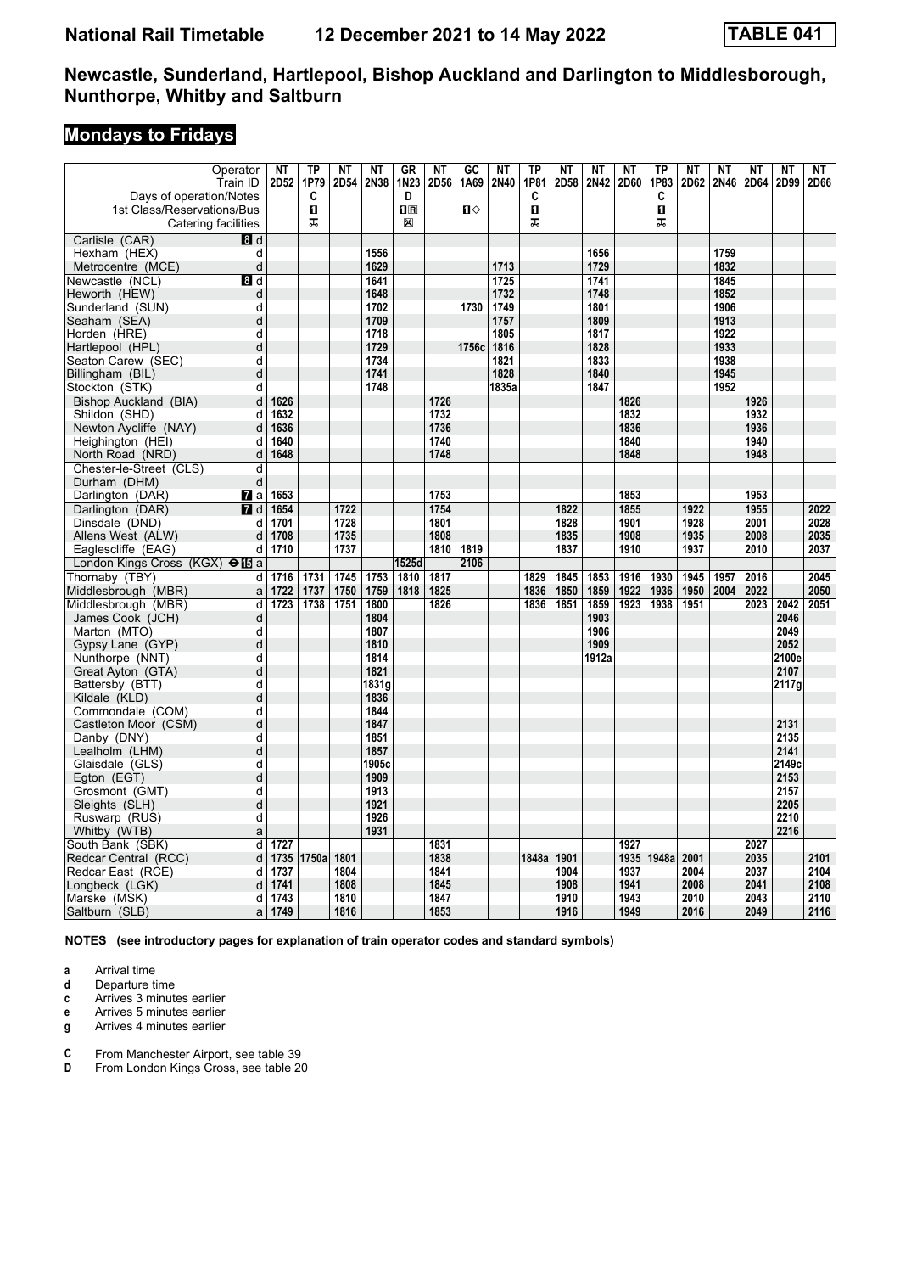# **Mondays to Fridays**

| Operator                                      | NΤ   | <b>TP</b> | NT   | <b>NT</b> | <b>GR</b>   | NT   | $\overline{GC}$ | NT    | <b>TP</b>    | NT   | NT    | NT   | <b>TP</b>    | <b>NT</b> | <b>NT</b> | NΤ   | <b>NT</b> | NT   |
|-----------------------------------------------|------|-----------|------|-----------|-------------|------|-----------------|-------|--------------|------|-------|------|--------------|-----------|-----------|------|-----------|------|
| Train ID                                      | 2D52 | 1P79      | 2D54 | 2N38      | 1N23        | 2D56 | 1A69            | 2N40  | 1P81         | 2D58 | 2N42  | 2D60 | 1P83         | 2D62      | 2N46      | 2D64 | 2D99      | 2D66 |
| Days of operation/Notes                       |      | C         |      |           | D           |      |                 |       | C            |      |       |      | C            |           |           |      |           |      |
| 1st Class/Reservations/Bus                    |      | O.        |      |           | $n_{\rm R}$ |      | $\mathbf{u}$    |       | $\mathbf{u}$ |      |       |      | $\mathbf{u}$ |           |           |      |           |      |
| Catering facilities                           |      | ᠼ         |      |           | 図           |      |                 |       | ᠼ            |      |       |      | ᠼ            |           |           |      |           |      |
| Carlisle (CAR)<br>8d                          |      |           |      |           |             |      |                 |       |              |      |       |      |              |           |           |      |           |      |
| Hexham (HEX)<br>d                             |      |           |      | 1556      |             |      |                 |       |              |      | 1656  |      |              |           | 1759      |      |           |      |
| d<br>Metrocentre (MCE)                        |      |           |      | 1629      |             |      |                 | 1713  |              |      | 1729  |      |              |           | 1832      |      |           |      |
| Newcastle (NCL)<br>8 d                        |      |           |      | 1641      |             |      |                 | 1725  |              |      | 1741  |      |              |           | 1845      |      |           |      |
| Heworth (HEW)<br>d                            |      |           |      | 1648      |             |      |                 | 1732  |              |      | 1748  |      |              |           | 1852      |      |           |      |
| d<br>Sunderland (SUN)                         |      |           |      | 1702      |             |      | 1730            | 1749  |              |      | 1801  |      |              |           | 1906      |      |           |      |
| Seaham (SEA)<br>d                             |      |           |      | 1709      |             |      |                 | 1757  |              |      | 1809  |      |              |           | 1913      |      |           |      |
| Horden (HRE)<br>d                             |      |           |      | 1718      |             |      |                 | 1805  |              |      | 1817  |      |              |           | 1922      |      |           |      |
| Hartlepool (HPL)<br>d                         |      |           |      | 1729      |             |      | 1756c           | 1816  |              |      | 1828  |      |              |           | 1933      |      |           |      |
| Seaton Carew (SEC)<br>d                       |      |           |      | 1734      |             |      |                 | 1821  |              |      | 1833  |      |              |           | 1938      |      |           |      |
| d<br>Billingham (BIL)                         |      |           |      | 1741      |             |      |                 | 1828  |              |      | 1840  |      |              |           | 1945      |      |           |      |
| Stockton (STK)<br>d                           |      |           |      | 1748      |             |      |                 | 1835a |              |      | 1847  |      |              |           | 1952      |      |           |      |
| Bishop Auckland (BIA)<br>d                    | 1626 |           |      |           |             | 1726 |                 |       |              |      |       | 1826 |              |           |           | 1926 |           |      |
| Shildon (SHD)<br>d                            | 1632 |           |      |           |             | 1732 |                 |       |              |      |       | 1832 |              |           |           | 1932 |           |      |
| Newton Aycliffe (NAY)<br>d                    | 1636 |           |      |           |             | 1736 |                 |       |              |      |       | 1836 |              |           |           | 1936 |           |      |
| Heighington (HEI)<br>d                        | 1640 |           |      |           |             | 1740 |                 |       |              |      |       | 1840 |              |           |           | 1940 |           |      |
| d<br>North Road (NRD)                         | 1648 |           |      |           |             | 1748 |                 |       |              |      |       | 1848 |              |           |           | 1948 |           |      |
| Chester-le-Street (CLS)<br>d                  |      |           |      |           |             |      |                 |       |              |      |       |      |              |           |           |      |           |      |
| d<br>Durham (DHM)                             |      |           |      |           |             |      |                 |       |              |      |       |      |              |           |           |      |           |      |
| Darlington (DAR)<br><b>7</b> a                | 1653 |           |      |           |             | 1753 |                 |       |              |      |       | 1853 |              |           |           | 1953 |           |      |
| $\blacksquare$ d<br>Darlington (DAR)          | 1654 |           | 1722 |           |             | 1754 |                 |       |              | 1822 |       | 1855 |              | 1922      |           | 1955 |           | 2022 |
| Dinsdale (DND)<br>d                           | 1701 |           | 1728 |           |             | 1801 |                 |       |              | 1828 |       | 1901 |              | 1928      |           | 2001 |           | 2028 |
| Allens West (ALW)<br>d                        | 1708 |           | 1735 |           |             | 1808 |                 |       |              | 1835 |       | 1908 |              | 1935      |           | 2008 |           | 2035 |
| Eaglescliffe (EAG)<br>d                       | 1710 |           | 1737 |           |             | 1810 | 1819            |       |              | 1837 |       | 1910 |              | 1937      |           | 2010 |           | 2037 |
| London Kings Cross (KGX) $\Theta$ <b>is</b> a |      |           |      |           | 1525d       |      | 2106            |       |              |      |       |      |              |           |           |      |           |      |
| Thornaby (TBY)<br>d                           | 1716 | 1731      | 1745 | 1753      | 1810        | 1817 |                 |       | 1829         | 1845 | 1853  | 1916 | 1930         | 1945      | 1957      | 2016 |           | 2045 |
| Middlesbrough (MBR)<br>a                      | 1722 | 1737      | 1750 | 1759      | 1818        | 1825 |                 |       | 1836         | 1850 | 1859  | 1922 | 1936         | 1950      | 2004      | 2022 |           | 2050 |
| d<br>Middlesbrough (MBR)                      | 1723 | 1738      | 1751 | 1800      |             | 1826 |                 |       | 1836         | 1851 | 1859  | 1923 | 1938         | 1951      |           | 2023 | 2042      | 2051 |
| James Cook (JCH)<br>d                         |      |           |      | 1804      |             |      |                 |       |              |      | 1903  |      |              |           |           |      | 2046      |      |
| Marton (MTO)<br>d                             |      |           |      | 1807      |             |      |                 |       |              |      | 1906  |      |              |           |           |      | 2049      |      |
| d<br>Gypsy Lane (GYP)                         |      |           |      | 1810      |             |      |                 |       |              |      | 1909  |      |              |           |           |      | 2052      |      |
| d<br>Nunthorpe (NNT)                          |      |           |      | 1814      |             |      |                 |       |              |      | 1912a |      |              |           |           |      | 2100e     |      |
| d<br>Great Ayton (GTA)                        |      |           |      | 1821      |             |      |                 |       |              |      |       |      |              |           |           |      | 2107      |      |
| Battersby (BTT)<br>d                          |      |           |      | 1831g     |             |      |                 |       |              |      |       |      |              |           |           |      | 2117g     |      |
| Kildale (KLD)<br>d                            |      |           |      | 1836      |             |      |                 |       |              |      |       |      |              |           |           |      |           |      |
| Commondale (COM)<br>d                         |      |           |      | 1844      |             |      |                 |       |              |      |       |      |              |           |           |      |           |      |
| d<br>Castleton Moor (CSM)                     |      |           |      | 1847      |             |      |                 |       |              |      |       |      |              |           |           |      | 2131      |      |
| Danby (DNY)<br>d                              |      |           |      | 1851      |             |      |                 |       |              |      |       |      |              |           |           |      | 2135      |      |
| d<br>Lealholm (LHM)                           |      |           |      | 1857      |             |      |                 |       |              |      |       |      |              |           |           |      | 2141      |      |
| Glaisdale (GLS)<br>d                          |      |           |      | 1905c     |             |      |                 |       |              |      |       |      |              |           |           |      | 2149с     |      |
| d<br>Egton (EGT)                              |      |           |      | 1909      |             |      |                 |       |              |      |       |      |              |           |           |      | 2153      |      |
| Grosmont (GMT)<br>d                           |      |           |      | 1913      |             |      |                 |       |              |      |       |      |              |           |           |      | 2157      |      |
| d<br>Sleights (SLH)                           |      |           |      | 1921      |             |      |                 |       |              |      |       |      |              |           |           |      | 2205      |      |
| Ruswarp (RUS)<br>d                            |      |           |      | 1926      |             |      |                 |       |              |      |       |      |              |           |           |      | 2210      |      |
| Whitby (WTB)<br>a                             |      |           |      | 1931      |             |      |                 |       |              |      |       |      |              |           |           |      | 2216      |      |
| South Bank (SBK)<br>d                         | 1727 |           |      |           |             | 1831 |                 |       |              |      |       | 1927 |              |           |           | 2027 |           |      |
| Redcar Central (RCC)<br>d                     | 1735 | 1750a     | 1801 |           |             | 1838 |                 |       | 1848a        | 1901 |       | 1935 | 1948a        | 2001      |           | 2035 |           | 2101 |
| Redcar East (RCE)<br>d                        | 1737 |           | 1804 |           |             | 1841 |                 |       |              | 1904 |       | 1937 |              | 2004      |           | 2037 |           | 2104 |
| Longbeck (LGK)<br>d                           | 1741 |           | 1808 |           |             | 1845 |                 |       |              | 1908 |       | 1941 |              | 2008      |           | 2041 |           | 2108 |
| Marske (MSK)<br>d                             | 1743 |           | 1810 |           |             | 1847 |                 |       |              | 1910 |       | 1943 |              | 2010      |           | 2043 |           | 2110 |
| Saltburn (SLB)<br>a                           | 1749 |           | 1816 |           |             | 1853 |                 |       |              | 1916 |       | 1949 |              | 2016      |           | 2049 |           | 2116 |

**NOTES (see introductory pages for explanation of train operator codes and standard symbols)**

**a** Arrival time<br>**d** Departure t

**d** Departure time

**c** Arrives 3 minutes earlier

**e** Arrives 5 minutes earlier<br>**g** Arrives 4 minutes earlier

**g** Arrives 4 minutes earlier

**C** From Manchester Airport, see table 39<br>**D** From London Kings Cross, see table 20

From London Kings Cross, see table 20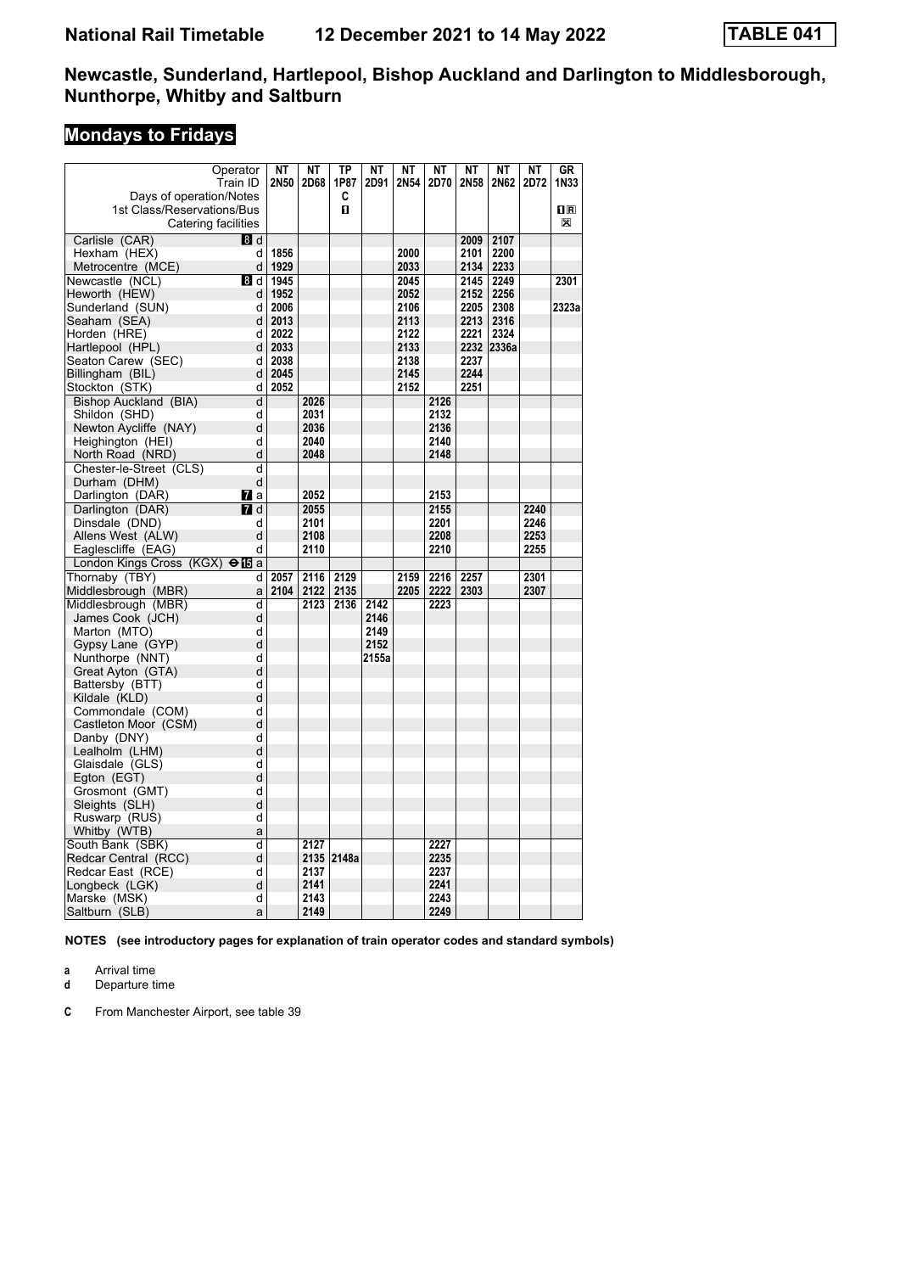# **Mondays to Fridays**

| Operator                                     | NΤ        | NΤ   | TP         | NΤ    | NΤ   | NΤ   | ΝT   | NΤ         | NΤ   | GR                      |
|----------------------------------------------|-----------|------|------------|-------|------|------|------|------------|------|-------------------------|
| Train ID                                     | 2N50      | 2D68 | 1P87       | 2D91  | 2N54 | 2D70 | 2N58 | 2N62       | 2D72 | 1N33                    |
| Days of operation/Notes                      |           |      | C          |       |      |      |      |            |      |                         |
| 1st Class/Reservations/Bus                   |           |      | O.         |       |      |      |      |            |      | $\overline{\mathbf{R}}$ |
| Catering facilities                          |           |      |            |       |      |      |      |            |      | X                       |
| Carlisle (CAR)<br>8d                         |           |      |            |       |      |      | 2009 | 2107       |      |                         |
| Hexham (HEX)<br>d                            | 1856      |      |            |       | 2000 |      | 2101 | 2200       |      |                         |
| d<br>Metrocentre (MCE)                       | 1929      |      |            |       | 2033 |      | 2134 | 2233       |      |                         |
| Newcastle (NCL)<br>8 d                       | 1945      |      |            |       | 2045 |      | 2145 | 2249       |      | 2301                    |
| Heworth (HEW)<br>d                           | 1952      |      |            |       | 2052 |      | 2152 | 2256       |      |                         |
| Sunderland (SUN)<br>d                        | 2006      |      |            |       | 2106 |      | 2205 | 2308       |      | 2323a                   |
| d<br>Seaham (SEA)                            | 2013      |      |            |       | 2113 |      | 2213 | 2316       |      |                         |
| Horden (HRE)<br>d                            | 2022      |      |            |       | 2122 |      | 2221 | 2324       |      |                         |
| Hartlepool (HPL)<br>d                        | 2033      |      |            |       | 2133 |      |      | 2232 2336a |      |                         |
| Seaton Carew (SEC)<br>d                      | 2038      |      |            |       | 2138 |      | 2237 |            |      |                         |
| Billingham (BIL)<br>d                        | 2045      |      |            |       | 2145 |      | 2244 |            |      |                         |
| d<br>Stockton (STK)                          | 2052      |      |            |       | 2152 |      | 2251 |            |      |                         |
| Bishop Auckland (BIA)<br>d                   |           | 2026 |            |       |      | 2126 |      |            |      |                         |
| Shildon (SHD)<br>d                           |           | 2031 |            |       |      | 2132 |      |            |      |                         |
| d<br>Newton Aycliffe (NAY)                   |           | 2036 |            |       |      | 2136 |      |            |      |                         |
| d<br>Heighington (HEI)                       |           | 2040 |            |       |      | 2140 |      |            |      |                         |
| d<br>North Road (NRD)                        |           | 2048 |            |       |      | 2148 |      |            |      |                         |
| d<br>Chester-le-Street (CLS)                 |           |      |            |       |      |      |      |            |      |                         |
| d<br>Durham (DHM)                            |           |      |            |       |      |      |      |            |      |                         |
| Darlington (DAR)<br>77 а                     |           | 2052 |            |       |      | 2153 |      |            |      |                         |
| Darlington (DAR)<br>$I$ d                    |           | 2055 |            |       |      | 2155 |      |            | 2240 |                         |
| Dinsdale (DND)<br>d                          |           | 2101 |            |       |      | 2201 |      |            | 2246 |                         |
| Allens West (ALW)<br>d                       |           | 2108 |            |       |      | 2208 |      |            | 2253 |                         |
| d<br>Eaglescliffe (EAG)                      |           | 2110 |            |       |      | 2210 |      |            | 2255 |                         |
| London Kings Cross (KGX) $\bigoplus$ a       |           |      |            |       |      |      |      |            |      |                         |
| Thornaby (TBY)                               | 2057<br>d | 2116 | 2129       |       | 2159 | 2216 | 2257 |            | 2301 |                         |
| Middlesbrough (MBR)<br>a                     | 2104      | 2122 | 2135       |       | 2205 | 2222 | 2303 |            | 2307 |                         |
| d                                            |           | 2123 | 2136       | 2142  |      | 2223 |      |            |      |                         |
| Middlesbrough (MBR)<br>d<br>James Cook (JCH) |           |      |            | 2146  |      |      |      |            |      |                         |
| d                                            |           |      |            | 2149  |      |      |      |            |      |                         |
| Marton (MTO)<br>d                            |           |      |            | 2152  |      |      |      |            |      |                         |
| Gypsy Lane (GYP)<br>d                        |           |      |            | 2155a |      |      |      |            |      |                         |
| Nunthorpe (NNT)<br>d                         |           |      |            |       |      |      |      |            |      |                         |
| Great Ayton (GTA)<br>d<br>Battersby (BTT)    |           |      |            |       |      |      |      |            |      |                         |
| d<br>Kildale (KLD)                           |           |      |            |       |      |      |      |            |      |                         |
| Commondale (COM)<br>d                        |           |      |            |       |      |      |      |            |      |                         |
| d<br>Castleton Moor (CSM)                    |           |      |            |       |      |      |      |            |      |                         |
| d<br>Danby (DNY)                             |           |      |            |       |      |      |      |            |      |                         |
| d<br>Lealholm (LHM)                          |           |      |            |       |      |      |      |            |      |                         |
| d<br>Glaisdale (GLS)                         |           |      |            |       |      |      |      |            |      |                         |
| d<br>Egton (EGT)                             |           |      |            |       |      |      |      |            |      |                         |
| d<br>Grosmont (GMT)                          |           |      |            |       |      |      |      |            |      |                         |
| d<br>Sleights (SLH)                          |           |      |            |       |      |      |      |            |      |                         |
| d<br>Ruswarp (RUS)                           |           |      |            |       |      |      |      |            |      |                         |
| Whitby (WTB)<br>a                            |           |      |            |       |      |      |      |            |      |                         |
| d<br>South Bank (SBK)                        |           | 2127 |            |       |      | 2227 |      |            |      |                         |
| d<br>Redcar Central (RCC)                    |           |      | 2135 2148a |       |      | 2235 |      |            |      |                         |
| d<br>Redcar East (RCE)                       |           | 2137 |            |       |      | 2237 |      |            |      |                         |
| d<br>Longbeck (LGK)                          |           | 2141 |            |       |      | 2241 |      |            |      |                         |
| d<br>Marske (MSK)                            |           | 2143 |            |       |      | 2243 |      |            |      |                         |
| Saltburn (SLB)<br>a                          |           | 2149 |            |       |      | 2249 |      |            |      |                         |
|                                              |           |      |            |       |      |      |      |            |      |                         |

**NOTES (see introductory pages for explanation of train operator codes and standard symbols)**

**a** Arrival time<br>**d** Departure t

**d** Departure time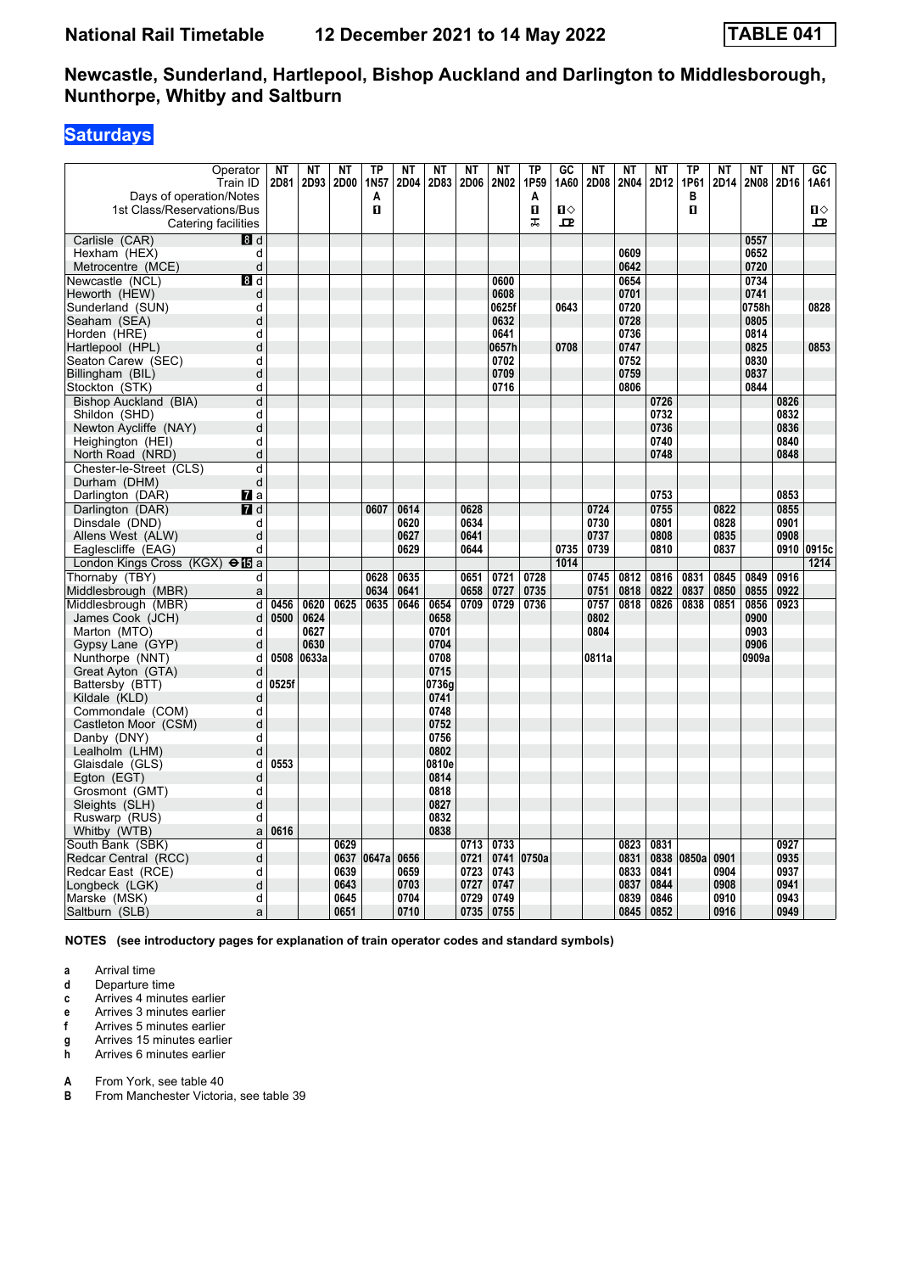## **Saturdays**

| Operator<br>Train ID                              | NΤ<br>2D81 | NT<br>2D93 | <b>NT</b><br>2D00 | <b>TP</b><br>1N <sub>57</sub> | <b>NT</b><br>2D04 | <b>NT</b><br>2D83 | <b>NT</b><br>2D06 | <b>NT</b><br>2N02 | TP<br>1P59 | $G$ <sub>C</sub><br>1A60 | <b>NT</b><br>2D08 | <b>NT</b><br><b>2N04</b> | <b>NT</b><br>2D12 | TP<br>1P61 | <b>NT</b><br>2D14 | NΤ<br>2N08   | <b>NT</b><br>2D16 | $\overline{GC}$<br>1A61 |
|---------------------------------------------------|------------|------------|-------------------|-------------------------------|-------------------|-------------------|-------------------|-------------------|------------|--------------------------|-------------------|--------------------------|-------------------|------------|-------------------|--------------|-------------------|-------------------------|
| Days of operation/Notes                           |            |            |                   | Α                             |                   |                   |                   |                   | A          |                          |                   |                          |                   | В          |                   |              |                   |                         |
| 1st Class/Reservations/Bus<br>Catering facilities |            |            |                   | п                             |                   |                   |                   |                   | п<br>ᠼ     | $\mathbf{u}$<br>고        |                   |                          |                   | п          |                   |              |                   | $\mathbf{u}$<br>고       |
| Carlisle (CAR)<br>8 d                             |            |            |                   |                               |                   |                   |                   |                   |            |                          |                   |                          |                   |            |                   | 0557         |                   |                         |
| d<br>Hexham (HEX)                                 |            |            |                   |                               |                   |                   |                   |                   |            |                          |                   | 0609                     |                   |            |                   | 0652         |                   |                         |
| Metrocentre (MCE)<br>d                            |            |            |                   |                               |                   |                   |                   |                   |            |                          |                   | 0642                     |                   |            |                   | 0720         |                   |                         |
| Newcastle (NCL)<br>8 d                            |            |            |                   |                               |                   |                   |                   | 0600              |            |                          |                   | 0654                     |                   |            |                   | 0734         |                   |                         |
| Heworth (HEW)<br>d                                |            |            |                   |                               |                   |                   |                   | 0608              |            |                          |                   | 0701                     |                   |            |                   | 0741         |                   |                         |
| Sunderland (SUN)<br>d                             |            |            |                   |                               |                   |                   |                   | 0625f             |            | 0643                     |                   | 0720                     |                   |            |                   | 0758h        |                   | 0828                    |
| Seaham (SEA)<br>d                                 |            |            |                   |                               |                   |                   |                   | 0632              |            |                          |                   | 0728                     |                   |            |                   | 0805         |                   |                         |
| d<br>Horden (HRE)                                 |            |            |                   |                               |                   |                   |                   | 0641              |            |                          |                   | 0736                     |                   |            |                   | 0814         |                   |                         |
| Hartlepool (HPL)<br>d<br>d                        |            |            |                   |                               |                   |                   |                   | 0657h<br>0702     |            | 0708                     |                   | 0747<br>0752             |                   |            |                   | 0825<br>0830 |                   | 0853                    |
| Seaton Carew (SEC)                                |            |            |                   |                               |                   |                   |                   | 0709              |            |                          |                   | 0759                     |                   |            |                   | 0837         |                   |                         |
| d<br>Billingham (BIL)<br>d                        |            |            |                   |                               |                   |                   |                   | 0716              |            |                          |                   | 0806                     |                   |            |                   | 0844         |                   |                         |
| Stockton (STK)<br>d                               |            |            |                   |                               |                   |                   |                   |                   |            |                          |                   |                          | 0726              |            |                   |              |                   |                         |
| Bishop Auckland (BIA)                             |            |            |                   |                               |                   |                   |                   |                   |            |                          |                   |                          | 0732              |            |                   |              | 0826<br>0832      |                         |
| Shildon (SHD)<br>d<br>d                           |            |            |                   |                               |                   |                   |                   |                   |            |                          |                   |                          |                   |            |                   |              |                   |                         |
| Newton Aycliffe (NAY)<br>d                        |            |            |                   |                               |                   |                   |                   |                   |            |                          |                   |                          | 0736<br>0740      |            |                   |              | 0836<br>0840      |                         |
| Heighington (HEI)<br>d                            |            |            |                   |                               |                   |                   |                   |                   |            |                          |                   |                          | 0748              |            |                   |              | 0848              |                         |
| North Road (NRD)<br>Chester-le-Street (CLS)       |            |            |                   |                               |                   |                   |                   |                   |            |                          |                   |                          |                   |            |                   |              |                   |                         |
| d<br>d<br>Durham (DHM)                            |            |            |                   |                               |                   |                   |                   |                   |            |                          |                   |                          |                   |            |                   |              |                   |                         |
| Darlington (DAR)<br><b>7</b> a                    |            |            |                   |                               |                   |                   |                   |                   |            |                          |                   |                          | 0753              |            |                   |              | 0853              |                         |
| $I$ d<br>Darlington (DAR)                         |            |            |                   | 0607                          | 0614              |                   | 0628              |                   |            |                          | 0724              |                          | 0755              |            | 0822              |              | 0855              |                         |
| Dinsdale (DND)<br>d                               |            |            |                   |                               | 0620              |                   | 0634              |                   |            |                          | 0730              |                          | 0801              |            | 0828              |              | 0901              |                         |
| Allens West (ALW)<br>d                            |            |            |                   |                               | 0627              |                   | 0641              |                   |            |                          | 0737              |                          | 0808              |            | 0835              |              | 0908              |                         |
| Eaglescliffe (EAG)<br>d                           |            |            |                   |                               | 0629              |                   | 0644              |                   |            | 0735                     | 0739              |                          | 0810              |            | 0837              |              | 0910              | 0915c                   |
| London Kings Cross (KGX) $\Theta$ <b>IS</b> a     |            |            |                   |                               |                   |                   |                   |                   |            | 1014                     |                   |                          |                   |            |                   |              |                   | 1214                    |
| Thornaby (TBY)<br>d                               |            |            |                   | 0628                          | 0635              |                   | 0651              | 0721              | 0728       |                          | 0745              | 0812                     | 0816              | 0831       | 0845              | 0849         | 0916              |                         |
| Middlesbrough (MBR)<br>a                          |            |            |                   | 0634                          | 0641              |                   | 0658              | 0727              | 0735       |                          | 0751              | 0818                     | 0822              | 0837       | 0850              | 0855         | 0922              |                         |
| Middlesbrough (MBR)<br>d                          | 0456       | 0620       | 0625              | 0635                          | 0646              | 0654              | 0709              | 0729              | 0736       |                          | 0757              | 0818                     | 0826              | 0838       | 0851              | 0856         | 0923              |                         |
| James Cook (JCH)<br>d                             | 0500       | 0624       |                   |                               |                   | 0658              |                   |                   |            |                          | 0802              |                          |                   |            |                   | 0900         |                   |                         |
| Marton (MTO)<br>d                                 |            | 0627       |                   |                               |                   | 0701              |                   |                   |            |                          | 0804              |                          |                   |            |                   | 0903         |                   |                         |
| d<br>Gypsy Lane (GYP)                             |            | 0630       |                   |                               |                   | 0704              |                   |                   |            |                          |                   |                          |                   |            |                   | 0906         |                   |                         |
| d<br>Nunthorpe (NNT)                              | 0508       | 0633a      |                   |                               |                   | 0708              |                   |                   |            |                          | 0811a             |                          |                   |            |                   | 0909a        |                   |                         |
| d<br>Great Ayton (GTA)                            |            |            |                   |                               |                   | 0715              |                   |                   |            |                          |                   |                          |                   |            |                   |              |                   |                         |
| Battersby (BTT)<br>d                              | 0525f      |            |                   |                               |                   | 0736g             |                   |                   |            |                          |                   |                          |                   |            |                   |              |                   |                         |
| Kildale (KLD)<br>d                                |            |            |                   |                               |                   | 0741              |                   |                   |            |                          |                   |                          |                   |            |                   |              |                   |                         |
| Commondale (COM)<br>d                             |            |            |                   |                               |                   | 0748              |                   |                   |            |                          |                   |                          |                   |            |                   |              |                   |                         |
| Castleton Moor (CSM)<br>d                         |            |            |                   |                               |                   | 0752              |                   |                   |            |                          |                   |                          |                   |            |                   |              |                   |                         |
| d<br>Danby (DNY)                                  |            |            |                   |                               |                   | 0756              |                   |                   |            |                          |                   |                          |                   |            |                   |              |                   |                         |
| d<br>Lealholm (LHM)                               |            |            |                   |                               |                   | 0802              |                   |                   |            |                          |                   |                          |                   |            |                   |              |                   |                         |
| Glaisdale (GLS)<br>d                              | 0553       |            |                   |                               |                   | 0810e             |                   |                   |            |                          |                   |                          |                   |            |                   |              |                   |                         |
| Egton (EGT)<br>d                                  |            |            |                   |                               |                   | 0814              |                   |                   |            |                          |                   |                          |                   |            |                   |              |                   |                         |
| Grosmont (GMT)<br>d                               |            |            |                   |                               |                   | 0818              |                   |                   |            |                          |                   |                          |                   |            |                   |              |                   |                         |
| d<br>Sleights (SLH)                               |            |            |                   |                               |                   | 0827              |                   |                   |            |                          |                   |                          |                   |            |                   |              |                   |                         |
| d<br>Ruswarp (RUS)                                |            |            |                   |                               |                   | 0832              |                   |                   |            |                          |                   |                          |                   |            |                   |              |                   |                         |
| Whitby (WTB)<br>a                                 | 0616       |            |                   |                               |                   | 0838              |                   |                   |            |                          |                   |                          |                   |            |                   |              |                   |                         |
| South Bank (SBK)<br>d                             |            |            | 0629              |                               |                   |                   | 0713              | 0733              |            |                          |                   | 0823                     | 0831              |            |                   |              | 0927              |                         |
| Redcar Central (RCC)<br>d                         |            |            | 0637              | 0647a                         | 0656              |                   | 0721              | 0741              | 0750a      |                          |                   | 0831                     | 0838              | 0850a      | 0901              |              | 0935              |                         |
| Redcar East (RCE)<br>d                            |            |            | 0639              |                               | 0659              |                   | 0723              | 0743              |            |                          |                   | 0833                     | 0841              |            | 0904              |              | 0937              |                         |
| d<br>Longbeck (LGK)                               |            |            | 0643              |                               | 0703              |                   | 0727              | 0747              |            |                          |                   | 0837                     | 0844              |            | 0908              |              | 0941              |                         |
| d<br>Marske (MSK)                                 |            |            | 0645              |                               | 0704              |                   | 0729              | 0749              |            |                          |                   | 0839                     | 0846              |            | 0910              |              | 0943              |                         |
| Saltburn (SLB)<br>a                               |            |            | 0651              |                               | 0710              |                   | 0735              | 0755              |            |                          |                   | 0845                     | 0852              |            | 0916              |              | 0949              |                         |

**NOTES (see introductory pages for explanation of train operator codes and standard symbols)**

**a** Arrival time<br>**d** Departure t

- **d** Departure time
- **c** Arrives 4 minutes earlier
- **e** Arrives 3 minutes earlier<br>**f** Arrives 5 minutes earlier
- **f** Arrives 5 minutes earlier
- **g** Arrives 15 minutes earlier
- **h** Arrives 6 minutes earlier

**A** From York, see table 40<br>**B** From Manchester Victor

**From Manchester Victoria, see table 39**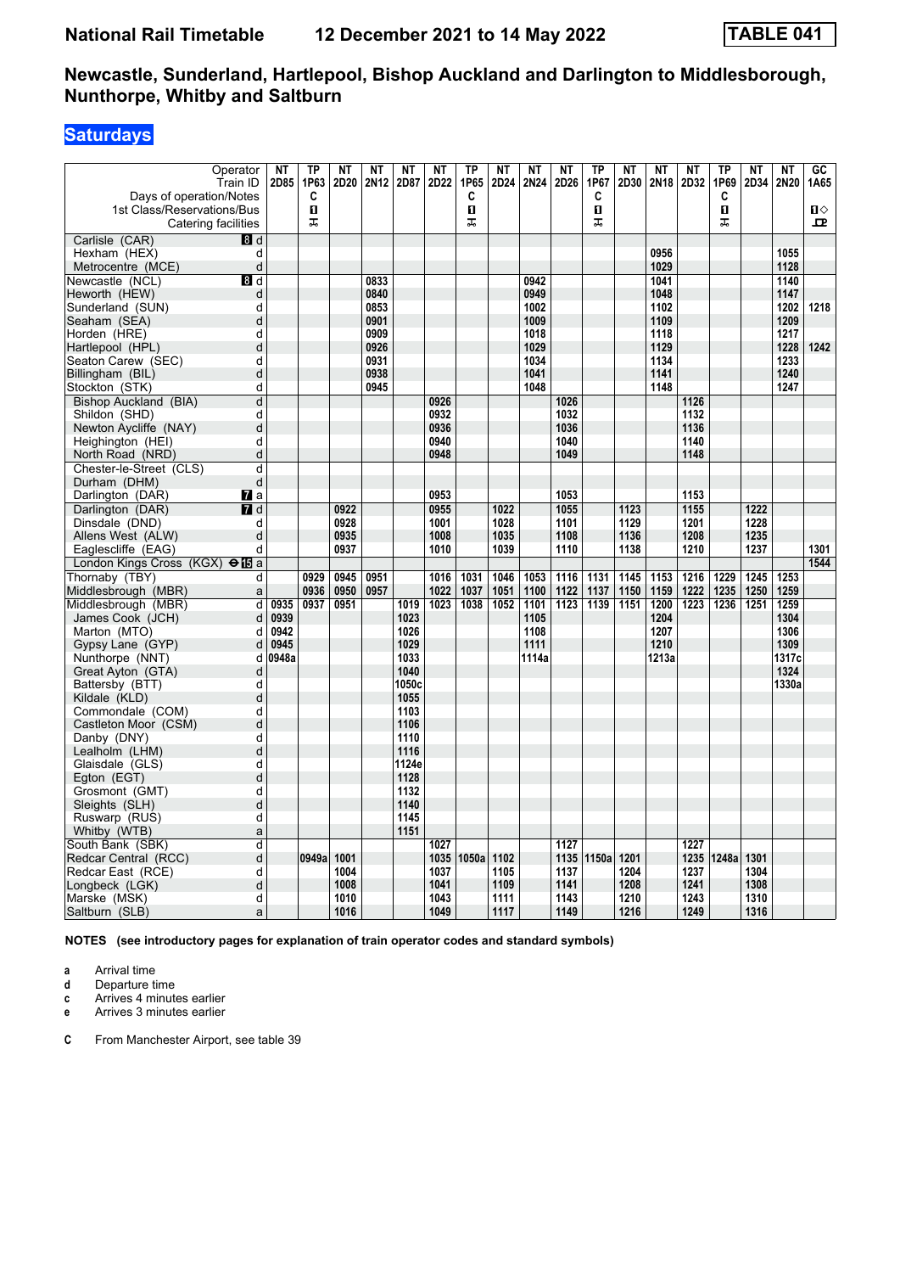# **Saturdays**

| Operator<br>Train ID<br>Days of operation/Notes<br>1st Class/Reservations/Bus | <b>NT</b><br>2D85 | TP<br>1P63<br>C<br>п | <b>NT</b><br>2D20 | NT<br>2N12 | <b>NT</b><br>2D87 | <b>NT</b><br>2D22 | <b>TP</b><br>1P65<br>C<br>п | NT<br>2D24 | NT<br>2N24    | <b>NT</b><br>2D26 | <b>TP</b><br>1P67<br>C<br>$\mathbf{u}$ | <b>NT</b><br>2D30 | <b>NT</b><br>2N18 | <b>NT</b><br>2D32 | ΤP<br>1P69<br>C<br>п | <b>NT</b><br>2D34 | <b>NT</b><br>2N20 | $\overline{GC}$<br>1A65<br>$\blacksquare$ |
|-------------------------------------------------------------------------------|-------------------|----------------------|-------------------|------------|-------------------|-------------------|-----------------------------|------------|---------------|-------------------|----------------------------------------|-------------------|-------------------|-------------------|----------------------|-------------------|-------------------|-------------------------------------------|
| Catering facilities                                                           |                   | ᠼ                    |                   |            |                   |                   | ᠼ                           |            |               |                   | ᠼ                                      |                   |                   |                   | 工                    |                   |                   | ᄆ                                         |
| Carlisle (CAR)<br>8d                                                          |                   |                      |                   |            |                   |                   |                             |            |               |                   |                                        |                   |                   |                   |                      |                   |                   |                                           |
| d<br>Hexham (HEX)                                                             |                   |                      |                   |            |                   |                   |                             |            |               |                   |                                        |                   | 0956              |                   |                      |                   | 1055              |                                           |
| Metrocentre (MCE)<br>d                                                        |                   |                      |                   |            |                   |                   |                             |            |               |                   |                                        |                   | 1029              |                   |                      |                   | 1128              |                                           |
| Newcastle (NCL)<br>8 d                                                        |                   |                      |                   | 0833       |                   |                   |                             |            | 0942          |                   |                                        |                   | 1041              |                   |                      |                   | 1140              |                                           |
| Heworth (HEW)<br>d                                                            |                   |                      |                   | 0840       |                   |                   |                             |            | 0949          |                   |                                        |                   | 1048              |                   |                      |                   | 1147              |                                           |
| d<br>Sunderland (SUN)                                                         |                   |                      |                   | 0853       |                   |                   |                             |            | 1002          |                   |                                        |                   | 1102              |                   |                      |                   | 1202              | 1218                                      |
| Seaham (SEA)<br>d                                                             |                   |                      |                   | 0901       |                   |                   |                             |            | 1009          |                   |                                        |                   | 1109              |                   |                      |                   | 1209              |                                           |
| Horden (HRE)<br>d                                                             |                   |                      |                   | 0909       |                   |                   |                             |            | 1018          |                   |                                        |                   | 1118              |                   |                      |                   | 1217              |                                           |
| Hartlepool (HPL)<br>d                                                         |                   |                      |                   | 0926       |                   |                   |                             |            | 1029          |                   |                                        |                   | 1129              |                   |                      |                   | 1228              | 1242                                      |
| d<br>Seaton Carew (SEC)                                                       |                   |                      |                   | 0931       |                   |                   |                             |            | 1034          |                   |                                        |                   | 1134              |                   |                      |                   | 1233              |                                           |
| d<br>Billingham (BIL)                                                         |                   |                      |                   | 0938       |                   |                   |                             |            | 1041          |                   |                                        |                   | 1141              |                   |                      |                   | 1240              |                                           |
| Stockton (STK)<br>d                                                           |                   |                      |                   | 0945       |                   |                   |                             |            | 1048          |                   |                                        |                   | 1148              |                   |                      |                   | 1247              |                                           |
| d<br>Bishop Auckland (BIA)                                                    |                   |                      |                   |            |                   | 0926              |                             |            |               | 1026              |                                        |                   |                   | 1126              |                      |                   |                   |                                           |
| Shildon (SHD)<br>d                                                            |                   |                      |                   |            |                   | 0932              |                             |            |               | 1032              |                                        |                   |                   | 1132              |                      |                   |                   |                                           |
| Newton Aycliffe (NAY)<br>d                                                    |                   |                      |                   |            |                   | 0936              |                             |            |               | 1036              |                                        |                   |                   | 1136              |                      |                   |                   |                                           |
| d<br>Heighington (HEI)                                                        |                   |                      |                   |            |                   | 0940              |                             |            |               | 1040              |                                        |                   |                   | 1140              |                      |                   |                   |                                           |
| d<br>North Road (NRD)                                                         |                   |                      |                   |            |                   | 0948              |                             |            |               | 1049              |                                        |                   |                   | 1148              |                      |                   |                   |                                           |
| Chester-le-Street (CLS)<br>d                                                  |                   |                      |                   |            |                   |                   |                             |            |               |                   |                                        |                   |                   |                   |                      |                   |                   |                                           |
| Durham (DHM)                                                                  | d                 |                      |                   |            |                   |                   |                             |            |               |                   |                                        |                   |                   |                   |                      |                   |                   |                                           |
| Darlington (DAR)<br><b>7</b> a                                                |                   |                      |                   |            |                   | 0953              |                             |            |               | 1053              |                                        |                   |                   | 1153              |                      |                   |                   |                                           |
| $\overline{7}$ d<br>Darlington (DAR)                                          |                   |                      | 0922              |            |                   | 0955              |                             | 1022       |               | 1055              |                                        | 1123              |                   | 1155              |                      | 1222              |                   |                                           |
| Dinsdale (DND)<br>d                                                           |                   |                      | 0928              |            |                   | 1001              |                             | 1028       |               | 1101              |                                        | 1129              |                   | 1201              |                      | 1228              |                   |                                           |
| Allens West (ALW)                                                             | d                 |                      | 0935              |            |                   | 1008              |                             | 1035       |               | 1108              |                                        | 1136              |                   | 1208              |                      | 1235              |                   |                                           |
| d<br>Eaglescliffe (EAG)                                                       |                   |                      | 0937              |            |                   | 1010              |                             | 1039       |               | 1110              |                                        | 1138              |                   | 1210              |                      | 1237              |                   | 1301                                      |
| London Kings Cross (KGX) $\Theta$ <b>is</b> a                                 |                   |                      |                   |            |                   |                   |                             |            |               |                   |                                        |                   |                   |                   |                      |                   |                   | 1544                                      |
| Thornaby (TBY)<br>d                                                           |                   | 0929                 | 0945              | 0951       |                   | 1016              | 1031                        | 1046       | 1053          | 1116              | 1131                                   | 1145              | 1153              | 1216              | 1229                 | 1245              | 1253              |                                           |
| Middlesbrough (MBR)<br>a                                                      |                   | 0936                 | 0950              | 0957       |                   | 1022              | 1037                        | 1051       | 1100          | 1122              | 1137                                   | 1150              | 1159              | 1222              | 1235                 | 1250              | 1259              |                                           |
| Middlesbrough (MBR)<br>d                                                      | 0935              | 0937                 | 0951              |            | 1019              | 1023              | 1038                        | 1052       | 1101          | 1123              | 1139                                   | 1151              | 1200              | 1223              | 1236                 | 1251              | 1259              |                                           |
| James Cook (JCH)<br>d                                                         | 0939              |                      |                   |            | 1023              |                   |                             |            | 1105          |                   |                                        |                   | 1204              |                   |                      |                   | 1304              |                                           |
| d<br>Marton (MTO)                                                             | 0942              |                      |                   |            | 1026              |                   |                             |            | 1108          |                   |                                        |                   | 1207              |                   |                      |                   | 1306              |                                           |
| Gypsy Lane (GYP)<br>d                                                         | 0945<br>0948a     |                      |                   |            | 1029<br>1033      |                   |                             |            | 1111<br>1114a |                   |                                        |                   | 1210              |                   |                      |                   | 1309<br>1317c     |                                           |
| Nunthorpe (NNT)<br>d<br>d                                                     |                   |                      |                   |            | 1040              |                   |                             |            |               |                   |                                        |                   | 1213a             |                   |                      |                   | 1324              |                                           |
| Great Ayton (GTA)<br>Battersby (BTT)<br>d                                     |                   |                      |                   |            | 1050c             |                   |                             |            |               |                   |                                        |                   |                   |                   |                      |                   | 1330a             |                                           |
| d<br>Kildale (KLD)                                                            |                   |                      |                   |            | 1055              |                   |                             |            |               |                   |                                        |                   |                   |                   |                      |                   |                   |                                           |
| d<br>Commondale (COM)                                                         |                   |                      |                   |            | 1103              |                   |                             |            |               |                   |                                        |                   |                   |                   |                      |                   |                   |                                           |
| Castleton Moor (CSM)<br>d                                                     |                   |                      |                   |            | 1106              |                   |                             |            |               |                   |                                        |                   |                   |                   |                      |                   |                   |                                           |
| d<br>Danby (DNY)                                                              |                   |                      |                   |            | 1110              |                   |                             |            |               |                   |                                        |                   |                   |                   |                      |                   |                   |                                           |
| Lealholm (LHM)<br>d                                                           |                   |                      |                   |            | 1116              |                   |                             |            |               |                   |                                        |                   |                   |                   |                      |                   |                   |                                           |
| Glaisdale (GLS)<br>d                                                          |                   |                      |                   |            | 1124e             |                   |                             |            |               |                   |                                        |                   |                   |                   |                      |                   |                   |                                           |
| d<br>Egton (EGT)                                                              |                   |                      |                   |            | 1128              |                   |                             |            |               |                   |                                        |                   |                   |                   |                      |                   |                   |                                           |
| Grosmont (GMT)<br>d                                                           |                   |                      |                   |            | 1132              |                   |                             |            |               |                   |                                        |                   |                   |                   |                      |                   |                   |                                           |
| d<br>Sleights (SLH)                                                           |                   |                      |                   |            | 1140              |                   |                             |            |               |                   |                                        |                   |                   |                   |                      |                   |                   |                                           |
| d<br>Ruswarp (RUS)                                                            |                   |                      |                   |            | 1145              |                   |                             |            |               |                   |                                        |                   |                   |                   |                      |                   |                   |                                           |
| Whitby (WTB)                                                                  | a                 |                      |                   |            | 1151              |                   |                             |            |               |                   |                                        |                   |                   |                   |                      |                   |                   |                                           |
| South Bank (SBK)<br>d                                                         |                   |                      |                   |            |                   | 1027              |                             |            |               | 1127              |                                        |                   |                   | 1227              |                      |                   |                   |                                           |
| Redcar Central (RCC)<br>d                                                     |                   | 0949a                | 1001              |            |                   | 1035              | 1050a                       | 1102       |               | 1135              | 1150a                                  | 1201              |                   | 1235              | 1248a                | 1301              |                   |                                           |
| Redcar East (RCE)<br>d                                                        |                   |                      | 1004              |            |                   | 1037              |                             | 1105       |               | 1137              |                                        | 1204              |                   | 1237              |                      | 1304              |                   |                                           |
| d<br>Longbeck (LGK)                                                           |                   |                      | 1008              |            |                   | 1041              |                             | 1109       |               | 1141              |                                        | 1208              |                   | 1241              |                      | 1308              |                   |                                           |
| Marske (MSK)<br>d                                                             |                   |                      | 1010              |            |                   | 1043              |                             | 1111       |               | 1143              |                                        | 1210              |                   | 1243              |                      | 1310              |                   |                                           |
| Saltburn (SLB)<br>a                                                           |                   |                      | 1016              |            |                   | 1049              |                             | 1117       |               | 1149              |                                        | 1216              |                   | 1249              |                      | 1316              |                   |                                           |

**NOTES (see introductory pages for explanation of train operator codes and standard symbols)**

**a** Arrival time<br>**d** Departure t

**d** Departure time

**c** Arrives 4 minutes earlier

**e** Arrives 3 minutes earlier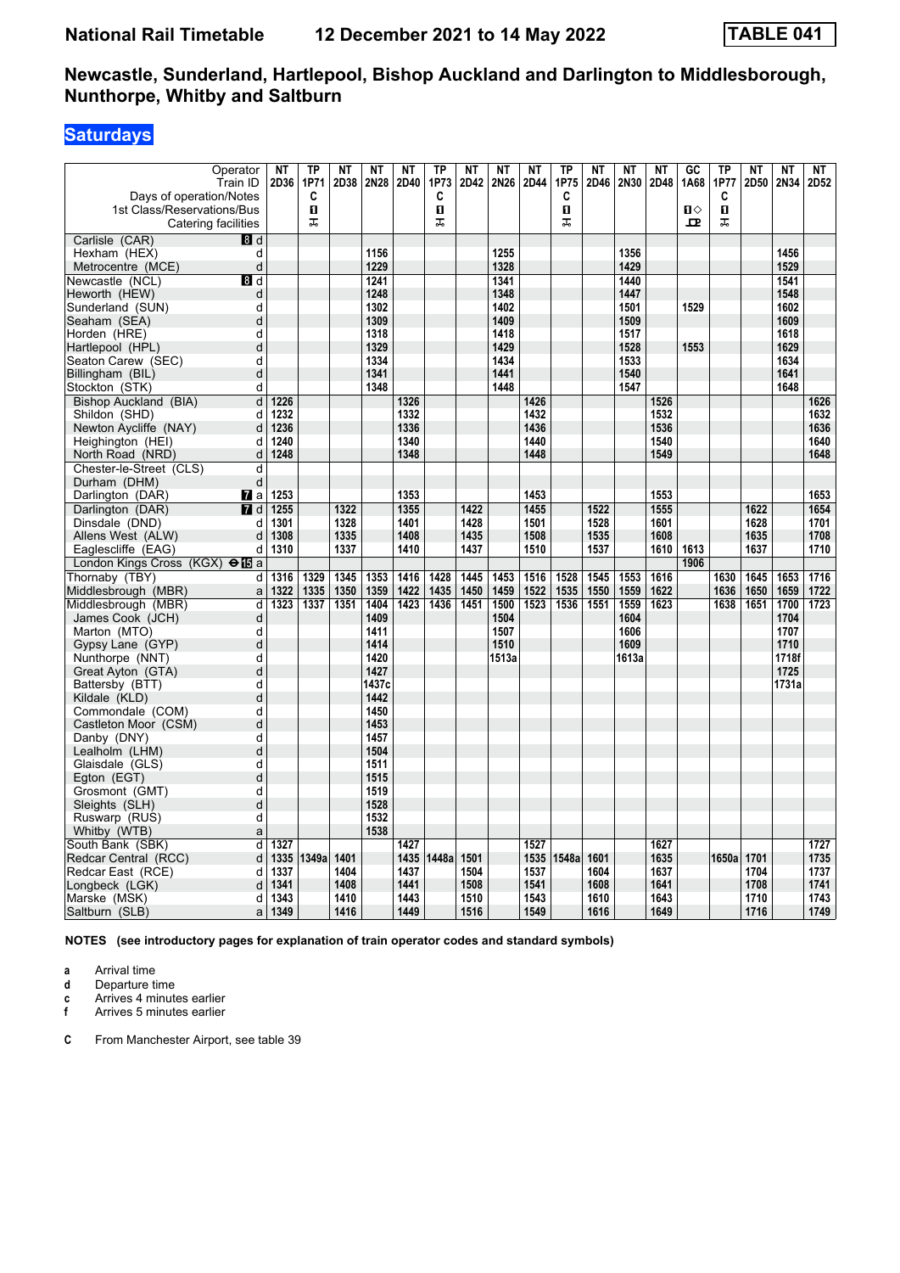# **Saturdays**

| Operator<br>Train ID<br>Days of operation/Notes<br>1st Class/Reservations/Bus<br>Catering facilities | <b>NT</b><br>2D36 | TP<br>1P71<br>C<br>$\mathbf{u}$<br>ᠼ | <b>NT</b><br>2D38 | <b>NT</b><br>2N28 | <b>NT</b><br>2D40 | <b>TP</b><br>1P73<br>C<br>O<br>盂 | NT<br>2D42 | <b>NT</b><br>2N26 | <b>NT</b><br>2D44 | TP<br>1P75<br>C<br>П<br>ᠼ | <b>NT</b><br>2D46 | <b>NT</b><br>2N30 | <b>NT</b><br>2D48 | GC<br>1A68<br>$\mathbf{u}$<br>모 | TP<br>1P77<br>C<br>$\mathbf{u}$<br>ᠼ | <b>NT</b><br>2D50 | <b>NT</b><br>2N34 | <b>NT</b><br>2D52 |
|------------------------------------------------------------------------------------------------------|-------------------|--------------------------------------|-------------------|-------------------|-------------------|----------------------------------|------------|-------------------|-------------------|---------------------------|-------------------|-------------------|-------------------|---------------------------------|--------------------------------------|-------------------|-------------------|-------------------|
|                                                                                                      |                   |                                      |                   |                   |                   |                                  |            |                   |                   |                           |                   |                   |                   |                                 |                                      |                   |                   |                   |
| Carlisle (CAR)<br>8 d<br>d                                                                           |                   |                                      |                   | 1156              |                   |                                  |            | 1255              |                   |                           |                   | 1356              |                   |                                 |                                      |                   | 1456              |                   |
| Hexham (HEX)<br>d                                                                                    |                   |                                      |                   | 1229              |                   |                                  |            | 1328              |                   |                           |                   | 1429              |                   |                                 |                                      |                   | 1529              |                   |
| Metrocentre (MCE)                                                                                    |                   |                                      |                   | 1241              |                   |                                  |            | 1341              |                   |                           |                   | 1440              |                   |                                 |                                      |                   | 1541              |                   |
| Newcastle (NCL)<br>8 d<br>Heworth (HEW)<br>d                                                         |                   |                                      |                   | 1248              |                   |                                  |            | 1348              |                   |                           |                   | 1447              |                   |                                 |                                      |                   | 1548              |                   |
| Sunderland (SUN)<br>d                                                                                |                   |                                      |                   | 1302              |                   |                                  |            | 1402              |                   |                           |                   | 1501              |                   | 1529                            |                                      |                   | 1602              |                   |
| Seaham (SEA)<br>d                                                                                    |                   |                                      |                   | 1309              |                   |                                  |            | 1409              |                   |                           |                   | 1509              |                   |                                 |                                      |                   | 1609              |                   |
| Horden (HRE)<br>d                                                                                    |                   |                                      |                   | 1318              |                   |                                  |            | 1418              |                   |                           |                   | 1517              |                   |                                 |                                      |                   | 1618              |                   |
| d<br>Hartlepool (HPL)                                                                                |                   |                                      |                   | 1329              |                   |                                  |            | 1429              |                   |                           |                   | 1528              |                   | 1553                            |                                      |                   | 1629              |                   |
| d<br>Seaton Carew (SEC)                                                                              |                   |                                      |                   | 1334              |                   |                                  |            | 1434              |                   |                           |                   | 1533              |                   |                                 |                                      |                   | 1634              |                   |
| d<br>Billingham (BIL)                                                                                |                   |                                      |                   | 1341              |                   |                                  |            | 1441              |                   |                           |                   | 1540              |                   |                                 |                                      |                   | 1641              |                   |
| Stockton (STK)<br>d                                                                                  |                   |                                      |                   | 1348              |                   |                                  |            | 1448              |                   |                           |                   | 1547              |                   |                                 |                                      |                   | 1648              |                   |
| d<br>Bishop Auckland (BIA)                                                                           | 1226              |                                      |                   |                   | 1326              |                                  |            |                   | 1426              |                           |                   |                   | 1526              |                                 |                                      |                   |                   | 1626              |
| Shildon (SHD)<br>d                                                                                   | 1232              |                                      |                   |                   | 1332              |                                  |            |                   | 1432              |                           |                   |                   | 1532              |                                 |                                      |                   |                   | 1632              |
| Newton Aycliffe (NAY)<br>d                                                                           | 1236              |                                      |                   |                   | 1336              |                                  |            |                   | 1436              |                           |                   |                   | 1536              |                                 |                                      |                   |                   | 1636              |
| d<br>Heighington (HEI)                                                                               | 1240              |                                      |                   |                   | 1340              |                                  |            |                   | 1440              |                           |                   |                   | 1540              |                                 |                                      |                   |                   | 1640              |
| d<br>North Road (NRD)                                                                                | 1248              |                                      |                   |                   | 1348              |                                  |            |                   | 1448              |                           |                   |                   | 1549              |                                 |                                      |                   |                   | 1648              |
| Chester-le-Street (CLS)<br>d                                                                         |                   |                                      |                   |                   |                   |                                  |            |                   |                   |                           |                   |                   |                   |                                 |                                      |                   |                   |                   |
| d<br>Durham (DHM)                                                                                    |                   |                                      |                   |                   |                   |                                  |            |                   |                   |                           |                   |                   |                   |                                 |                                      |                   |                   |                   |
| Darlington (DAR)<br><b>7</b> ∎a                                                                      | 1253              |                                      |                   |                   | 1353              |                                  |            |                   | 1453              |                           |                   |                   | 1553              |                                 |                                      |                   |                   | 1653              |
| $\blacksquare$ d<br>Darlington (DAR)                                                                 | 1255              |                                      | 1322              |                   | 1355              |                                  | 1422       |                   | 1455              |                           | 1522              |                   | 1555              |                                 |                                      | 1622              |                   | 1654              |
| Dinsdale (DND)<br>d                                                                                  | 1301              |                                      | 1328              |                   | 1401              |                                  | 1428       |                   | 1501              |                           | 1528              |                   | 1601              |                                 |                                      | 1628              |                   | 1701              |
| Allens West (ALW)<br>d                                                                               | 1308              |                                      | 1335              |                   | 1408              |                                  | 1435       |                   | 1508              |                           | 1535              |                   | 1608              |                                 |                                      | 1635              |                   | 1708              |
| Eaglescliffe (EAG)<br>d                                                                              | 1310              |                                      | 1337              |                   | 1410              |                                  | 1437       |                   | 1510              |                           | 1537              |                   | 1610              | 1613                            |                                      | 1637              |                   | 1710              |
| London Kings Cross (KGX) $\bigoplus$ a                                                               |                   |                                      |                   |                   |                   |                                  |            |                   |                   |                           |                   |                   |                   | 1906                            |                                      |                   |                   |                   |
| Thornaby (TBY)<br>d                                                                                  | 1316              | 1329                                 | 1345              | 1353              | 1416              | 1428                             | 1445       | 1453              | 1516              | 1528                      | 1545              | 1553              | 1616              |                                 | 1630                                 | 1645              | 1653              | 1716              |
| Middlesbrough (MBR)<br>a                                                                             | 1322              | 1335                                 | 1350              | 1359              | 1422              | 1435                             | 1450       | 1459              | 1522              | 1535                      | 1550              | 1559              | 1622              |                                 | 1636                                 | 1650              | 1659              | 1722              |
| Middlesbrough (MBR)<br>d                                                                             | 1323              | 1337                                 | 1351              | 1404              | 1423              | 1436                             | 1451       | 1500              | 1523              | 1536                      | 1551              | 1559              | 1623              |                                 | 1638                                 | 1651              | 1700              | 1723              |
| James Cook (JCH)<br>d                                                                                |                   |                                      |                   | 1409              |                   |                                  |            | 1504              |                   |                           |                   | 1604              |                   |                                 |                                      |                   | 1704              |                   |
| d<br>Marton (MTO)                                                                                    |                   |                                      |                   | 1411              |                   |                                  |            | 1507              |                   |                           |                   | 1606              |                   |                                 |                                      |                   | 1707              |                   |
| d<br>Gypsy Lane (GYP)                                                                                |                   |                                      |                   | 1414              |                   |                                  |            | 1510              |                   |                           |                   | 1609              |                   |                                 |                                      |                   | 1710              |                   |
| d<br>Nunthorpe (NNT)                                                                                 |                   |                                      |                   | 1420              |                   |                                  |            | 1513a             |                   |                           |                   | 1613a             |                   |                                 |                                      |                   | 1718f             |                   |
| d<br>Great Ayton (GTA)                                                                               |                   |                                      |                   | 1427              |                   |                                  |            |                   |                   |                           |                   |                   |                   |                                 |                                      |                   | 1725              |                   |
| Battersby (BTT)<br>d                                                                                 |                   |                                      |                   | 1437c             |                   |                                  |            |                   |                   |                           |                   |                   |                   |                                 |                                      |                   | 1731a             |                   |
| d<br>Kildale (KLD)                                                                                   |                   |                                      |                   | 1442              |                   |                                  |            |                   |                   |                           |                   |                   |                   |                                 |                                      |                   |                   |                   |
| Commondale (COM)<br>d                                                                                |                   |                                      |                   | 1450              |                   |                                  |            |                   |                   |                           |                   |                   |                   |                                 |                                      |                   |                   |                   |
| Castleton Moor (CSM)<br>d                                                                            |                   |                                      |                   | 1453              |                   |                                  |            |                   |                   |                           |                   |                   |                   |                                 |                                      |                   |                   |                   |
| Danby (DNY)<br>d                                                                                     |                   |                                      |                   | 1457              |                   |                                  |            |                   |                   |                           |                   |                   |                   |                                 |                                      |                   |                   |                   |
| d<br>Lealholm (LHM)                                                                                  |                   |                                      |                   | 1504              |                   |                                  |            |                   |                   |                           |                   |                   |                   |                                 |                                      |                   |                   |                   |
| Glaisdale (GLS)<br>d                                                                                 |                   |                                      |                   | 1511              |                   |                                  |            |                   |                   |                           |                   |                   |                   |                                 |                                      |                   |                   |                   |
| d<br>Egton (EGT)                                                                                     |                   |                                      |                   | 1515              |                   |                                  |            |                   |                   |                           |                   |                   |                   |                                 |                                      |                   |                   |                   |
| Grosmont (GMT)<br>d                                                                                  |                   |                                      |                   | 1519              |                   |                                  |            |                   |                   |                           |                   |                   |                   |                                 |                                      |                   |                   |                   |
| d<br>Sleights (SLH)                                                                                  |                   |                                      |                   | 1528              |                   |                                  |            |                   |                   |                           |                   |                   |                   |                                 |                                      |                   |                   |                   |
| d<br>Ruswarp (RUS)                                                                                   |                   |                                      |                   | 1532              |                   |                                  |            |                   |                   |                           |                   |                   |                   |                                 |                                      |                   |                   |                   |
| Whitby (WTB)<br>a                                                                                    |                   |                                      |                   | 1538              |                   |                                  |            |                   |                   |                           |                   |                   |                   |                                 |                                      |                   |                   |                   |
| South Bank (SBK)<br>d                                                                                | 1327              |                                      |                   |                   | 1427              |                                  |            |                   | 1527              |                           |                   |                   | 1627              |                                 |                                      |                   |                   | 1727              |
| Redcar Central (RCC)<br>d                                                                            | 1335              | 1349a                                | 1401              |                   | 1435              | 1448a                            | 1501       |                   | 1535              | 1548a                     | 1601              |                   | 1635              |                                 | 1650a                                | 1701              |                   | 1735              |
| d<br>Redcar East (RCE)                                                                               | 1337              |                                      | 1404              |                   | 1437              |                                  | 1504       |                   | 1537              |                           | 1604              |                   | 1637              |                                 |                                      | 1704              |                   | 1737              |
| d<br>Longbeck (LGK)                                                                                  | 1341              |                                      | 1408              |                   | 1441              |                                  | 1508       |                   | 1541              |                           | 1608              |                   | 1641              |                                 |                                      | 1708              |                   | 1741              |
| d<br>Marske (MSK)                                                                                    | 1343              |                                      | 1410              |                   | 1443              |                                  | 1510       |                   | 1543              |                           | 1610              |                   | 1643              |                                 |                                      | 1710<br>1716      |                   | 1743<br>1749      |
| Saltburn (SLB)<br>a                                                                                  | 1349              |                                      | 1416              |                   | 1449              |                                  | 1516       |                   | 1549              |                           | 1616              |                   | 1649              |                                 |                                      |                   |                   |                   |

**NOTES (see introductory pages for explanation of train operator codes and standard symbols)**

**a** Arrival time<br>**d** Departure t

**d** Departure time

**c** Arrives 4 minutes earlier

**f** Arrives 5 minutes earlier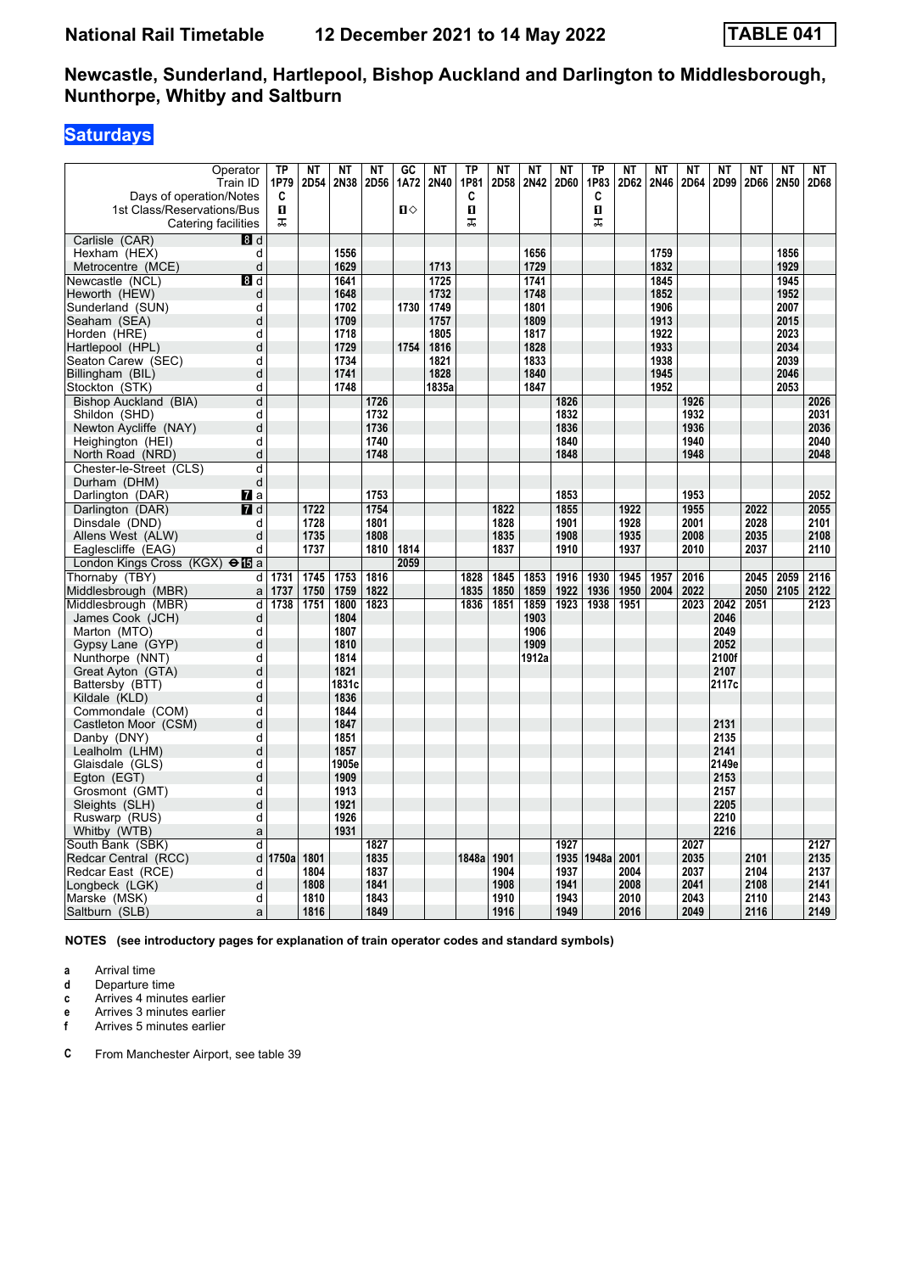# **Saturdays**

| Operator<br>Train ID<br>Days of operation/Notes   | TP<br>1P79<br>C | NT<br>2D54 | <b>NT</b><br>2N38 | <b>NT</b><br>2D56 | GC<br>1A72 | <b>NT</b><br>2N40 | <b>TP</b><br>1P81<br>C | <b>NT</b><br>2D58 | NT<br>2N42 | <b>NT</b><br>2D60 | <b>TP</b><br>1P83<br>C | <b>NT</b><br>2D62 | <b>NT</b><br>2N46 | ΝT<br>2D64 | <b>NT</b><br>2D99 | <b>NT</b><br>2D66 | <b>NT</b><br>2N50 | <b>NT</b><br>2D68 |
|---------------------------------------------------|-----------------|------------|-------------------|-------------------|------------|-------------------|------------------------|-------------------|------------|-------------------|------------------------|-------------------|-------------------|------------|-------------------|-------------------|-------------------|-------------------|
| 1st Class/Reservations/Bus<br>Catering facilities | п<br>ᠼ          |            |                   |                   | $\P$       |                   | O<br>ᅚ                 |                   |            |                   | $\mathbf{u}$<br>ᠼ      |                   |                   |            |                   |                   |                   |                   |
| Carlisle (CAR)<br>8 <sup>d</sup>                  |                 |            |                   |                   |            |                   |                        |                   |            |                   |                        |                   |                   |            |                   |                   |                   |                   |
| Hexham (HEX)<br>d                                 |                 |            | 1556              |                   |            |                   |                        |                   | 1656       |                   |                        |                   | 1759              |            |                   |                   | 1856              |                   |
| d<br>Metrocentre (MCE)                            |                 |            | 1629              |                   |            | 1713              |                        |                   | 1729       |                   |                        |                   | 1832              |            |                   |                   | 1929              |                   |
| 8d<br>Newcastle (NCL)                             |                 |            | 1641              |                   |            | 1725              |                        |                   | 1741       |                   |                        |                   | 1845              |            |                   |                   | 1945              |                   |
| Heworth (HEW)<br>d                                |                 |            | 1648              |                   |            | 1732              |                        |                   | 1748       |                   |                        |                   | 1852              |            |                   |                   | 1952              |                   |
| Sunderland (SUN)<br>d                             |                 |            | 1702              |                   | 1730       | 1749              |                        |                   | 1801       |                   |                        |                   | 1906              |            |                   |                   | 2007              |                   |
| d<br>Seaham (SEA)                                 |                 |            | 1709              |                   |            | 1757              |                        |                   | 1809       |                   |                        |                   | 1913              |            |                   |                   | 2015              |                   |
| Horden (HRE)<br>d                                 |                 |            | 1718              |                   |            | 1805              |                        |                   | 1817       |                   |                        |                   | 1922              |            |                   |                   | 2023              |                   |
| d<br>Hartlepool (HPL)                             |                 |            | 1729              |                   | 1754       | 1816              |                        |                   | 1828       |                   |                        |                   | 1933              |            |                   |                   | 2034              |                   |
| Seaton Carew (SEC)<br>d                           |                 |            | 1734              |                   |            | 1821              |                        |                   | 1833       |                   |                        |                   | 1938              |            |                   |                   | 2039              |                   |
| d<br>Billingham (BIL)                             |                 |            | 1741              |                   |            | 1828              |                        |                   | 1840       |                   |                        |                   | 1945              |            |                   |                   | 2046              |                   |
| Stockton (STK)<br>d                               |                 |            | 1748              |                   |            | 1835a             |                        |                   | 1847       |                   |                        |                   | 1952              |            |                   |                   | 2053              |                   |
| d<br>Bishop Auckland (BIA)                        |                 |            |                   | 1726              |            |                   |                        |                   |            | 1826              |                        |                   |                   | 1926       |                   |                   |                   | 2026              |
| Shildon (SHD)<br>d                                |                 |            |                   | 1732              |            |                   |                        |                   |            | 1832              |                        |                   |                   | 1932       |                   |                   |                   | 2031              |
| Newton Aycliffe (NAY)<br>d                        |                 |            |                   | 1736              |            |                   |                        |                   |            | 1836              |                        |                   |                   | 1936       |                   |                   |                   | 2036              |
| d<br>Heighington (HEI)                            |                 |            |                   | 1740              |            |                   |                        |                   |            | 1840              |                        |                   |                   | 1940       |                   |                   |                   | 2040              |
| d<br>North Road (NRD)                             |                 |            |                   | 1748              |            |                   |                        |                   |            | 1848              |                        |                   |                   | 1948       |                   |                   |                   | 2048              |
| Chester-le-Street (CLS)<br>d                      |                 |            |                   |                   |            |                   |                        |                   |            |                   |                        |                   |                   |            |                   |                   |                   |                   |
| d<br>Durham (DHM)                                 |                 |            |                   |                   |            |                   |                        |                   |            |                   |                        |                   |                   |            |                   |                   |                   |                   |
| Darlington (DAR)<br><b>7</b> a                    |                 |            |                   | 1753              |            |                   |                        |                   |            | 1853              |                        |                   |                   | 1953       |                   |                   |                   | 2052              |
| $I$ d<br>Darlington (DAR)                         |                 | 1722       |                   | 1754              |            |                   |                        | 1822              |            | 1855              |                        | 1922              |                   | 1955       |                   | 2022              |                   | 2055              |
| Dinsdale (DND)<br>d                               |                 | 1728       |                   | 1801              |            |                   |                        | 1828              |            | 1901              |                        | 1928              |                   | 2001       |                   | 2028              |                   | 2101              |
| Allens West (ALW)<br>d                            |                 | 1735       |                   | 1808              |            |                   |                        | 1835              |            | 1908              |                        | 1935              |                   | 2008       |                   | 2035              |                   | 2108              |
| d<br>Eaglescliffe (EAG)                           |                 | 1737       |                   | 1810              | 1814       |                   |                        | 1837              |            | 1910              |                        | 1937              |                   | 2010       |                   | 2037              |                   | 2110              |
| London Kings Cross (KGX) $\Theta$ <b>ID</b> a     |                 |            |                   |                   | 2059       |                   |                        |                   |            |                   |                        |                   |                   |            |                   |                   |                   |                   |
| Thornaby (TBY)<br>d                               | 1731            | 1745       | 1753              | 1816              |            |                   | 1828                   | 1845              | 1853       | 1916              | 1930                   | 1945              | 1957              | 2016       |                   | 2045              | 2059              | 2116              |
| Middlesbrough (MBR)<br>a                          | 1737            | 1750       | 1759              | 1822              |            |                   | 1835                   | 1850              | 1859       | 1922              | 1936                   | 1950              | 2004              | 2022       |                   | 2050              | 2105              | 2122              |
| Middlesbrough (MBR)<br>d                          | 1738            | 1751       | 1800              | 1823              |            |                   | 1836                   | 1851              | 1859       | 1923              | 1938                   | 1951              |                   | 2023       | 2042              | 2051              |                   | 2123              |
| James Cook (JCH)<br>d                             |                 |            | 1804              |                   |            |                   |                        |                   | 1903       |                   |                        |                   |                   |            | 2046              |                   |                   |                   |
| d<br>Marton (MTO)                                 |                 |            | 1807              |                   |            |                   |                        |                   | 1906       |                   |                        |                   |                   |            | 2049              |                   |                   |                   |
| d<br>Gypsy Lane (GYP)                             |                 |            | 1810              |                   |            |                   |                        |                   | 1909       |                   |                        |                   |                   |            | 2052              |                   |                   |                   |
| d<br>Nunthorpe (NNT)                              |                 |            | 1814              |                   |            |                   |                        |                   | 1912a      |                   |                        |                   |                   |            | 2100f             |                   |                   |                   |
| d<br>Great Ayton (GTA)                            |                 |            | 1821              |                   |            |                   |                        |                   |            |                   |                        |                   |                   |            | 2107              |                   |                   |                   |
| Battersby (BTT)<br>d                              |                 |            | 1831c             |                   |            |                   |                        |                   |            |                   |                        |                   |                   |            | 2117c             |                   |                   |                   |
| Kildale (KLD)<br>d                                |                 |            | 1836              |                   |            |                   |                        |                   |            |                   |                        |                   |                   |            |                   |                   |                   |                   |
| Commondale (COM)<br>d                             |                 |            | 1844              |                   |            |                   |                        |                   |            |                   |                        |                   |                   |            |                   |                   |                   |                   |
| Castleton Moor (CSM)<br>d                         |                 |            | 1847              |                   |            |                   |                        |                   |            |                   |                        |                   |                   |            | 2131              |                   |                   |                   |
| Danby (DNY)<br>d                                  |                 |            | 1851              |                   |            |                   |                        |                   |            |                   |                        |                   |                   |            | 2135              |                   |                   |                   |
| Lealholm (LHM)<br>d                               |                 |            | 1857              |                   |            |                   |                        |                   |            |                   |                        |                   |                   |            | 2141              |                   |                   |                   |
| Glaisdale (GLS)<br>d                              |                 |            | 1905e             |                   |            |                   |                        |                   |            |                   |                        |                   |                   |            | 2149e             |                   |                   |                   |
| d<br>Egton (EGT)                                  |                 |            | 1909              |                   |            |                   |                        |                   |            |                   |                        |                   |                   |            | 2153              |                   |                   |                   |
| Grosmont (GMT)<br>d                               |                 |            | 1913              |                   |            |                   |                        |                   |            |                   |                        |                   |                   |            | 2157              |                   |                   |                   |
| d<br>Sleights (SLH)                               |                 |            | 1921              |                   |            |                   |                        |                   |            |                   |                        |                   |                   |            | 2205              |                   |                   |                   |
| d<br>Ruswarp (RUS)                                |                 |            | 1926              |                   |            |                   |                        |                   |            |                   |                        |                   |                   |            | 2210              |                   |                   |                   |
| Whitby (WTB)<br>a                                 |                 |            | 1931              |                   |            |                   |                        |                   |            |                   |                        |                   |                   |            | 2216              |                   |                   |                   |
| South Bank (SBK)<br>d                             |                 |            |                   | 1827              |            |                   |                        |                   |            | 1927              |                        |                   |                   | 2027       |                   |                   |                   | 2127              |
| Redcar Central (RCC)<br>d                         | 1750a           | 1801       |                   | 1835              |            |                   | 1848a                  | 1901              |            | 1935              | 1948a                  | 2001              |                   | 2035       |                   | 2101              |                   | 2135              |
| Redcar East (RCE)<br>d                            |                 | 1804       |                   | 1837              |            |                   |                        | 1904              |            | 1937              |                        | 2004              |                   | 2037       |                   | 2104              |                   | 2137              |
| d<br>Longbeck (LGK)                               |                 | 1808       |                   | 1841              |            |                   |                        | 1908              |            | 1941              |                        | 2008              |                   | 2041       |                   | 2108              |                   | 2141              |
| d<br>Marske (MSK)                                 |                 | 1810       |                   | 1843              |            |                   |                        | 1910              |            | 1943              |                        | 2010              |                   | 2043       |                   | 2110              |                   | 2143              |
| Saltburn (SLB)<br>a                               |                 | 1816       |                   | 1849              |            |                   |                        | 1916              |            | 1949              |                        | 2016              |                   | 2049       |                   | 2116              |                   | 2149              |

**NOTES (see introductory pages for explanation of train operator codes and standard symbols)**

**a** Arrival time<br>**d** Departure t

**d** Departure time

**c** Arrives 4 minutes earlier

**e** Arrives 3 minutes earlier<br>**f** Arrives 5 minutes earlier **f** Arrives 5 minutes earlier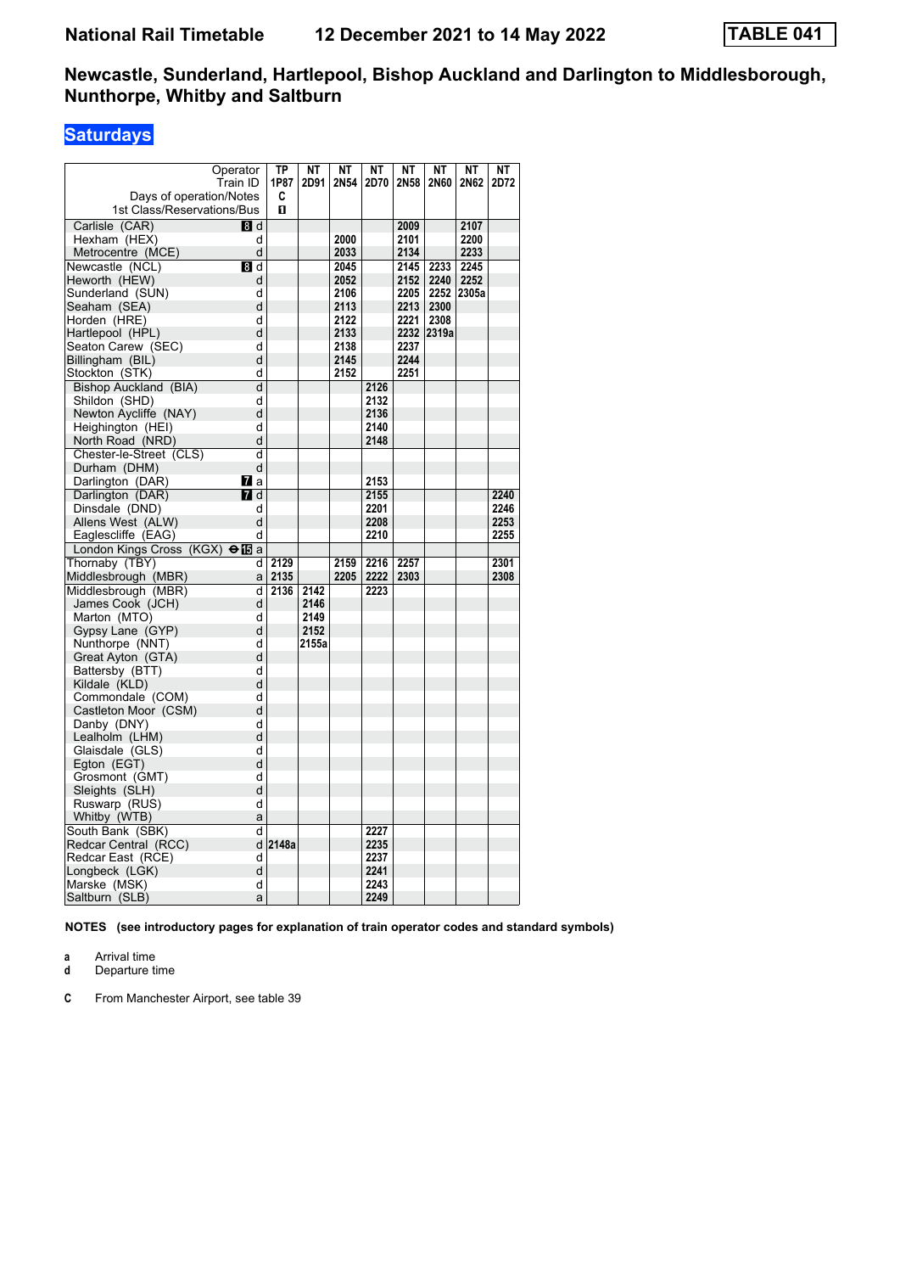# **Saturdays**

| Operator<br>Train ID<br>Days of operation/Notes | ТP<br>1P87<br>C | <b>NT</b><br>2D91 | <b>NT</b><br>2N54 | <b>NT</b><br>2D70 | NT<br>2N58 | <b>NT</b><br>2N60 | NT<br>2N62 | <b>NT</b><br>2D72 |
|-------------------------------------------------|-----------------|-------------------|-------------------|-------------------|------------|-------------------|------------|-------------------|
| 1st Class/Reservations/Bus                      | п               |                   |                   |                   |            |                   |            |                   |
| 8d<br>Carlisle (CAR)                            |                 |                   |                   |                   | 2009       |                   | 2107       |                   |
| Hexham (HEX)<br>d                               |                 |                   | 2000              |                   | 2101       |                   | 2200       |                   |
| Metrocentre (MCE)<br>d                          |                 |                   | 2033              |                   | 2134       |                   | 2233       |                   |
| Newcastle (NCL)<br>8 d                          |                 |                   | 2045              |                   | 2145       | 2233              | 2245       |                   |
| Heworth (HEW)<br>d                              |                 |                   | 2052              |                   | 2152       | 2240              | 2252       |                   |
| Sunderland (SUN)<br>d                           |                 |                   | 2106              |                   | 2205       | 2252              | 2305a      |                   |
| d<br>Seaham (SEA)                               |                 |                   | 2113              |                   | 2213       | 2300              |            |                   |
| Horden (HRE)<br>d                               |                 |                   | 2122              |                   | 2221       | 2308              |            |                   |
| d<br>Hartlepool (HPL)                           |                 |                   | 2133              |                   |            | 2232 2319a        |            |                   |
| Seaton Carew (SEC)<br>d                         |                 |                   | 2138              |                   | 2237       |                   |            |                   |
| Billingham (BIL)<br>d                           |                 |                   | 2145              |                   | 2244       |                   |            |                   |
| Stockton (STK)<br>d                             |                 |                   | 2152              |                   | 2251       |                   |            |                   |
| d<br>Bishop Auckland (BIA)                      |                 |                   |                   | 2126              |            |                   |            |                   |
| Shildon (SHD)<br>d                              |                 |                   |                   | 2132              |            |                   |            |                   |
| Newton Aycliffe (NAY)<br>d                      |                 |                   |                   | 2136              |            |                   |            |                   |
| Heighington (HEI)<br>d                          |                 |                   |                   | 2140              |            |                   |            |                   |
| d<br>North Road (NRD)                           |                 |                   |                   | 2148              |            |                   |            |                   |
| Chester-le-Street (CLS)<br>d                    |                 |                   |                   |                   |            |                   |            |                   |
| d<br>Durham (DHM)                               |                 |                   |                   |                   |            |                   |            |                   |
| Darlington (DAR)<br><b>M</b> a                  |                 |                   |                   | 2153              |            |                   |            |                   |
| Darlington (DAR)<br><b>7</b> d                  |                 |                   |                   | 2155              |            |                   |            | 2240              |
| Dinsdale (DND)<br>d                             |                 |                   |                   | 2201              |            |                   |            | 2246              |
| Allens West (ALW)<br>d                          |                 |                   |                   | 2208              |            |                   |            | 2253              |
| Eaglescliffe (EAG)<br>d                         |                 |                   |                   | 2210              |            |                   |            | 2255              |
| London Kings Cross (KGX) $\bigoplus$ a          |                 |                   |                   |                   |            |                   |            |                   |
| Thornaby (TBY)<br>d                             | 2129            |                   | 2159              | 2216              | 2257       |                   |            | 2301              |
| Middlesbrough (MBR)                             | 2135<br>a       |                   | 2205              | 2222              | 2303       |                   |            | 2308              |
| Middlesbrough (MBR)<br>d                        | 2136            | 2142              |                   | 2223              |            |                   |            |                   |
| James Cook (JCH)<br>d                           |                 | 2146              |                   |                   |            |                   |            |                   |
| Marton (MTO)<br>d                               |                 | 2149              |                   |                   |            |                   |            |                   |
| d<br>Gypsy Lane (GYP)                           |                 | 2152              |                   |                   |            |                   |            |                   |
| Nunthorpe (NNT)<br>d                            |                 | 2155a             |                   |                   |            |                   |            |                   |
| Great Ayton (GTA)<br>d                          |                 |                   |                   |                   |            |                   |            |                   |
| Battersby (BTT)<br>d                            |                 |                   |                   |                   |            |                   |            |                   |
| d<br>Kildale (KLD)                              |                 |                   |                   |                   |            |                   |            |                   |
| Commondale (COM)<br>d<br>d                      |                 |                   |                   |                   |            |                   |            |                   |
| Castleton Moor (CSM)<br>d                       |                 |                   |                   |                   |            |                   |            |                   |
| Danby (DNY)<br>d<br>Lealholm (LHM)              |                 |                   |                   |                   |            |                   |            |                   |
| d<br>Glaisdale (GLS)                            |                 |                   |                   |                   |            |                   |            |                   |
| d<br>Egton (EGT)                                |                 |                   |                   |                   |            |                   |            |                   |
| Grosmont (GMT)<br>d                             |                 |                   |                   |                   |            |                   |            |                   |
| d<br>Sleights (SLH)                             |                 |                   |                   |                   |            |                   |            |                   |
| Ruswarp (RUS)<br>d                              |                 |                   |                   |                   |            |                   |            |                   |
| Whitby (WTB)<br>a                               |                 |                   |                   |                   |            |                   |            |                   |
| South Bank (SBK)<br>d                           |                 |                   |                   | 2227              |            |                   |            |                   |
| Redcar Central (RCC)                            | d 2148a         |                   |                   | 2235              |            |                   |            |                   |
| Redcar East (RCE)<br>d                          |                 |                   |                   | 2237              |            |                   |            |                   |
| d<br>Longbeck (LGK)                             |                 |                   |                   | 2241              |            |                   |            |                   |
| d<br>Marske (MSK)                               |                 |                   |                   | 2243              |            |                   |            |                   |
| Saltburn (SLB)<br>a                             |                 |                   |                   | 2249              |            |                   |            |                   |

**NOTES (see introductory pages for explanation of train operator codes and standard symbols)**

**a** Arrival time<br>**d** Departure t **d** Departure time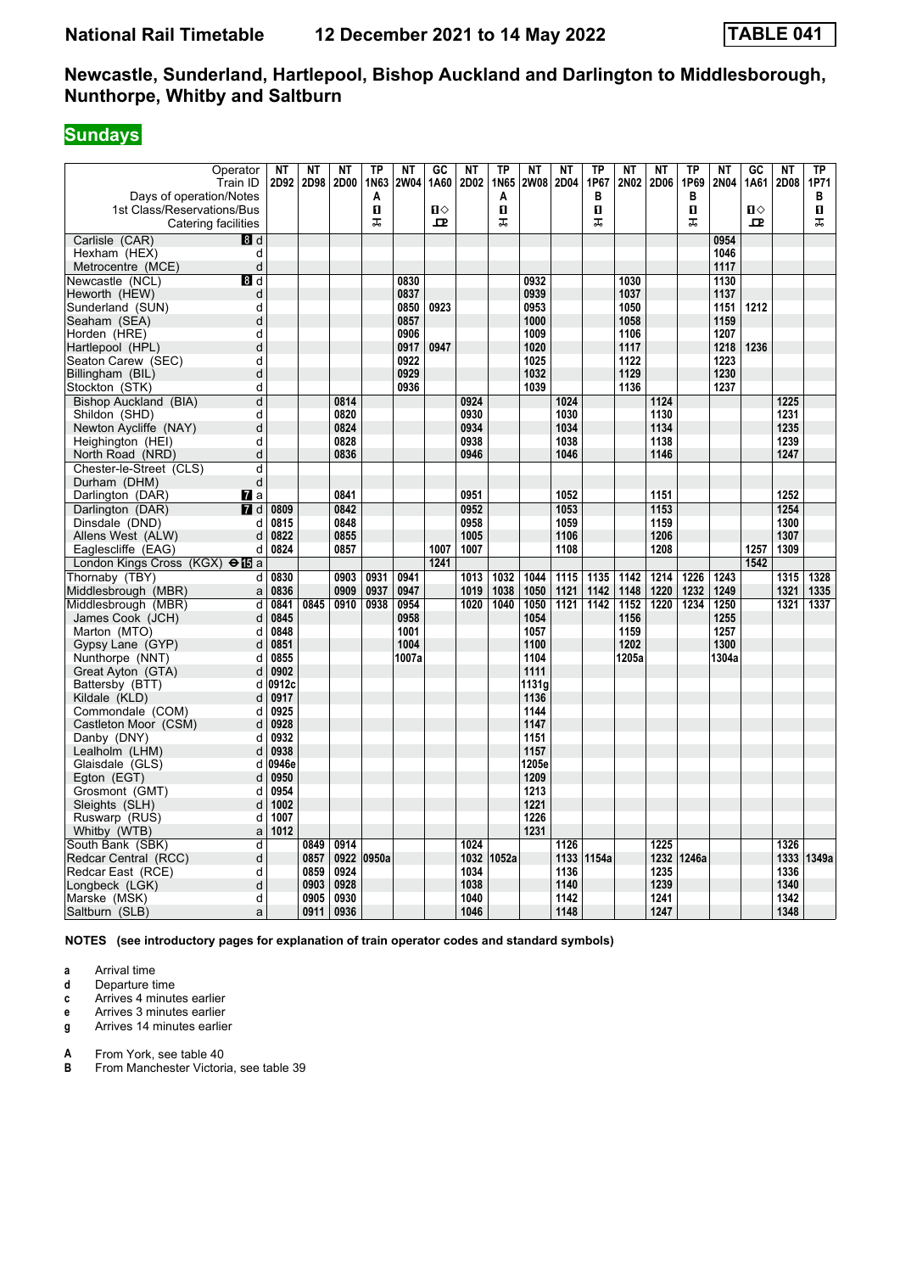# **Sundays**

| Operator<br>Train ID<br>Days of operation/Notes<br>1st Class/Reservations/Bus<br>Catering facilities | ΝT<br>2D92   | ΝT<br>2D98   | <b>NT</b><br>2D00 | <b>TP</b><br>1N63<br>Α<br>п<br>ᠼ | <b>NT</b><br><b>2W04</b> | GC<br>1A60<br>$\blacksquare$<br>모 | <b>NT</b><br>2D02 | <b>TP</b><br>1N65<br>A<br>П<br>ᠼ | NT<br><b>2W08</b> | <b>NT</b><br>2D04 | TP<br>1P67<br>В<br>0<br>ᠼ | <b>NT</b><br>2N02 | <b>NT</b><br>2D06 | <b>TP</b><br>1P69<br>в<br>п<br>ᠼ | <b>NT</b><br>2N04 | GC<br>1A61<br>п⇔<br>$\mathbf{p}$ | <b>NT</b><br>2D08 | TP<br>1P71<br>в<br>п<br>ᠼ |
|------------------------------------------------------------------------------------------------------|--------------|--------------|-------------------|----------------------------------|--------------------------|-----------------------------------|-------------------|----------------------------------|-------------------|-------------------|---------------------------|-------------------|-------------------|----------------------------------|-------------------|----------------------------------|-------------------|---------------------------|
| Carlisle (CAR)<br>8 <sup>d</sup>                                                                     |              |              |                   |                                  |                          |                                   |                   |                                  |                   |                   |                           |                   |                   |                                  | 0954              |                                  |                   |                           |
| Hexham (HEX)<br>d                                                                                    |              |              |                   |                                  |                          |                                   |                   |                                  |                   |                   |                           |                   |                   |                                  | 1046              |                                  |                   |                           |
| Metrocentre (MCE)<br>d                                                                               |              |              |                   |                                  |                          |                                   |                   |                                  |                   |                   |                           |                   |                   |                                  | 1117              |                                  |                   |                           |
| Newcastle (NCL)<br>8 d                                                                               |              |              |                   |                                  | 0830                     |                                   |                   |                                  | 0932              |                   |                           | 1030              |                   |                                  | 1130              |                                  |                   |                           |
| Heworth (HEW)<br>d                                                                                   |              |              |                   |                                  | 0837                     |                                   |                   |                                  | 0939              |                   |                           | 1037              |                   |                                  | 1137              |                                  |                   |                           |
| d                                                                                                    |              |              |                   |                                  | 0850                     | 0923                              |                   |                                  | 0953              |                   |                           | 1050              |                   |                                  | 1151              | 1212                             |                   |                           |
| Sunderland (SUN)<br>d                                                                                |              |              |                   |                                  | 0857                     |                                   |                   |                                  | 1000              |                   |                           | 1058              |                   |                                  | 1159              |                                  |                   |                           |
| Seaham (SEA)<br>Horden (HRE)<br>d                                                                    |              |              |                   |                                  | 0906                     |                                   |                   |                                  | 1009              |                   |                           | 1106              |                   |                                  | 1207              |                                  |                   |                           |
| d                                                                                                    |              |              |                   |                                  | 0917                     | 0947                              |                   |                                  | 1020              |                   |                           | 1117              |                   |                                  | 1218              | 1236                             |                   |                           |
| Hartlepool (HPL)<br>d                                                                                |              |              |                   |                                  | 0922                     |                                   |                   |                                  | 1025              |                   |                           | 1122              |                   |                                  | 1223              |                                  |                   |                           |
| Seaton Carew (SEC)<br>d                                                                              |              |              |                   |                                  | 0929                     |                                   |                   |                                  | 1032              |                   |                           | 1129              |                   |                                  | 1230              |                                  |                   |                           |
| Billingham (BIL)<br>d                                                                                |              |              |                   |                                  | 0936                     |                                   |                   |                                  | 1039              |                   |                           | 1136              |                   |                                  | 1237              |                                  |                   |                           |
| Stockton (STK)<br>d                                                                                  |              |              | 0814              |                                  |                          |                                   | 0924              |                                  |                   |                   |                           |                   |                   |                                  |                   |                                  |                   |                           |
| Bishop Auckland (BIA)                                                                                |              |              |                   |                                  |                          |                                   | 0930              |                                  |                   | 1024<br>1030      |                           |                   | 1124<br>1130      |                                  |                   |                                  | 1225<br>1231      |                           |
| Shildon (SHD)<br>d                                                                                   |              |              | 0820              |                                  |                          |                                   |                   |                                  |                   |                   |                           |                   |                   |                                  |                   |                                  |                   |                           |
| Newton Aycliffe (NAY)<br>d<br>d                                                                      |              |              | 0824<br>0828      |                                  |                          |                                   | 0934<br>0938      |                                  |                   | 1034<br>1038      |                           |                   | 1134<br>1138      |                                  |                   |                                  | 1235<br>1239      |                           |
| Heighington (HEI)<br>d                                                                               |              |              | 0836              |                                  |                          |                                   | 0946              |                                  |                   | 1046              |                           |                   | 1146              |                                  |                   |                                  | 1247              |                           |
| North Road (NRD)                                                                                     |              |              |                   |                                  |                          |                                   |                   |                                  |                   |                   |                           |                   |                   |                                  |                   |                                  |                   |                           |
| Chester-le-Street (CLS)<br>d                                                                         |              |              |                   |                                  |                          |                                   |                   |                                  |                   |                   |                           |                   |                   |                                  |                   |                                  |                   |                           |
| d<br>Durham (DHM)                                                                                    |              |              |                   |                                  |                          |                                   |                   |                                  |                   |                   |                           |                   |                   |                                  |                   |                                  |                   |                           |
| Darlington (DAR)<br><b>7</b> a                                                                       |              |              | 0841              |                                  |                          |                                   | 0951              |                                  |                   | 1052              |                           |                   | 1151              |                                  |                   |                                  | 1252              |                           |
| 7<br>Darlington (DAR)<br>d                                                                           | 0809         |              | 0842              |                                  |                          |                                   | 0952              |                                  |                   | 1053              |                           |                   | 1153              |                                  |                   |                                  | 1254              |                           |
| Dinsdale (DND)<br>d                                                                                  | 0815         |              | 0848              |                                  |                          |                                   | 0958              |                                  |                   | 1059              |                           |                   | 1159              |                                  |                   |                                  | 1300              |                           |
| Allens West (ALW)<br>d                                                                               | 0822         |              | 0855              |                                  |                          |                                   | 1005              |                                  |                   | 1106              |                           |                   | 1206              |                                  |                   |                                  | 1307              |                           |
| d<br>Eaglescliffe (EAG)                                                                              | 0824         |              | 0857              |                                  |                          | 1007                              | 1007              |                                  |                   | 1108              |                           |                   | 1208              |                                  |                   | 1257                             | 1309              |                           |
| London Kings Cross (KGX) $\bigoplus$ <b>B</b> a                                                      |              |              |                   |                                  |                          | 1241                              |                   |                                  |                   |                   |                           |                   |                   |                                  |                   | 1542                             |                   |                           |
| Thornaby (TBY)<br>d                                                                                  | 0830         |              | 0903              | 0931                             | 0941                     |                                   | 1013              | 1032                             | 1044              | 1115              | 1135                      | 1142              | 1214              | 1226                             | 1243              |                                  | 1315              | 1328                      |
| Middlesbrough (MBR)<br>a                                                                             | 0836         |              | 0909              | 0937                             | 0947                     |                                   | 1019              | 1038                             | 1050              | 1121              | 1142                      | 1148              | 1220              | 1232                             | 1249              |                                  | 1321              | 1335                      |
| Middlesbrough (MBR)<br>d                                                                             | 0841         | 0845         | 0910              | 0938                             | 0954                     |                                   | 1020              | 1040                             | 1050              | 1121              | 1142                      | 1152              | 1220              | 1234                             | 1250              |                                  | 1321              | 1337                      |
| James Cook (JCH)<br>d                                                                                | 0845         |              |                   |                                  | 0958                     |                                   |                   |                                  | 1054              |                   |                           | 1156              |                   |                                  | 1255              |                                  |                   |                           |
| d<br>Marton (MTO)                                                                                    | 0848         |              |                   |                                  | 1001                     |                                   |                   |                                  | 1057              |                   |                           | 1159              |                   |                                  | 1257              |                                  |                   |                           |
| d<br>Gypsy Lane (GYP)                                                                                | 0851         |              |                   |                                  | 1004                     |                                   |                   |                                  | 1100              |                   |                           | 1202              |                   |                                  | 1300              |                                  |                   |                           |
| Nunthorpe (NNT)<br>d                                                                                 | 0855         |              |                   |                                  | 1007a                    |                                   |                   |                                  | 1104              |                   |                           | 1205a             |                   |                                  | 1304a             |                                  |                   |                           |
| d<br>Great Ayton (GTA)                                                                               | 0902         |              |                   |                                  |                          |                                   |                   |                                  | 1111              |                   |                           |                   |                   |                                  |                   |                                  |                   |                           |
| Battersby (BTT)<br>d                                                                                 | 0912c        |              |                   |                                  |                          |                                   |                   |                                  | 1131a             |                   |                           |                   |                   |                                  |                   |                                  |                   |                           |
| Kildale (KLD)<br>d                                                                                   | 0917         |              |                   |                                  |                          |                                   |                   |                                  | 1136              |                   |                           |                   |                   |                                  |                   |                                  |                   |                           |
| Commondale (COM)<br>d                                                                                | 0925         |              |                   |                                  |                          |                                   |                   |                                  | 1144              |                   |                           |                   |                   |                                  |                   |                                  |                   |                           |
| d<br>Castleton Moor (CSM)                                                                            | 0928         |              |                   |                                  |                          |                                   |                   |                                  | 1147              |                   |                           |                   |                   |                                  |                   |                                  |                   |                           |
| Danby (DNY)<br>d                                                                                     | 0932         |              |                   |                                  |                          |                                   |                   |                                  | 1151              |                   |                           |                   |                   |                                  |                   |                                  |                   |                           |
| Lealholm (LHM)<br>d                                                                                  | 0938         |              |                   |                                  |                          |                                   |                   |                                  | 1157              |                   |                           |                   |                   |                                  |                   |                                  |                   |                           |
| Glaisdale (GLS)<br>d                                                                                 | 0946e        |              |                   |                                  |                          |                                   |                   |                                  | 1205e             |                   |                           |                   |                   |                                  |                   |                                  |                   |                           |
| d<br>Egton (EGT)                                                                                     | 0950<br>0954 |              |                   |                                  |                          |                                   |                   |                                  | 1209<br>1213      |                   |                           |                   |                   |                                  |                   |                                  |                   |                           |
| Grosmont (GMT)<br>d                                                                                  |              |              |                   |                                  |                          |                                   |                   |                                  |                   |                   |                           |                   |                   |                                  |                   |                                  |                   |                           |
| Sleights (SLH)<br>d                                                                                  | 1002         |              |                   |                                  |                          |                                   |                   |                                  | 1221<br>1226      |                   |                           |                   |                   |                                  |                   |                                  |                   |                           |
| d<br>Ruswarp (RUS)                                                                                   | 1007         |              |                   |                                  |                          |                                   |                   |                                  |                   |                   |                           |                   |                   |                                  |                   |                                  |                   |                           |
| Whitby (WTB)<br>a                                                                                    | 1012         |              |                   |                                  |                          |                                   |                   |                                  | 1231              |                   |                           |                   |                   |                                  |                   |                                  |                   |                           |
| South Bank (SBK)<br>d                                                                                |              | 0849         | 0914              |                                  |                          |                                   | 1024              |                                  |                   | 1126              |                           |                   | 1225              |                                  |                   |                                  | 1326              |                           |
| Redcar Central (RCC)<br>d                                                                            |              | 0857         | 0924              | 0922 0950a                       |                          |                                   | 1032              | 1052a                            |                   | 1133              | 1154a                     |                   | 1232              | 1246a                            |                   |                                  | 1333              | 1349a                     |
| Redcar East (RCE)<br>d                                                                               |              | 0859         | 0928              |                                  |                          |                                   | 1034<br>1038      |                                  |                   | 1136              |                           |                   | 1235              |                                  |                   |                                  | 1336<br>1340      |                           |
| d<br>Longbeck (LGK)                                                                                  |              | 0903         | 0930              |                                  |                          |                                   | 1040              |                                  |                   | 1140              |                           |                   | 1239              |                                  |                   |                                  |                   |                           |
| Marske (MSK)<br>d                                                                                    |              | 0905<br>0911 | 0936              |                                  |                          |                                   | 1046              |                                  |                   | 1142              |                           |                   | 1241              |                                  |                   |                                  | 1342<br>1348      |                           |
| Saltburn (SLB)<br>a                                                                                  |              |              |                   |                                  |                          |                                   |                   |                                  |                   | 1148              |                           |                   | 1247              |                                  |                   |                                  |                   |                           |

**NOTES (see introductory pages for explanation of train operator codes and standard symbols)**

**a** Arrival time<br>**d** Departure ti

- **d** Departure time
- **c** Arrives 4 minutes earlier
- **e** Arrives 3 minutes earlier<br>**g** Arrives 14 minutes earlie
- **g** Arrives 14 minutes earlier

**A** From York, see table 40<br>**B** From Manchester Victori

From Manchester Victoria, see table 39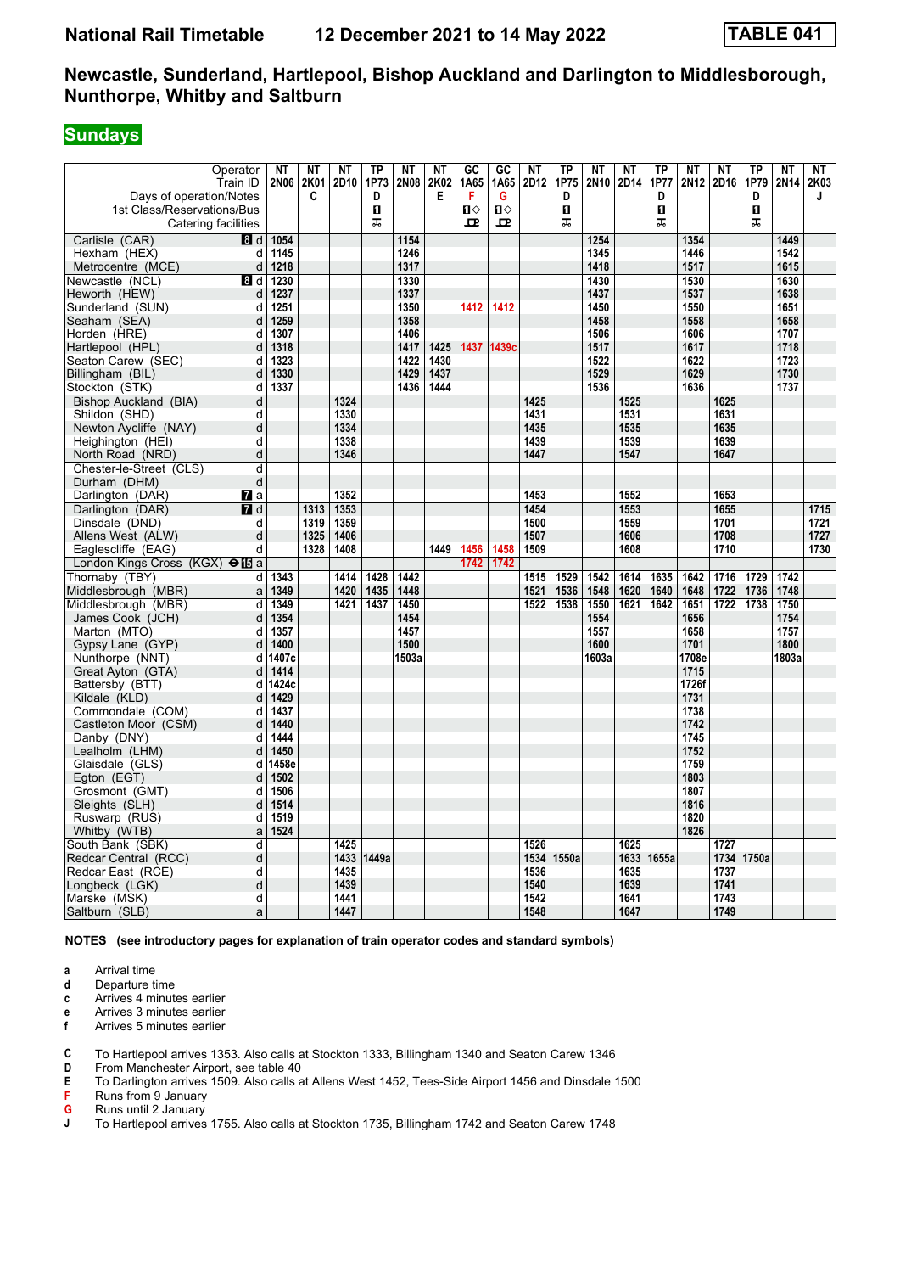### **Sundays**

| Operator<br>Train ID<br>Days of operation/Notes   | <b>NT</b><br><b>2N06</b> | NT<br>2K01<br>C | <b>NT</b><br>2D10 | TP<br>1P73<br>D | <b>NT</b><br><b>2N08</b> | <b>NT</b><br>2K02<br>Е | GC<br>1A65<br>F | GC<br>1A65<br>G | <b>NT</b><br>2D12 | TP<br>1P75<br>D | <b>NT</b><br>2N10 | <b>NT</b><br>2D14 | <b>TP</b><br>1P77<br>D | <b>NT</b><br>2N12 | <b>NT</b><br>2D16 | <b>TP</b><br>1P79<br>D | <b>NT</b><br>2N <sub>14</sub> | NΤ<br>2K03<br>J |
|---------------------------------------------------|--------------------------|-----------------|-------------------|-----------------|--------------------------|------------------------|-----------------|-----------------|-------------------|-----------------|-------------------|-------------------|------------------------|-------------------|-------------------|------------------------|-------------------------------|-----------------|
| 1st Class/Reservations/Bus<br>Catering facilities |                          |                 |                   | O<br>ᠼ          |                          |                        | п⇔<br>모         | Ⅱ♦<br>모         |                   | П<br>ᠼ          |                   |                   | п<br>ᠼ                 |                   |                   | O<br>ᠼ                 |                               |                 |
| Carlisle (CAR)<br>8d                              | 1054                     |                 |                   |                 | 1154                     |                        |                 |                 |                   |                 | 1254              |                   |                        | 1354              |                   |                        | 1449                          |                 |
| d<br>Hexham (HEX)                                 | 1145                     |                 |                   |                 | 1246                     |                        |                 |                 |                   |                 | 1345              |                   |                        | 1446              |                   |                        | 1542                          |                 |
| Metrocentre (MCE)<br>d                            | 1218                     |                 |                   |                 | 1317                     |                        |                 |                 |                   |                 | 1418              |                   |                        | 1517              |                   |                        | 1615                          |                 |
| Newcastle (NCL)<br>8 d                            | 1230                     |                 |                   |                 | 1330                     |                        |                 |                 |                   |                 | 1430              |                   |                        | 1530              |                   |                        | 1630                          |                 |
| Heworth (HEW)<br>d                                | 1237                     |                 |                   |                 | 1337                     |                        |                 |                 |                   |                 | 1437              |                   |                        | 1537              |                   |                        | 1638                          |                 |
| Sunderland (SUN)<br>d                             | 1251                     |                 |                   |                 | 1350                     |                        | 1412            | 1412            |                   |                 | 1450              |                   |                        | 1550              |                   |                        | 1651                          |                 |
| Seaham (SEA)<br>d                                 | 1259                     |                 |                   |                 | 1358                     |                        |                 |                 |                   |                 | 1458              |                   |                        | 1558              |                   |                        | 1658                          |                 |
| Horden (HRE)<br>d                                 | 1307                     |                 |                   |                 | 1406                     |                        |                 |                 |                   |                 | 1506              |                   |                        | 1606              |                   |                        | 1707                          |                 |
| d<br>Hartlepool (HPL)                             | 1318                     |                 |                   |                 | 1417                     | 1425                   | 1437            | 1439c           |                   |                 | 1517              |                   |                        | 1617              |                   |                        | 1718                          |                 |
| Seaton Carew (SEC)<br>d                           | 1323                     |                 |                   |                 | 1422                     | 1430                   |                 |                 |                   |                 | 1522              |                   |                        | 1622              |                   |                        | 1723                          |                 |
| Billingham (BIL)<br>d                             | 1330                     |                 |                   |                 | 1429                     | 1437                   |                 |                 |                   |                 | 1529              |                   |                        | 1629              |                   |                        | 1730                          |                 |
| Stockton (STK)<br>d                               | 1337                     |                 |                   |                 | 1436                     | 1444                   |                 |                 |                   |                 | 1536              |                   |                        | 1636              |                   |                        | 1737                          |                 |
| Bishop Auckland (BIA)<br>d                        |                          |                 | 1324              |                 |                          |                        |                 |                 | 1425              |                 |                   | 1525              |                        |                   | 1625              |                        |                               |                 |
| Shildon (SHD)<br>d                                |                          |                 | 1330              |                 |                          |                        |                 |                 | 1431              |                 |                   | 1531              |                        |                   | 1631              |                        |                               |                 |
| d<br>Newton Aycliffe (NAY)                        |                          |                 | 1334              |                 |                          |                        |                 |                 | 1435              |                 |                   | 1535              |                        |                   | 1635              |                        |                               |                 |
| d<br>Heighington (HEI)                            |                          |                 | 1338              |                 |                          |                        |                 |                 | 1439              |                 |                   | 1539              |                        |                   | 1639              |                        |                               |                 |
| d<br>North Road (NRD)                             |                          |                 | 1346              |                 |                          |                        |                 |                 | 1447              |                 |                   | 1547              |                        |                   | 1647              |                        |                               |                 |
| d<br>Chester-le-Street (CLS)                      |                          |                 |                   |                 |                          |                        |                 |                 |                   |                 |                   |                   |                        |                   |                   |                        |                               |                 |
| Durham (DHM)<br>d                                 |                          |                 |                   |                 |                          |                        |                 |                 |                   |                 |                   |                   |                        |                   |                   |                        |                               |                 |
| Darlington (DAR)<br><b>7</b> a                    |                          |                 | 1352              |                 |                          |                        |                 |                 | 1453              |                 |                   | 1552              |                        |                   | 1653              |                        |                               |                 |
| Darlington (DAR)<br>7d                            |                          | 1313            | 1353              |                 |                          |                        |                 |                 | 1454              |                 |                   | 1553              |                        |                   | 1655              |                        |                               | 1715            |
| Dinsdale (DND)<br>d                               |                          | 1319            | 1359              |                 |                          |                        |                 |                 | 1500              |                 |                   | 1559              |                        |                   | 1701              |                        |                               | 1721            |
| d<br>Allens West (ALW)                            |                          | 1325            | 1406              |                 |                          |                        |                 |                 | 1507              |                 |                   | 1606              |                        |                   | 1708              |                        |                               | 1727            |
| d<br>Eaglescliffe (EAG)                           |                          | 1328            | 1408              |                 |                          | 1449                   | 1456            | 1458            | 1509              |                 |                   | 1608              |                        |                   | 1710              |                        |                               | 1730            |
| London Kings Cross (KGX) $\Theta$ <b>is</b> a     |                          |                 |                   |                 |                          |                        | 1742            | 1742            |                   |                 |                   |                   |                        |                   |                   |                        |                               |                 |
| Thornaby (TBY)<br>d                               | 1343                     |                 | 1414              | 1428            | 1442                     |                        |                 |                 | 1515              | 1529            | 1542              | 1614              | 1635                   | 1642              | 1716              | 1729                   | 1742                          |                 |
| Middlesbrough (MBR)<br>a                          | 1349                     |                 | 1420              | 1435            | 1448                     |                        |                 |                 | 1521              | 1536            | 1548              | 1620              | 1640                   | 1648              | 1722              | 1736                   | 1748                          |                 |
| Middlesbrough (MBR)<br>d                          | 1349                     |                 | 1421              | 1437            | 1450                     |                        |                 |                 | 1522              | 1538            | 1550              | 1621              | 1642                   | 1651              | 1722              | 1738                   | 1750                          |                 |
| James Cook (JCH)<br>d                             | 1354                     |                 |                   |                 | 1454                     |                        |                 |                 |                   |                 | 1554              |                   |                        | 1656              |                   |                        | 1754                          |                 |
| Marton (MTO)<br>d                                 | 1357                     |                 |                   |                 | 1457                     |                        |                 |                 |                   |                 | 1557              |                   |                        | 1658              |                   |                        | 1757                          |                 |
| Gypsy Lane (GYP)<br>d                             | 1400                     |                 |                   |                 | 1500                     |                        |                 |                 |                   |                 | 1600              |                   |                        | 1701              |                   |                        | 1800                          |                 |
| Nunthorpe (NNT)<br>d                              | 1407c                    |                 |                   |                 | 1503a                    |                        |                 |                 |                   |                 | 1603a             |                   |                        | 1708e             |                   |                        | 1803a                         |                 |
| Great Ayton (GTA)<br>d                            | 1414                     |                 |                   |                 |                          |                        |                 |                 |                   |                 |                   |                   |                        | 1715              |                   |                        |                               |                 |
| Battersby (BTT)<br>d                              | 1424c                    |                 |                   |                 |                          |                        |                 |                 |                   |                 |                   |                   |                        | 1726f             |                   |                        |                               |                 |
| Kildale (KLD)<br>d                                | 1429                     |                 |                   |                 |                          |                        |                 |                 |                   |                 |                   |                   |                        | 1731              |                   |                        |                               |                 |
| Commondale (COM)<br>d                             | 1437                     |                 |                   |                 |                          |                        |                 |                 |                   |                 |                   |                   |                        | 1738              |                   |                        |                               |                 |
| Castleton Moor (CSM)<br>d                         | 1440                     |                 |                   |                 |                          |                        |                 |                 |                   |                 |                   |                   |                        | 1742              |                   |                        |                               |                 |
| Danby (DNY)<br>d                                  | 1444                     |                 |                   |                 |                          |                        |                 |                 |                   |                 |                   |                   |                        | 1745              |                   |                        |                               |                 |
| Lealholm (LHM)<br>d                               | 1450                     |                 |                   |                 |                          |                        |                 |                 |                   |                 |                   |                   |                        | 1752              |                   |                        |                               |                 |
| Glaisdale (GLS)<br>d                              | 1458e                    |                 |                   |                 |                          |                        |                 |                 |                   |                 |                   |                   |                        | 1759              |                   |                        |                               |                 |
| Egton (EGT)<br>d                                  | 1502                     |                 |                   |                 |                          |                        |                 |                 |                   |                 |                   |                   |                        | 1803              |                   |                        |                               |                 |
| d<br>Grosmont (GMT)                               | 1506                     |                 |                   |                 |                          |                        |                 |                 |                   |                 |                   |                   |                        | 1807              |                   |                        |                               |                 |
| Sleights (SLH)<br>d                               | 1514                     |                 |                   |                 |                          |                        |                 |                 |                   |                 |                   |                   |                        | 1816              |                   |                        |                               |                 |
| d<br>Ruswarp (RUS)                                | 1519                     |                 |                   |                 |                          |                        |                 |                 |                   |                 |                   |                   |                        | 1820              |                   |                        |                               |                 |
| Whitby (WTB)<br>a                                 | 1524                     |                 |                   |                 |                          |                        |                 |                 |                   |                 |                   |                   |                        | 1826              |                   |                        |                               |                 |
| South Bank (SBK)<br>d                             |                          |                 | 1425              |                 |                          |                        |                 |                 | 1526              |                 |                   | 1625              |                        |                   | 1727              |                        |                               |                 |
| Redcar Central (RCC)<br>d                         |                          |                 |                   | 1433 1449a      |                          |                        |                 |                 | 1534              | 1550a           |                   | 1633              | 1655a                  |                   | 1734              | 1750a                  |                               |                 |
| d<br>Redcar East (RCE)                            |                          |                 | 1435              |                 |                          |                        |                 |                 | 1536              |                 |                   | 1635              |                        |                   | 1737              |                        |                               |                 |
| d<br>Longbeck (LGK)                               |                          |                 | 1439              |                 |                          |                        |                 |                 | 1540              |                 |                   | 1639              |                        |                   | 1741              |                        |                               |                 |
| d<br>Marske (MSK)                                 |                          |                 | 1441              |                 |                          |                        |                 |                 | 1542              |                 |                   | 1641              |                        |                   | 1743              |                        |                               |                 |
| Saltburn (SLB)<br>a                               |                          |                 | 1447              |                 |                          |                        |                 |                 | 1548              |                 |                   | 1647              |                        |                   | 1749              |                        |                               |                 |

**NOTES (see introductory pages for explanation of train operator codes and standard symbols)**

- **a** Arrival time<br>**d** Departure t
- **d** Departure time
- **c** Arrives 4 minutes earlier
- **e** Arrives 3 minutes earlier<br>**f** Arrives 5 minutes earlier
- **f** Arrives 5 minutes earlier
- **C** To Hartlepool arrives 1353. Also calls at Stockton 1333, Billingham 1340 and Seaton Carew 1346<br>**D** From Manchester Airport, see table 40
- **D** From Manchester Airport, see table 40<br>**E** To Darlington arrives 1509. Also calls a
- **E** To Darlington arrives 1509. Also calls at Allens West 1452, Tees-Side Airport 1456 and Dinsdale 1500<br>**F** Runs from 9 January
- **Runs from 9 January**
- **6** Runs until 2 January<br>**J** To Hartlepool arrives
- To Hartlepool arrives 1755. Also calls at Stockton 1735, Billingham 1742 and Seaton Carew 1748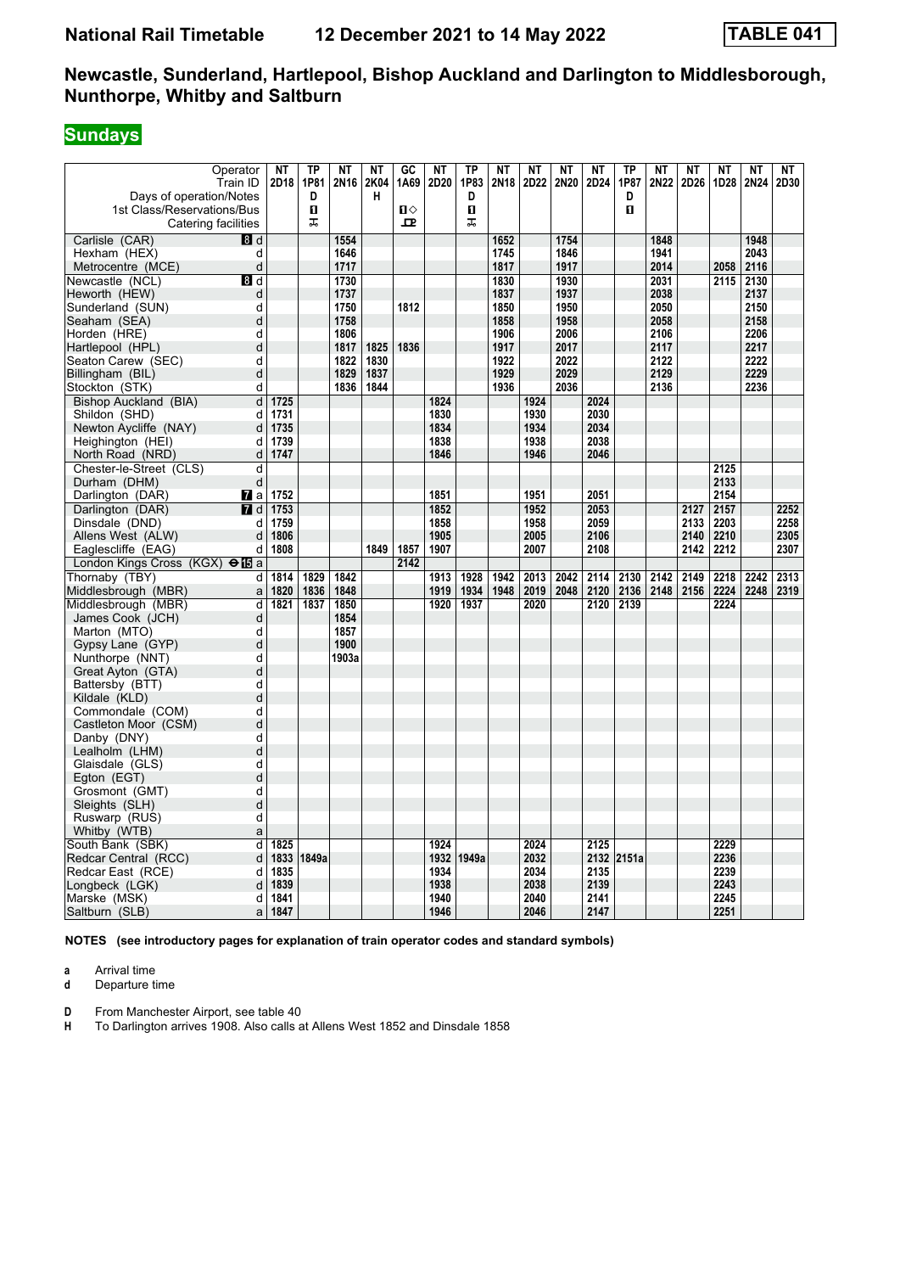# **Sundays**

| Operator<br>Train ID<br>Days of operation/Notes<br>1st Class/Reservations/Bus<br>Catering facilities | <b>NT</b><br>2D18 | <b>TP</b><br>1P81<br>D<br>O<br>ᠼ | <b>NT</b><br>2N16 | <b>NT</b><br>2K04<br>н | GC<br>1A69<br>п⇔<br>모 | <b>NT</b><br>2D20 | <b>TP</b><br>1P83<br>D<br>п<br>ᠼ | <b>NT</b><br>2N18 | <b>NT</b><br>2D22 | <b>NT</b><br>2N20 | <b>NT</b><br>2D24 | <b>TP</b><br>1P87<br>D<br>п | <b>NT</b><br>2N22 | <b>NT</b><br>2D26 | <b>NT</b><br>1D28 | <b>NT</b><br>2N24 | ΝT<br>2D30 |
|------------------------------------------------------------------------------------------------------|-------------------|----------------------------------|-------------------|------------------------|-----------------------|-------------------|----------------------------------|-------------------|-------------------|-------------------|-------------------|-----------------------------|-------------------|-------------------|-------------------|-------------------|------------|
| Carlisle (CAR)<br>8 <sup>d</sup>                                                                     |                   |                                  | 1554              |                        |                       |                   |                                  | 1652              |                   | 1754              |                   |                             | 1848              |                   |                   | 1948              |            |
| Hexham (HEX)<br>d                                                                                    |                   |                                  | 1646              |                        |                       |                   |                                  | 1745              |                   | 1846              |                   |                             | 1941              |                   |                   | 2043              |            |
| d<br>Metrocentre (MCE)                                                                               |                   |                                  | 1717              |                        |                       |                   |                                  | 1817              |                   | 1917              |                   |                             | 2014              |                   | 2058              | 2116              |            |
| Newcastle (NCL)<br>8d                                                                                |                   |                                  | 1730              |                        |                       |                   |                                  | 1830              |                   | 1930              |                   |                             | 2031              |                   | 2115              | 2130              |            |
| Heworth (HEW)<br>d                                                                                   |                   |                                  | 1737              |                        |                       |                   |                                  | 1837              |                   | 1937              |                   |                             | 2038              |                   |                   | 2137              |            |
| Sunderland (SUN)<br>d                                                                                |                   |                                  | 1750              |                        | 1812                  |                   |                                  | 1850              |                   | 1950              |                   |                             | 2050              |                   |                   | 2150              |            |
| Seaham (SEA)<br>d                                                                                    |                   |                                  | 1758              |                        |                       |                   |                                  | 1858              |                   | 1958              |                   |                             | 2058              |                   |                   | 2158              |            |
| Horden (HRE)<br>d                                                                                    |                   |                                  | 1806              |                        |                       |                   |                                  | 1906              |                   | 2006              |                   |                             | 2106              |                   |                   | 2206              |            |
| d<br>Hartlepool (HPL)                                                                                |                   |                                  | 1817              | 1825                   | 1836                  |                   |                                  | 1917              |                   | 2017              |                   |                             | 2117              |                   |                   | 2217              |            |
| Seaton Carew (SEC)<br>d                                                                              |                   |                                  | 1822              | 1830                   |                       |                   |                                  | 1922              |                   | 2022              |                   |                             | 2122              |                   |                   | 2222              |            |
| d<br>Billingham (BIL)                                                                                |                   |                                  | 1829              | 1837                   |                       |                   |                                  | 1929              |                   | 2029              |                   |                             | 2129              |                   |                   | 2229              |            |
| Stockton (STK)<br>d                                                                                  |                   |                                  | 1836              | 1844                   |                       |                   |                                  | 1936              |                   | 2036              |                   |                             | 2136              |                   |                   | 2236              |            |
| Bishop Auckland (BIA)<br>d                                                                           | 1725              |                                  |                   |                        |                       | 1824              |                                  |                   | 1924              |                   | 2024              |                             |                   |                   |                   |                   |            |
| Shildon (SHD)<br>d                                                                                   | 1731              |                                  |                   |                        |                       | 1830              |                                  |                   | 1930              |                   | 2030              |                             |                   |                   |                   |                   |            |
| Newton Aycliffe (NAY)<br>d                                                                           | 1735              |                                  |                   |                        |                       | 1834              |                                  |                   | 1934              |                   | 2034              |                             |                   |                   |                   |                   |            |
| Heighington (HEI)<br>d                                                                               | 1739              |                                  |                   |                        |                       | 1838              |                                  |                   | 1938              |                   | 2038              |                             |                   |                   |                   |                   |            |
| North Road (NRD)<br>d                                                                                | 1747              |                                  |                   |                        |                       | 1846              |                                  |                   | 1946              |                   | 2046              |                             |                   |                   |                   |                   |            |
| Chester-le-Street (CLS)<br>d                                                                         |                   |                                  |                   |                        |                       |                   |                                  |                   |                   |                   |                   |                             |                   |                   | 2125              |                   |            |
| d<br>Durham (DHM)                                                                                    |                   |                                  |                   |                        |                       |                   |                                  |                   |                   |                   |                   |                             |                   |                   | 2133              |                   |            |
| Darlington (DAR)<br>77 a                                                                             | 1752              |                                  |                   |                        |                       | 1851              |                                  |                   | 1951              |                   | 2051              |                             |                   |                   | 2154              |                   |            |
| Darlington (DAR)<br>$\blacksquare$ d                                                                 | 1753              |                                  |                   |                        |                       | 1852              |                                  |                   | 1952              |                   | 2053              |                             |                   | 2127              | 2157              |                   | 2252       |
| Dinsdale (DND)<br>d                                                                                  | 1759              |                                  |                   |                        |                       | 1858              |                                  |                   | 1958              |                   | 2059              |                             |                   | 2133              | 2203              |                   | 2258       |
| Allens West (ALW)<br>d                                                                               | 1806              |                                  |                   |                        |                       | 1905              |                                  |                   | 2005              |                   | 2106              |                             |                   | 2140              | 2210              |                   | 2305       |
| Eaglescliffe (EAG)<br>d                                                                              | 1808              |                                  |                   | 1849                   | 1857                  | 1907              |                                  |                   | 2007              |                   | 2108              |                             |                   | 2142              | 2212              |                   | 2307       |
| London Kings Cross (KGX) $\Theta$ <b>is</b> a                                                        |                   |                                  |                   |                        | 2142                  |                   |                                  |                   |                   |                   |                   |                             |                   |                   |                   |                   |            |
| Thornaby (TBY)<br>d                                                                                  | 1814              | 1829                             | 1842              |                        |                       | 1913              | 1928                             | 1942              | 2013              | 2042              | 2114              | 2130                        | 2142              | 2149              | 2218              | 2242              | 2313       |
| Middlesbrough (MBR)<br>a                                                                             | 1820              | 1836                             | 1848              |                        |                       | 1919              | 1934                             | 1948              | 2019              | 2048              | 2120              | 2136                        | 2148              | 2156              | 2224              | 2248              | 2319       |
| Middlesbrough (MBR)<br>d                                                                             | 1821              | 1837                             | 1850              |                        |                       | 1920              | 1937                             |                   | 2020              |                   | 2120              | 2139                        |                   |                   | 2224              |                   |            |
| James Cook (JCH)<br>d                                                                                |                   |                                  | 1854              |                        |                       |                   |                                  |                   |                   |                   |                   |                             |                   |                   |                   |                   |            |
| Marton (MTO)<br>d                                                                                    |                   |                                  | 1857              |                        |                       |                   |                                  |                   |                   |                   |                   |                             |                   |                   |                   |                   |            |
| d<br>Gypsy Lane (GYP)                                                                                |                   |                                  | 1900              |                        |                       |                   |                                  |                   |                   |                   |                   |                             |                   |                   |                   |                   |            |
| d<br>Nunthorpe (NNT)                                                                                 |                   |                                  | 1903a             |                        |                       |                   |                                  |                   |                   |                   |                   |                             |                   |                   |                   |                   |            |
| Great Ayton (GTA)<br>d                                                                               |                   |                                  |                   |                        |                       |                   |                                  |                   |                   |                   |                   |                             |                   |                   |                   |                   |            |
| d<br>Battersby (BTT)                                                                                 |                   |                                  |                   |                        |                       |                   |                                  |                   |                   |                   |                   |                             |                   |                   |                   |                   |            |
| d<br>Kildale (KLD)                                                                                   |                   |                                  |                   |                        |                       |                   |                                  |                   |                   |                   |                   |                             |                   |                   |                   |                   |            |
| Commondale (COM)<br>d                                                                                |                   |                                  |                   |                        |                       |                   |                                  |                   |                   |                   |                   |                             |                   |                   |                   |                   |            |
| d<br>Castleton Moor (CSM)                                                                            |                   |                                  |                   |                        |                       |                   |                                  |                   |                   |                   |                   |                             |                   |                   |                   |                   |            |
| Danby (DNY)<br>d                                                                                     |                   |                                  |                   |                        |                       |                   |                                  |                   |                   |                   |                   |                             |                   |                   |                   |                   |            |
| d<br>Lealholm (LHM)                                                                                  |                   |                                  |                   |                        |                       |                   |                                  |                   |                   |                   |                   |                             |                   |                   |                   |                   |            |
| d<br>Glaisdale (GLS)                                                                                 |                   |                                  |                   |                        |                       |                   |                                  |                   |                   |                   |                   |                             |                   |                   |                   |                   |            |
| d<br>Egton (EGT)                                                                                     |                   |                                  |                   |                        |                       |                   |                                  |                   |                   |                   |                   |                             |                   |                   |                   |                   |            |
| d<br>Grosmont (GMT)                                                                                  |                   |                                  |                   |                        |                       |                   |                                  |                   |                   |                   |                   |                             |                   |                   |                   |                   |            |
| d<br>Sleights (SLH)                                                                                  |                   |                                  |                   |                        |                       |                   |                                  |                   |                   |                   |                   |                             |                   |                   |                   |                   |            |
| d<br>Ruswarp (RUS)                                                                                   |                   |                                  |                   |                        |                       |                   |                                  |                   |                   |                   |                   |                             |                   |                   |                   |                   |            |
| Whitby (WTB)<br>a                                                                                    |                   |                                  |                   |                        |                       |                   |                                  |                   |                   |                   |                   |                             |                   |                   |                   |                   |            |
| d<br>South Bank (SBK)                                                                                | 1825              |                                  |                   |                        |                       | 1924              |                                  |                   | 2024              |                   | 2125              |                             |                   |                   | 2229              |                   |            |
| Redcar Central (RCC)<br>d                                                                            | 1833              | 1849a                            |                   |                        |                       | 1932              | 1949a                            |                   | 2032              |                   |                   | 2132 2151a                  |                   |                   | 2236              |                   |            |
| Redcar East (RCE)<br>d                                                                               | 1835              |                                  |                   |                        |                       | 1934              |                                  |                   | 2034              |                   | 2135              |                             |                   |                   | 2239              |                   |            |
| Longbeck (LGK)<br>d                                                                                  | 1839              |                                  |                   |                        |                       | 1938              |                                  |                   | 2038              |                   | 2139              |                             |                   |                   | 2243              |                   |            |
| Marske (MSK)<br>d                                                                                    | 1841              |                                  |                   |                        |                       | 1940              |                                  |                   | 2040              |                   | 2141              |                             |                   |                   | 2245              |                   |            |
| Saltburn (SLB)<br>a                                                                                  | 1847              |                                  |                   |                        |                       | 1946              |                                  |                   | 2046              |                   | 2147              |                             |                   |                   | 2251              |                   |            |

**NOTES (see introductory pages for explanation of train operator codes and standard symbols)**

**a** Arrival time<br>**d** Departure t

**d** Departure time

**D** From Manchester Airport, see table 40<br>**H** To Darlington arrives 1908. Also calls a

To Darlington arrives 1908. Also calls at Allens West 1852 and Dinsdale 1858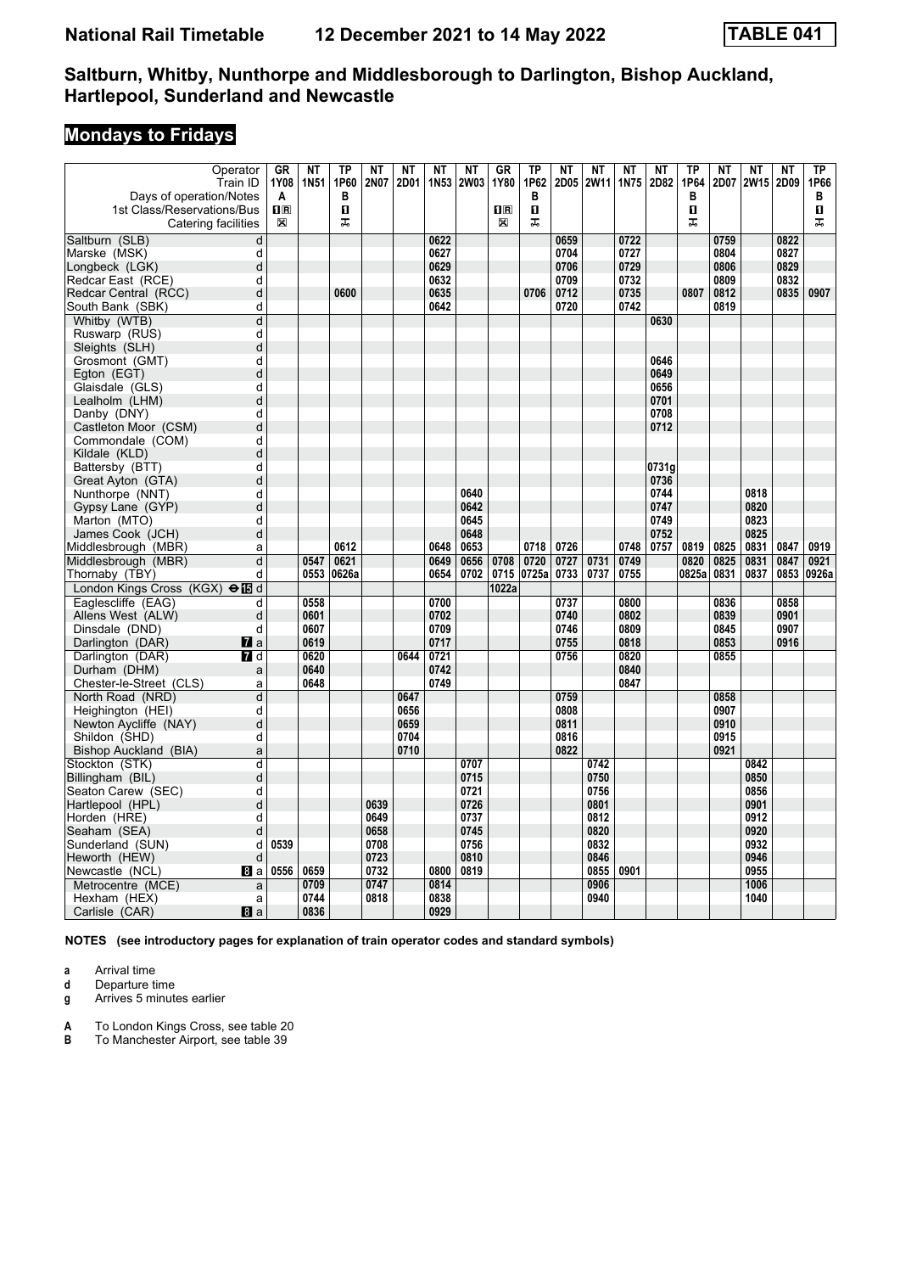# **Mondays to Fridays**

| Operator                                      | <b>GR</b>      | <b>NT</b>   | <b>TP</b> | <b>NT</b>    | <b>NT</b> | $N$ T            | <b>NT</b>    | <b>GR</b>          | $\overline{TP}$ | <b>NT</b> | <b>NT</b>    | <b>NT</b>   | <b>NT</b>    | TP    | <b>NT</b> | <b>NT</b>    | <b>NT</b> | <b>TP</b> |
|-----------------------------------------------|----------------|-------------|-----------|--------------|-----------|------------------|--------------|--------------------|-----------------|-----------|--------------|-------------|--------------|-------|-----------|--------------|-----------|-----------|
| Train ID                                      | 1Y08           | <b>1N51</b> | 1P60      | 2N07         | 2D01      | 1N <sub>53</sub> | <b>2W03</b>  | 1Y80               | 1P62            | 2D05      | 2W11         | <b>1N75</b> | 2D82         | 1P64  | 2D07      | <b>2W15</b>  | 2D09      | 1P66      |
| Days of operation/Notes                       | A              |             | в         |              |           |                  |              |                    | в               |           |              |             |              | в     |           |              |           | в         |
| 1st Class/Reservations/Bus                    | $\mathbf{I}$ R |             | п         |              |           |                  |              | $\Pi$ <sub>R</sub> | $\mathbf{u}$    |           |              |             |              | п     |           |              |           | O.        |
| Catering facilities                           | $\boxtimes$    |             | ᠼ         |              |           |                  |              | X                  | ᠼ               |           |              |             |              | ᠼ     |           |              |           | ᅚ         |
| Saltburn (SLB)<br>$\overline{d}$              |                |             |           |              |           | 0622             |              |                    |                 | 0659      |              | 0722        |              |       | 0759      |              | 0822      |           |
| d<br>Marske (MSK)                             |                |             |           |              |           | 0627             |              |                    |                 | 0704      |              | 0727        |              |       | 0804      |              | 0827      |           |
| d<br>Longbeck (LGK)                           |                |             |           |              |           | 0629             |              |                    |                 | 0706      |              | 0729        |              |       | 0806      |              | 0829      |           |
| Redcar East (RCE)<br>d                        |                |             |           |              |           | 0632             |              |                    |                 | 0709      |              | 0732        |              |       | 0809      |              | 0832      |           |
| Redcar Central (RCC)<br>d                     |                |             | 0600      |              |           | 0635             |              |                    | 0706            | 0712      |              | 0735        |              | 0807  | 0812      |              | 0835      | 0907      |
| South Bank (SBK)<br>d                         |                |             |           |              |           | 0642             |              |                    |                 | 0720      |              | 0742        |              |       | 0819      |              |           |           |
| Whitby (WTB)<br>d                             |                |             |           |              |           |                  |              |                    |                 |           |              |             | 0630         |       |           |              |           |           |
| Ruswarp (RUS)<br>d                            |                |             |           |              |           |                  |              |                    |                 |           |              |             |              |       |           |              |           |           |
| Sleights (SLH)<br>d                           |                |             |           |              |           |                  |              |                    |                 |           |              |             |              |       |           |              |           |           |
| Grosmont (GMT)<br>d                           |                |             |           |              |           |                  |              |                    |                 |           |              |             | 0646         |       |           |              |           |           |
| d<br>Egton (EGT)                              |                |             |           |              |           |                  |              |                    |                 |           |              |             | 0649         |       |           |              |           |           |
| Glaisdale (GLS)<br>d<br>d                     |                |             |           |              |           |                  |              |                    |                 |           |              |             | 0656<br>0701 |       |           |              |           |           |
| Lealholm (LHM)<br>d                           |                |             |           |              |           |                  |              |                    |                 |           |              |             | 0708         |       |           |              |           |           |
| Danby (DNY)<br>d<br>Castleton Moor (CSM)      |                |             |           |              |           |                  |              |                    |                 |           |              |             | 0712         |       |           |              |           |           |
| Commondale (COM)<br>d                         |                |             |           |              |           |                  |              |                    |                 |           |              |             |              |       |           |              |           |           |
| Kildale (KLD)<br>d                            |                |             |           |              |           |                  |              |                    |                 |           |              |             |              |       |           |              |           |           |
| Battersby (BTT)<br>d                          |                |             |           |              |           |                  |              |                    |                 |           |              |             | 0731a        |       |           |              |           |           |
| d<br>Great Ayton (GTA)                        |                |             |           |              |           |                  |              |                    |                 |           |              |             | 0736         |       |           |              |           |           |
| Nunthorpe (NNT)<br>d                          |                |             |           |              |           |                  | 0640         |                    |                 |           |              |             | 0744         |       |           | 0818         |           |           |
| Gypsy Lane (GYP)<br>d                         |                |             |           |              |           |                  | 0642         |                    |                 |           |              |             | 0747         |       |           | 0820         |           |           |
| Marton (MTO)<br>d                             |                |             |           |              |           |                  | 0645         |                    |                 |           |              |             | 0749         |       |           | 0823         |           |           |
| James Cook (JCH)<br>d                         |                |             |           |              |           |                  | 0648         |                    |                 |           |              |             | 0752         |       |           | 0825         |           |           |
| Middlesbrough (MBR)<br>a                      |                |             | 0612      |              |           | 0648             | 0653         |                    | 0718            | 0726      |              | 0748        | 0757         | 0819  | 0825      | 0831         | 0847      | 0919      |
| Middlesbrough (MBR)<br>d                      |                | 0547        | 0621      |              |           | 0649             | 0656         | 0708               | 0720            | 0727      | 0731         | 0749        |              | 0820  | 0825      | 0831         | 0847      | 0921      |
| Thornaby (TBY)<br>d                           |                | 0553        | 0626a     |              |           | 0654             | 0702         | 0715               | 0725a           | 0733      | 0737         | 0755        |              | 0825a | 0831      | 0837         | 0853      | 0926a     |
| London Kings Cross (KGX) $\oplus$ <b>IB</b> d |                |             |           |              |           |                  |              | 1022a              |                 |           |              |             |              |       |           |              |           |           |
| Eaglescliffe (EAG)<br>d                       |                | 0558        |           |              |           | 0700             |              |                    |                 | 0737      |              | 0800        |              |       | 0836      |              | 0858      |           |
| d<br>Allens West (ALW)                        |                | 0601        |           |              |           | 0702             |              |                    |                 | 0740      |              | 0802        |              |       | 0839      |              | 0901      |           |
| Dinsdale (DND)<br>d                           |                | 0607        |           |              |           | 0709             |              |                    |                 | 0746      |              | 0809        |              |       | 0845      |              | 0907      |           |
| Darlington (DAR)<br>$\mathbf{z}$ a            |                | 0619        |           |              |           | 0717             |              |                    |                 | 0755      |              | 0818        |              |       | 0853      |              | 0916      |           |
| Darlington (DAR)<br>$\blacksquare$ d          |                | 0620        |           |              | 0644      | 0721             |              |                    |                 | 0756      |              | 0820        |              |       | 0855      |              |           |           |
| Durham (DHM)<br>a                             |                | 0640        |           |              |           | 0742             |              |                    |                 |           |              | 0840        |              |       |           |              |           |           |
| Chester-le-Street (CLS)<br>a                  |                | 0648        |           |              |           | 0749             |              |                    |                 |           |              | 0847        |              |       |           |              |           |           |
| d<br>North Road (NRD)                         |                |             |           |              | 0647      |                  |              |                    |                 | 0759      |              |             |              |       | 0858      |              |           |           |
| Heighington (HEI)<br>d                        |                |             |           |              | 0656      |                  |              |                    |                 | 0808      |              |             |              |       | 0907      |              |           |           |
| Newton Aycliffe (NAY)<br>d                    |                |             |           |              | 0659      |                  |              |                    |                 | 0811      |              |             |              |       | 0910      |              |           |           |
| Shildon (SHD)<br>d                            |                |             |           |              | 0704      |                  |              |                    |                 | 0816      |              |             |              |       | 0915      |              |           |           |
| <b>Bishop Auckland (BIA)</b><br>a             |                |             |           |              | 0710      |                  |              |                    |                 | 0822      |              |             |              |       | 0921      |              |           |           |
| Stockton (STK)<br>d                           |                |             |           |              |           |                  | 0707         |                    |                 |           | 0742         |             |              |       |           | 0842         |           |           |
| Billingham (BIL)<br>d                         |                |             |           |              |           |                  | 0715         |                    |                 |           | 0750         |             |              |       |           | 0850         |           |           |
| Seaton Carew (SEC)<br>d                       |                |             |           |              |           |                  | 0721         |                    |                 |           | 0756         |             |              |       |           | 0856         |           |           |
| d<br>Hartlepool (HPL)                         |                |             |           | 0639<br>0649 |           |                  | 0726         |                    |                 |           | 0801         |             |              |       |           | 0901         |           |           |
| Horden (HRE)<br>d<br>d                        |                |             |           |              |           |                  | 0737<br>0745 |                    |                 |           | 0812<br>0820 |             |              |       |           | 0912<br>0920 |           |           |
| Seaham (SEA)<br>Sunderland (SUN)<br>d         | 0539           |             |           | 0658<br>0708 |           |                  | 0756         |                    |                 |           | 0832         |             |              |       |           | 0932         |           |           |
| Heworth (HEW)<br>d                            |                |             |           | 0723         |           |                  | 0810         |                    |                 |           | 0846         |             |              |       |           | 0946         |           |           |
| Newcastle (NCL)<br><b>图</b> a                 | 0556           | 0659        |           | 0732         |           | 0800             | 0819         |                    |                 |           | 0855         | 0901        |              |       |           | 0955         |           |           |
| Metrocentre (MCE)<br>a                        |                | 0709        |           | 0747         |           | 0814             |              |                    |                 |           | 0906         |             |              |       |           | 1006         |           |           |
| Hexham (HEX)<br>a                             |                | 0744        |           | 0818         |           | 0838             |              |                    |                 |           | 0940         |             |              |       |           | 1040         |           |           |
| 8a<br>Carlisle (CAR)                          |                | 0836        |           |              |           | 0929             |              |                    |                 |           |              |             |              |       |           |              |           |           |
|                                               |                |             |           |              |           |                  |              |                    |                 |           |              |             |              |       |           |              |           |           |

**NOTES (see introductory pages for explanation of train operator codes and standard symbols)**

**a** Arrival time<br>**d** Departure ti

**d** Departure time

**g** Arrives 5 minutes earlier

**A** To London Kings Cross, see table 20<br>**B** To Manchester Airport, see table 39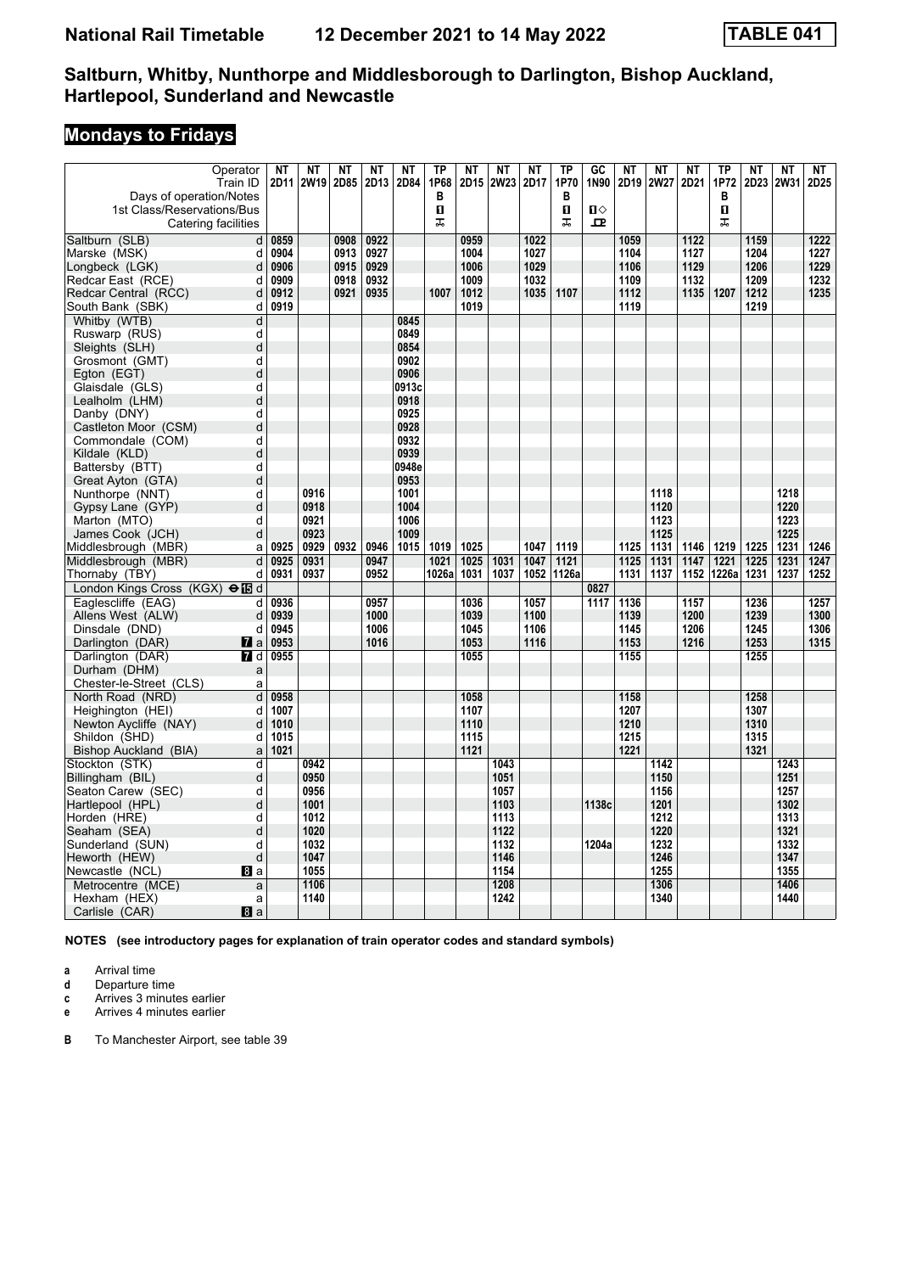# **Mondays to Fridays**

| Operator<br>Train ID                          | ΝT   | <b>NT</b><br>2D11 2W19 | <b>NT</b><br>2D85 | <b>NT</b><br>2D13 | <b>NT</b><br>2D84 | TP<br>1P68 | <b>NT</b><br>2D15 | <b>NT</b><br><b>2W23</b> | NT<br>2D17 | $\overline{TP}$<br>1P70 | $G$ <sub>C</sub><br>1N90 | <b>NT</b><br>2D19 | <b>NT</b><br><b>2W27</b> | <b>NT</b><br>2D21 | <b>TP</b><br>1P72 | <b>NT</b><br>2D23 | <b>NT</b><br><b>2W31</b> | <b>NT</b><br>2D25 |
|-----------------------------------------------|------|------------------------|-------------------|-------------------|-------------------|------------|-------------------|--------------------------|------------|-------------------------|--------------------------|-------------------|--------------------------|-------------------|-------------------|-------------------|--------------------------|-------------------|
| Days of operation/Notes                       |      |                        |                   |                   |                   | В          |                   |                          |            | в                       |                          |                   |                          |                   | в                 |                   |                          |                   |
| 1st Class/Reservations/Bus                    |      |                        |                   |                   |                   | П          |                   |                          |            | $\mathbf{u}$            | $\blacksquare$           |                   |                          |                   | 0                 |                   |                          |                   |
| Catering facilities                           |      |                        |                   |                   |                   | 盂          |                   |                          |            | ᠼ                       | $\mathbf{p}$             |                   |                          |                   | ᠼ                 |                   |                          |                   |
| Saltburn (SLB)<br>d                           | 0859 |                        | 0908              | 0922              |                   |            | 0959              |                          | 1022       |                         |                          | 1059              |                          | 1122              |                   | 1159              |                          | 1222              |
| Marske (MSK)<br>d                             | 0904 |                        | 0913              | 0927              |                   |            | 1004              |                          | 1027       |                         |                          | 1104              |                          | 1127              |                   | 1204              |                          | 1227              |
| Longbeck (LGK)<br>d                           | 0906 |                        | 0915              | 0929              |                   |            | 1006              |                          | 1029       |                         |                          | 1106              |                          | 1129              |                   | 1206              |                          | 1229              |
| Redcar East (RCE)<br>d                        | 0909 |                        | 0918              | 0932              |                   |            | 1009              |                          | 1032       |                         |                          | 1109              |                          | 1132              |                   | 1209              |                          | 1232              |
| Redcar Central (RCC)<br>d                     | 0912 |                        | 0921              | 0935              |                   | 1007       | 1012              |                          | 1035       | 1107                    |                          | 1112              |                          | 1135              | 1207              | 1212              |                          | 1235              |
| South Bank (SBK)<br>d                         | 0919 |                        |                   |                   |                   |            | 1019              |                          |            |                         |                          | 1119              |                          |                   |                   | 1219              |                          |                   |
| Whitby (WTB)<br>d                             |      |                        |                   |                   | 0845              |            |                   |                          |            |                         |                          |                   |                          |                   |                   |                   |                          |                   |
| d<br>Ruswarp (RUS)                            |      |                        |                   |                   | 0849              |            |                   |                          |            |                         |                          |                   |                          |                   |                   |                   |                          |                   |
| Sleights (SLH)<br>d                           |      |                        |                   |                   | 0854              |            |                   |                          |            |                         |                          |                   |                          |                   |                   |                   |                          |                   |
| Grosmont (GMT)<br>d                           |      |                        |                   |                   | 0902              |            |                   |                          |            |                         |                          |                   |                          |                   |                   |                   |                          |                   |
| d<br>Egton (EGT)                              |      |                        |                   |                   | 0906              |            |                   |                          |            |                         |                          |                   |                          |                   |                   |                   |                          |                   |
| Glaisdale (GLS)<br>d                          |      |                        |                   |                   | 0913c             |            |                   |                          |            |                         |                          |                   |                          |                   |                   |                   |                          |                   |
| Lealholm (LHM)<br>d                           |      |                        |                   |                   | 0918              |            |                   |                          |            |                         |                          |                   |                          |                   |                   |                   |                          |                   |
| Danby (DNY)<br>d                              |      |                        |                   |                   | 0925              |            |                   |                          |            |                         |                          |                   |                          |                   |                   |                   |                          |                   |
| Castleton Moor (CSM)<br>d                     |      |                        |                   |                   | 0928              |            |                   |                          |            |                         |                          |                   |                          |                   |                   |                   |                          |                   |
| Commondale (COM)<br>d                         |      |                        |                   |                   | 0932              |            |                   |                          |            |                         |                          |                   |                          |                   |                   |                   |                          |                   |
| Kildale (KLD)<br>d                            |      |                        |                   |                   | 0939              |            |                   |                          |            |                         |                          |                   |                          |                   |                   |                   |                          |                   |
| Battersby (BTT)<br>d                          |      |                        |                   |                   | 0948e             |            |                   |                          |            |                         |                          |                   |                          |                   |                   |                   |                          |                   |
| d<br>Great Ayton (GTA)                        |      |                        |                   |                   | 0953              |            |                   |                          |            |                         |                          |                   |                          |                   |                   |                   |                          |                   |
| Nunthorpe (NNT)<br>d                          |      | 0916                   |                   |                   | 1001              |            |                   |                          |            |                         |                          |                   | 1118                     |                   |                   |                   | 1218                     |                   |
| Gypsy Lane (GYP)<br>d                         |      | 0918                   |                   |                   | 1004              |            |                   |                          |            |                         |                          |                   | 1120                     |                   |                   |                   | 1220                     |                   |
| Marton (MTO)<br>d                             |      | 0921                   |                   |                   | 1006              |            |                   |                          |            |                         |                          |                   | 1123                     |                   |                   |                   | 1223                     |                   |
| James Cook (JCH)<br>d                         |      | 0923                   |                   |                   | 1009              |            |                   |                          |            |                         |                          |                   | 1125                     |                   |                   |                   | 1225                     |                   |
| Middlesbrough (MBR)<br>a                      | 0925 | 0929                   | 0932              | 0946              | 1015              | 1019       | 1025              |                          | 1047       | 1119                    |                          | 1125              | 1131                     | 1146              | 1219              | 1225              | 1231                     | 1246              |
| Middlesbrough (MBR)<br>d                      | 0925 | 0931                   |                   | 0947              |                   | 1021       | 1025              | 1031                     | 1047       | 1121                    |                          | 1125              | 1131                     | 1147              | 1221              | 1225              | 1231                     | 1247              |
| Thornaby (TBY)<br>d                           | 0931 | 0937                   |                   | 0952              |                   | 1026a      | 1031              | 1037                     | 1052       | 1126a                   |                          | 1131              | 1137                     | 1152              | 1226a             | 1231              | 1237                     | 1252              |
| London Kings Cross (KGX) $\Theta$ <b>is</b> d |      |                        |                   |                   |                   |            |                   |                          |            |                         | 0827                     |                   |                          |                   |                   |                   |                          |                   |
| Eaglescliffe (EAG)<br>d                       | 0936 |                        |                   | 0957              |                   |            | 1036              |                          | 1057       |                         | 1117                     | 1136              |                          | 1157              |                   | 1236              |                          | 1257              |
| Allens West (ALW)<br>d                        | 0939 |                        |                   | 1000              |                   |            | 1039              |                          | 1100       |                         |                          | 1139              |                          | 1200              |                   | 1239              |                          | 1300              |
| Dinsdale (DND)<br>d                           | 0945 |                        |                   | 1006              |                   |            | 1045              |                          | 1106       |                         |                          | 1145              |                          | 1206              |                   | 1245              |                          | 1306              |
| Darlington (DAR)<br><b>7</b> a                | 0953 |                        |                   | 1016              |                   |            | 1053              |                          | 1116       |                         |                          | 1153              |                          | 1216              |                   | 1253              |                          | 1315              |
| Darlington (DAR)<br>7 d                       | 0955 |                        |                   |                   |                   |            | 1055              |                          |            |                         |                          | 1155              |                          |                   |                   | 1255              |                          |                   |
| Durham (DHM)<br>a                             |      |                        |                   |                   |                   |            |                   |                          |            |                         |                          |                   |                          |                   |                   |                   |                          |                   |
| Chester-le-Street (CLS)<br>a                  |      |                        |                   |                   |                   |            |                   |                          |            |                         |                          |                   |                          |                   |                   |                   |                          |                   |
| $\sf d$<br>North Road (NRD)                   | 0958 |                        |                   |                   |                   |            | 1058              |                          |            |                         |                          | 1158              |                          |                   |                   | 1258              |                          |                   |
| Heighington (HEI)<br>d                        | 1007 |                        |                   |                   |                   |            | 1107              |                          |            |                         |                          | 1207              |                          |                   |                   | 1307              |                          |                   |
| Newton Aycliffe (NAY)<br>d                    | 1010 |                        |                   |                   |                   |            | 1110              |                          |            |                         |                          | 1210              |                          |                   |                   | 1310              |                          |                   |
| Shildon (SHD)<br>d                            | 1015 |                        |                   |                   |                   |            | 1115              |                          |            |                         |                          | 1215              |                          |                   |                   | 1315              |                          |                   |
| Bishop Auckland (BIA)<br>a                    | 1021 |                        |                   |                   |                   |            | 1121              |                          |            |                         |                          | 1221              |                          |                   |                   | 1321              |                          |                   |
| Stockton (STK)<br>d                           |      | 0942                   |                   |                   |                   |            |                   | 1043                     |            |                         |                          |                   | 1142                     |                   |                   |                   | 1243                     |                   |
| d<br>Billingham (BIL)                         |      | 0950                   |                   |                   |                   |            |                   | 1051                     |            |                         |                          |                   | 1150                     |                   |                   |                   | 1251                     |                   |
| Seaton Carew (SEC)<br>d                       |      | 0956                   |                   |                   |                   |            |                   | 1057                     |            |                         |                          |                   | 1156                     |                   |                   |                   | 1257                     |                   |
| d<br>Hartlepool (HPL)                         |      | 1001                   |                   |                   |                   |            |                   | 1103                     |            |                         | 1138c                    |                   | 1201                     |                   |                   |                   | 1302                     |                   |
| Horden (HRE)<br>d                             |      | 1012                   |                   |                   |                   |            |                   | 1113                     |            |                         |                          |                   | 1212                     |                   |                   |                   | 1313                     |                   |
| Seaham (SEA)<br>d                             |      | 1020                   |                   |                   |                   |            |                   | 1122                     |            |                         |                          |                   | 1220                     |                   |                   |                   | 1321                     |                   |
| Sunderland (SUN)<br>d                         |      | 1032                   |                   |                   |                   |            |                   | 1132                     |            |                         | 1204a                    |                   | 1232                     |                   |                   |                   | 1332                     |                   |
| Heworth (HEW)<br>d                            |      | 1047                   |                   |                   |                   |            |                   | 1146                     |            |                         |                          |                   | 1246                     |                   |                   |                   | 1347                     |                   |
| Newcastle (NCL)<br>8 a                        |      | 1055                   |                   |                   |                   |            |                   | 1154                     |            |                         |                          |                   | 1255                     |                   |                   |                   | 1355                     |                   |
| Metrocentre (MCE)<br>a                        |      | 1106                   |                   |                   |                   |            |                   | 1208                     |            |                         |                          |                   | 1306                     |                   |                   |                   | 1406                     |                   |
| Hexham (HEX)<br>a                             |      | 1140                   |                   |                   |                   |            |                   | 1242                     |            |                         |                          |                   | 1340                     |                   |                   |                   | 1440                     |                   |
| Carlisle (CAR)<br>8a                          |      |                        |                   |                   |                   |            |                   |                          |            |                         |                          |                   |                          |                   |                   |                   |                          |                   |

**NOTES (see introductory pages for explanation of train operator codes and standard symbols)**

**a** Arrival time<br>**d** Departure t

**d** Departure time

**c** Arrives 3 minutes earlier

**e** Arrives 4 minutes earlier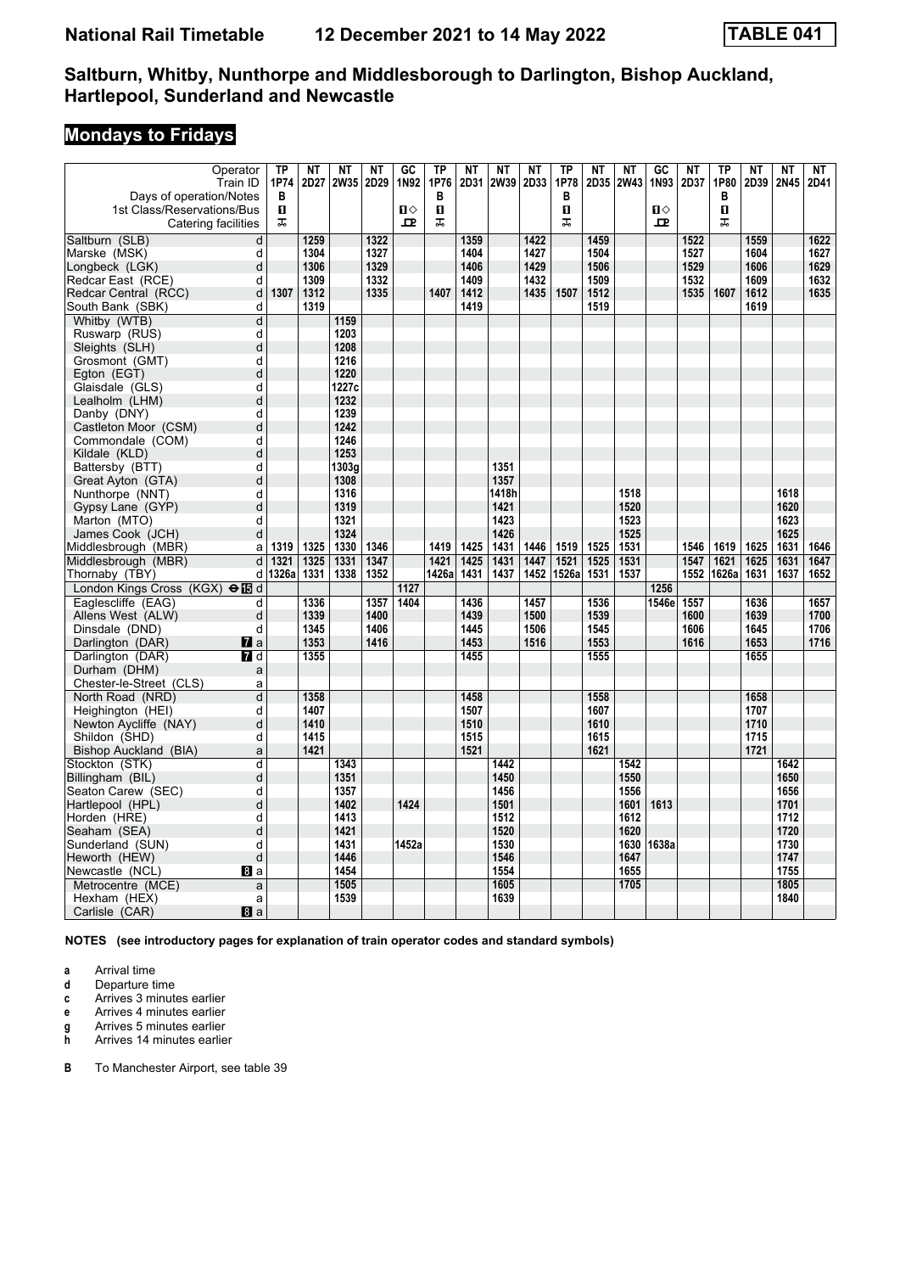# **Mondays to Fridays**

| Operator<br>Train ID                              | TP<br>1P74          | <b>NT</b><br>2D27 | <b>NT</b><br><b>2W35</b> | <b>NT</b><br>2D29 | $G$ C<br>1N92 | TP<br>1P76   | <b>NT</b><br>2D31 | <b>NT</b><br>2W39 | NT<br>2D33 | $\overline{TP}$<br>1P78 | <b>NT</b><br>2D35 | <b>NT</b><br><b>2W43</b> | $G$ <sub>C</sub><br>1N93 | <b>NT</b><br>2D37 | TP<br>1P80 | <b>NT</b><br>2D39 | <b>NT</b><br>2N45 | NT<br>2D41   |
|---------------------------------------------------|---------------------|-------------------|--------------------------|-------------------|---------------|--------------|-------------------|-------------------|------------|-------------------------|-------------------|--------------------------|--------------------------|-------------------|------------|-------------------|-------------------|--------------|
|                                                   | в                   |                   |                          |                   |               | в            |                   |                   |            | в                       |                   |                          |                          |                   | В          |                   |                   |              |
| Days of operation/Notes                           | O.                  |                   |                          |                   | $\mathbf{u}$  | $\mathbf{u}$ |                   |                   |            | O                       |                   |                          | $\mathbf{u}$             |                   | O          |                   |                   |              |
| 1st Class/Reservations/Bus<br>Catering facilities | ᅚ                   |                   |                          |                   | 묘             | 盂            |                   |                   |            | ᠼ                       |                   |                          | 고                        |                   | ᠼ          |                   |                   |              |
|                                                   |                     |                   |                          |                   |               |              |                   |                   | 1422       |                         | 1459              |                          |                          |                   |            |                   |                   |              |
| Saltburn (SLB)                                    | $\overline{d}$<br>d | 1259<br>1304      |                          | 1322<br>1327      |               |              | 1359<br>1404      |                   | 1427       |                         | 1504              |                          |                          | 1522<br>1527      |            | 1559<br>1604      |                   | 1622         |
| Marske (MSK)<br>Longbeck (LGK)                    | d                   | 1306              |                          | 1329              |               |              | 1406              |                   | 1429       |                         | 1506              |                          |                          | 1529              |            | 1606              |                   | 1627<br>1629 |
| Redcar East (RCE)                                 | d                   | 1309              |                          | 1332              |               |              | 1409              |                   | 1432       |                         | 1509              |                          |                          | 1532              |            | 1609              |                   | 1632         |
| Redcar Central (RCC)                              | 1307<br>d           | 1312              |                          | 1335              |               | 1407         | 1412              |                   | 1435       | 1507                    | 1512              |                          |                          | 1535              | 1607       | 1612              |                   | 1635         |
| South Bank (SBK)                                  | d                   | 1319              |                          |                   |               |              | 1419              |                   |            |                         | 1519              |                          |                          |                   |            | 1619              |                   |              |
| Whitby (WTB)                                      | d                   |                   | 1159                     |                   |               |              |                   |                   |            |                         |                   |                          |                          |                   |            |                   |                   |              |
| Ruswarp (RUS)                                     | d                   |                   | 1203                     |                   |               |              |                   |                   |            |                         |                   |                          |                          |                   |            |                   |                   |              |
| Sleights (SLH)                                    | d                   |                   | 1208                     |                   |               |              |                   |                   |            |                         |                   |                          |                          |                   |            |                   |                   |              |
| Grosmont (GMT)                                    | d                   |                   | 1216                     |                   |               |              |                   |                   |            |                         |                   |                          |                          |                   |            |                   |                   |              |
| Egton (EGT)                                       | d                   |                   | 1220                     |                   |               |              |                   |                   |            |                         |                   |                          |                          |                   |            |                   |                   |              |
| Glaisdale (GLS)                                   | d                   |                   | 1227c                    |                   |               |              |                   |                   |            |                         |                   |                          |                          |                   |            |                   |                   |              |
| Lealholm (LHM)                                    | d                   |                   | 1232                     |                   |               |              |                   |                   |            |                         |                   |                          |                          |                   |            |                   |                   |              |
| Danby (DNY)                                       | d                   |                   | 1239                     |                   |               |              |                   |                   |            |                         |                   |                          |                          |                   |            |                   |                   |              |
| Castleton Moor (CSM)                              | d                   |                   | 1242                     |                   |               |              |                   |                   |            |                         |                   |                          |                          |                   |            |                   |                   |              |
| Commondale (COM)                                  | d                   |                   | 1246                     |                   |               |              |                   |                   |            |                         |                   |                          |                          |                   |            |                   |                   |              |
| Kildale (KLD)                                     | d                   |                   | 1253                     |                   |               |              |                   |                   |            |                         |                   |                          |                          |                   |            |                   |                   |              |
| Battersby (BTT)                                   | d                   |                   | 1303g                    |                   |               |              |                   | 1351              |            |                         |                   |                          |                          |                   |            |                   |                   |              |
| Great Ayton (GTA)                                 | d                   |                   | 1308                     |                   |               |              |                   | 1357              |            |                         |                   |                          |                          |                   |            |                   |                   |              |
| Nunthorpe (NNT)                                   | d                   |                   | 1316                     |                   |               |              |                   | 1418h             |            |                         |                   | 1518                     |                          |                   |            |                   | 1618              |              |
| Gypsy Lane (GYP)                                  | d                   |                   | 1319                     |                   |               |              |                   | 1421              |            |                         |                   | 1520                     |                          |                   |            |                   | 1620              |              |
| Marton (MTO)                                      | d                   |                   | 1321                     |                   |               |              |                   | 1423              |            |                         |                   | 1523                     |                          |                   |            |                   | 1623              |              |
| James Cook (JCH)                                  | d                   |                   | 1324                     |                   |               |              |                   | 1426              |            |                         |                   | 1525                     |                          |                   |            |                   | 1625              |              |
| Middlesbrough (MBR)                               | 1319<br>a           | 1325              | 1330                     | 1346              |               | 1419         | 1425              | 1431              | 1446       | 1519                    | 1525              | 1531                     |                          | 1546              | 1619       | 1625              | 1631              | 1646         |
| Middlesbrough (MBR)                               | 1321<br>d           | 1325              | 1331                     | 1347              |               | 1421         | 1425              | 1431              | 1447       | 1521                    | 1525              | 1531                     |                          | 1547              | 1621       | 1625              | 1631              | 1647         |
| Thornaby (TBY)                                    | 1326a<br>d          | 1331              | 1338                     | 1352              |               | 1426a        | 1431              | 1437              | 1452       | 1526a                   | 1531              | 1537                     |                          | 1552              | 1626a      | 1631              | 1637              | 1652         |
| London Kings Cross (KGX) $\Theta$ <b>is</b> d     |                     |                   |                          |                   | 1127          |              |                   |                   |            |                         |                   |                          | 1256                     |                   |            |                   |                   |              |
| Eaglescliffe (EAG)                                | d                   | 1336              |                          | 1357              | 1404          |              | 1436              |                   | 1457       |                         | 1536              |                          | 1546e                    | 1557              |            | 1636              |                   | 1657         |
| Allens West (ALW)                                 | d                   | 1339              |                          | 1400              |               |              | 1439              |                   | 1500       |                         | 1539              |                          |                          | 1600              |            | 1639              |                   | 1700         |
| Dinsdale (DND)                                    | d                   | 1345              |                          | 1406              |               |              | 1445              |                   | 1506       |                         | 1545              |                          |                          | 1606              |            | 1645              |                   | 1706         |
| Darlington (DAR)<br>$\mathbf{z}$ a                |                     | 1353              |                          | 1416              |               |              | 1453              |                   | 1516       |                         | 1553              |                          |                          | 1616              |            | 1653              |                   | 1716         |
| Darlington (DAR)<br>7 d                           |                     | 1355              |                          |                   |               |              | 1455              |                   |            |                         | 1555              |                          |                          |                   |            | 1655              |                   |              |
| Durham (DHM)                                      | a                   |                   |                          |                   |               |              |                   |                   |            |                         |                   |                          |                          |                   |            |                   |                   |              |
| Chester-le-Street (CLS)                           | a                   |                   |                          |                   |               |              |                   |                   |            |                         |                   |                          |                          |                   |            |                   |                   |              |
| North Road (NRD)                                  | d                   | 1358              |                          |                   |               |              | 1458              |                   |            |                         | 1558              |                          |                          |                   |            | 1658              |                   |              |
| Heighington (HEI)                                 | d                   | 1407              |                          |                   |               |              | 1507              |                   |            |                         | 1607              |                          |                          |                   |            | 1707              |                   |              |
| Newton Aycliffe (NAY)                             | d                   | 1410              |                          |                   |               |              | 1510              |                   |            |                         | 1610              |                          |                          |                   |            | 1710              |                   |              |
| Shildon (SHD)                                     | d                   | 1415<br>1421      |                          |                   |               |              | 1515              |                   |            |                         | 1615<br>1621      |                          |                          |                   |            | 1715<br>1721      |                   |              |
| Bishop Auckland (BIA)                             | a                   |                   |                          |                   |               |              | 1521              |                   |            |                         |                   |                          |                          |                   |            |                   |                   |              |
| Stockton (STK)                                    | d<br>d              |                   | 1343<br>1351             |                   |               |              |                   | 1442<br>1450      |            |                         |                   | 1542<br>1550             |                          |                   |            |                   | 1642<br>1650      |              |
| Billingham (BIL)<br>Seaton Carew (SEC)            | d                   |                   | 1357                     |                   |               |              |                   | 1456              |            |                         |                   | 1556                     |                          |                   |            |                   | 1656              |              |
| Hartlepool (HPL)                                  | d                   |                   | 1402                     |                   | 1424          |              |                   | 1501              |            |                         |                   | 1601                     | 1613                     |                   |            |                   | 1701              |              |
| Horden (HRE)                                      | d                   |                   | 1413                     |                   |               |              |                   | 1512              |            |                         |                   | 1612                     |                          |                   |            |                   | 1712              |              |
| Seaham (SEA)                                      | d                   |                   | 1421                     |                   |               |              |                   | 1520              |            |                         |                   | 1620                     |                          |                   |            |                   | 1720              |              |
| Sunderland (SUN)                                  | d                   |                   | 1431                     |                   | 1452a         |              |                   | 1530              |            |                         |                   | 1630                     | 1638a                    |                   |            |                   | 1730              |              |
| Heworth (HEW)                                     | d                   |                   | 1446                     |                   |               |              |                   | 1546              |            |                         |                   | 1647                     |                          |                   |            |                   | 1747              |              |
| Newcastle (NCL)<br>8a                             |                     |                   | 1454                     |                   |               |              |                   | 1554              |            |                         |                   | 1655                     |                          |                   |            |                   | 1755              |              |
| Metrocentre (MCE)                                 | a                   |                   | 1505                     |                   |               |              |                   | 1605              |            |                         |                   | 1705                     |                          |                   |            |                   | 1805              |              |
| Hexham (HEX)                                      | a                   |                   | 1539                     |                   |               |              |                   | 1639              |            |                         |                   |                          |                          |                   |            |                   | 1840              |              |
| 8a<br>Carlisle (CAR)                              |                     |                   |                          |                   |               |              |                   |                   |            |                         |                   |                          |                          |                   |            |                   |                   |              |
|                                                   |                     |                   |                          |                   |               |              |                   |                   |            |                         |                   |                          |                          |                   |            |                   |                   |              |

**NOTES (see introductory pages for explanation of train operator codes and standard symbols)**

**a** Arrival time<br>**d** Departure ti

**d** Departure time

**c** Arrives 3 minutes earlier

**e** Arrives 4 minutes earlier

**g** Arrives 5 minutes earlier **K** Arrives 14 minutes earlier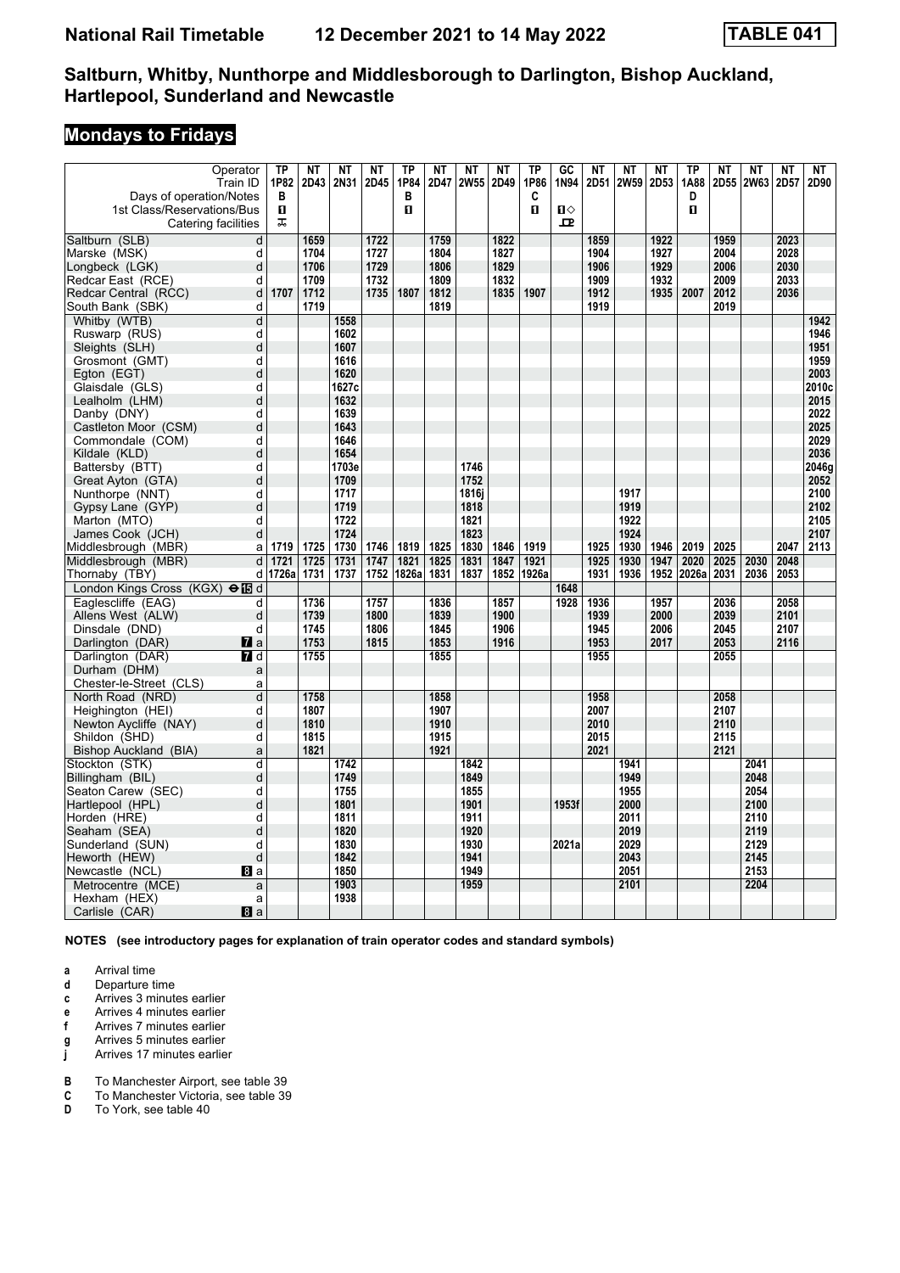# **Mondays to Fridays**

| Operator                                  | TP    | <b>NT</b> | <b>NT</b>     | <b>NT</b> | <b>TP</b> | <b>NT</b> | <b>NT</b>   | NT   | <b>TP</b> | $G$ <sub>C</sub> | <b>NT</b> | <b>NT</b>   | <b>NT</b> | <b>TP</b> | <b>NT</b> | <b>NT</b>   | <b>NT</b> | NΤ            |
|-------------------------------------------|-------|-----------|---------------|-----------|-----------|-----------|-------------|------|-----------|------------------|-----------|-------------|-----------|-----------|-----------|-------------|-----------|---------------|
| Train ID                                  | 1P82  | 2D43      | 2N31          | 2D45      | 1P84      | 2D47      | <b>2W55</b> | 2D49 | 1P86      | 1N94             | 2D51      | <b>2W59</b> | 2D53      | 1A88      | 2D55      | <b>2W63</b> | 2D57      | 2D90          |
| Days of operation/Notes                   | в     |           |               |           | в         |           |             |      | C         |                  |           |             |           | D         |           |             |           |               |
| 1st Class/Reservations/Bus                | O.    |           |               |           | п         |           |             |      | п         | $\mathbf{u}$     |           |             |           | п         |           |             |           |               |
| Catering facilities                       | ᠼ     |           |               |           |           |           |             |      |           | ᄆ                |           |             |           |           |           |             |           |               |
| Saltburn (SLB)<br>$\overline{d}$          |       | 1659      |               | 1722      |           | 1759      |             | 1822 |           |                  | 1859      |             | 1922      |           | 1959      |             | 2023      |               |
| d<br>Marske (MSK)                         |       | 1704      |               | 1727      |           | 1804      |             | 1827 |           |                  | 1904      |             | 1927      |           | 2004      |             | 2028      |               |
| d<br>Longbeck (LGK)                       |       | 1706      |               | 1729      |           | 1806      |             | 1829 |           |                  | 1906      |             | 1929      |           | 2006      |             | 2030      |               |
| Redcar East (RCE)<br>d                    |       | 1709      |               | 1732      |           | 1809      |             | 1832 |           |                  | 1909      |             | 1932      |           | 2009      |             | 2033      |               |
| Redcar Central (RCC)<br>d                 | 1707  | 1712      |               | 1735      | 1807      | 1812      |             | 1835 | 1907      |                  | 1912      |             | 1935      | 2007      | 2012      |             | 2036      |               |
| South Bank (SBK)<br>d                     |       | 1719      |               |           |           | 1819      |             |      |           |                  | 1919      |             |           |           | 2019      |             |           |               |
| Whitby (WTB)<br>d                         |       |           | 1558          |           |           |           |             |      |           |                  |           |             |           |           |           |             |           | 1942          |
| d<br>Ruswarp (RUS)                        |       |           | 1602          |           |           |           |             |      |           |                  |           |             |           |           |           |             |           | 1946          |
| d<br>Sleights (SLH)                       |       |           | 1607          |           |           |           |             |      |           |                  |           |             |           |           |           |             |           | 1951          |
| d<br>Grosmont (GMT)                       |       |           | 1616          |           |           |           |             |      |           |                  |           |             |           |           |           |             |           | 1959          |
| d<br>Egton (EGT)<br>Glaisdale (GLS)<br>d  |       |           | 1620<br>1627c |           |           |           |             |      |           |                  |           |             |           |           |           |             |           | 2003<br>2010c |
| d                                         |       |           | 1632          |           |           |           |             |      |           |                  |           |             |           |           |           |             |           | 2015          |
| Lealholm (LHM)<br>Danby (DNY)<br>d        |       |           | 1639          |           |           |           |             |      |           |                  |           |             |           |           |           |             |           | 2022          |
| Castleton Moor (CSM)<br>d                 |       |           | 1643          |           |           |           |             |      |           |                  |           |             |           |           |           |             |           | 2025          |
| Commondale (COM)<br>d                     |       |           | 1646          |           |           |           |             |      |           |                  |           |             |           |           |           |             |           | 2029          |
| d<br>Kildale (KLD)                        |       |           | 1654          |           |           |           |             |      |           |                  |           |             |           |           |           |             |           | 2036          |
| Battersby (BTT)<br>d                      |       |           | 1703e         |           |           |           | 1746        |      |           |                  |           |             |           |           |           |             |           | 2046g         |
| Great Ayton (GTA)<br>d                    |       |           | 1709          |           |           |           | 1752        |      |           |                  |           |             |           |           |           |             |           | 2052          |
| Nunthorpe (NNT)<br>d                      |       |           | 1717          |           |           |           | 1816i       |      |           |                  |           | 1917        |           |           |           |             |           | 2100          |
| Gypsy Lane (GYP)                          | d     |           | 1719          |           |           |           | 1818        |      |           |                  |           | 1919        |           |           |           |             |           | 2102          |
| Marton (MTO)<br>d                         |       |           | 1722          |           |           |           | 1821        |      |           |                  |           | 1922        |           |           |           |             |           | 2105          |
| James Cook (JCH)<br>d                     |       |           | 1724          |           |           |           | 1823        |      |           |                  |           | 1924        |           |           |           |             |           | 2107          |
| Middlesbrough (MBR)<br>a                  | 1719  | 1725      | 1730          | 1746      | 1819      | 1825      | 1830        | 1846 | 1919      |                  | 1925      | 1930        | 1946      | 2019      | 2025      |             | 2047      | 2113          |
| Middlesbrough (MBR)<br>d                  | 1721  | 1725      | 1731          | 1747      | 1821      | 1825      | 1831        | 1847 | 1921      |                  | 1925      | 1930        | 1947      | 2020      | 2025      | 2030        | 2048      |               |
| Thornaby (TBY)<br>d                       | 1726a | 1731      | 1737          | 1752      | 1826a     | 1831      | 1837        | 1852 | 1926a     |                  | 1931      | 1936        | 1952      | 2026a     | 2031      | 2036        | 2053      |               |
| London Kings Cross (KGX) $\Theta$ IB d    |       |           |               |           |           |           |             |      |           | 1648             |           |             |           |           |           |             |           |               |
| Eaglescliffe (EAG)<br>d                   |       | 1736      |               | 1757      |           | 1836      |             | 1857 |           | 1928             | 1936      |             | 1957      |           | 2036      |             | 2058      |               |
| d<br>Allens West (ALW)                    |       | 1739      |               | 1800      |           | 1839      |             | 1900 |           |                  | 1939      |             | 2000      |           | 2039      |             | 2101      |               |
| Dinsdale (DND)<br>d                       |       | 1745      |               | 1806      |           | 1845      |             | 1906 |           |                  | 1945      |             | 2006      |           | 2045      |             | 2107      |               |
| Darlington (DAR)<br><b>7</b> a            |       | 1753      |               | 1815      |           | 1853      |             | 1916 |           |                  | 1953      |             | 2017      |           | 2053      |             | 2116      |               |
| Darlington (DAR)<br>7 d                   |       | 1755      |               |           |           | 1855      |             |      |           |                  | 1955      |             |           |           | 2055      |             |           |               |
| Durham (DHM)<br>a                         |       |           |               |           |           |           |             |      |           |                  |           |             |           |           |           |             |           |               |
| Chester-le-Street (CLS)<br>a              |       |           |               |           |           |           |             |      |           |                  |           |             |           |           |           |             |           |               |
| $\sf d$<br>North Road (NRD)               |       | 1758      |               |           |           | 1858      |             |      |           |                  | 1958      |             |           |           | 2058      |             |           |               |
| Heighington (HEI)<br>d                    |       | 1807      |               |           |           | 1907      |             |      |           |                  | 2007      |             |           |           | 2107      |             |           |               |
| Newton Aycliffe (NAY)<br>d                |       | 1810      |               |           |           | 1910      |             |      |           |                  | 2010      |             |           |           | 2110      |             |           |               |
| Shildon (SHD)<br>d                        |       | 1815      |               |           |           | 1915      |             |      |           |                  | 2015      |             |           |           | 2115      |             |           |               |
| Bishop Auckland (BIA)<br>a                |       | 1821      |               |           |           | 1921      |             |      |           |                  | 2021      |             |           |           | 2121      |             |           |               |
| Stockton (STK)<br>d                       |       |           | 1742          |           |           |           | 1842        |      |           |                  |           | 1941        |           |           |           | 2041        |           |               |
| d<br>Billingham (BIL)                     |       |           | 1749          |           |           |           | 1849        |      |           |                  |           | 1949        |           |           |           | 2048        |           |               |
| Seaton Carew (SEC)<br>d                   |       |           | 1755          |           |           |           | 1855        |      |           |                  |           | 1955        |           |           |           | 2054        |           |               |
| d<br>Hartlepool (HPL)                     |       |           | 1801          |           |           |           | 1901        |      |           | 1953f            |           | 2000        |           |           |           | 2100        |           |               |
| Horden (HRE)<br>d                         |       |           | 1811          |           |           |           | 1911        |      |           |                  |           | 2011        |           |           |           | 2110        |           |               |
| Seaham (SEA)<br>d                         |       |           | 1820          |           |           |           | 1920        |      |           |                  |           | 2019        |           |           |           | 2119        |           |               |
| d<br>Sunderland (SUN)                     |       |           | 1830          |           |           |           | 1930        |      |           | 2021a            |           | 2029        |           |           |           | 2129        |           |               |
| Heworth (HEW)<br>d                        |       |           | 1842          |           |           |           | 1941        |      |           |                  |           | 2043        |           |           |           | 2145        |           |               |
| Newcastle (NCL)<br>8a                     |       |           | 1850          |           |           |           | 1949        |      |           |                  |           | 2051        |           |           |           | 2153        |           |               |
| Metrocentre (MCE)<br>a                    |       |           | 1903          |           |           |           | 1959        |      |           |                  |           | 2101        |           |           |           | 2204        |           |               |
| Hexham (HEX)<br>a<br>Carlisle (CAR)<br>8a |       |           | 1938          |           |           |           |             |      |           |                  |           |             |           |           |           |             |           |               |
|                                           |       |           |               |           |           |           |             |      |           |                  |           |             |           |           |           |             |           |               |

**NOTES (see introductory pages for explanation of train operator codes and standard symbols)**

**a** Arrival time<br>**d** Departure t

- **d** Departure time
- **c** Arrives 3 minutes earlier
- **e** Arrives 4 minutes earlier<br>**f** Arrives 7 minutes earlier
- **f** Arrives 7 minutes earlier
- **g** Arrives 5 minutes earlier
- **j** Arrives 17 minutes earlier
- **B** To Manchester Airport, see table 39<br>**C** To Manchester Victoria, see table 39
- To Manchester Victoria, see table 39
- **D** To York, see table 40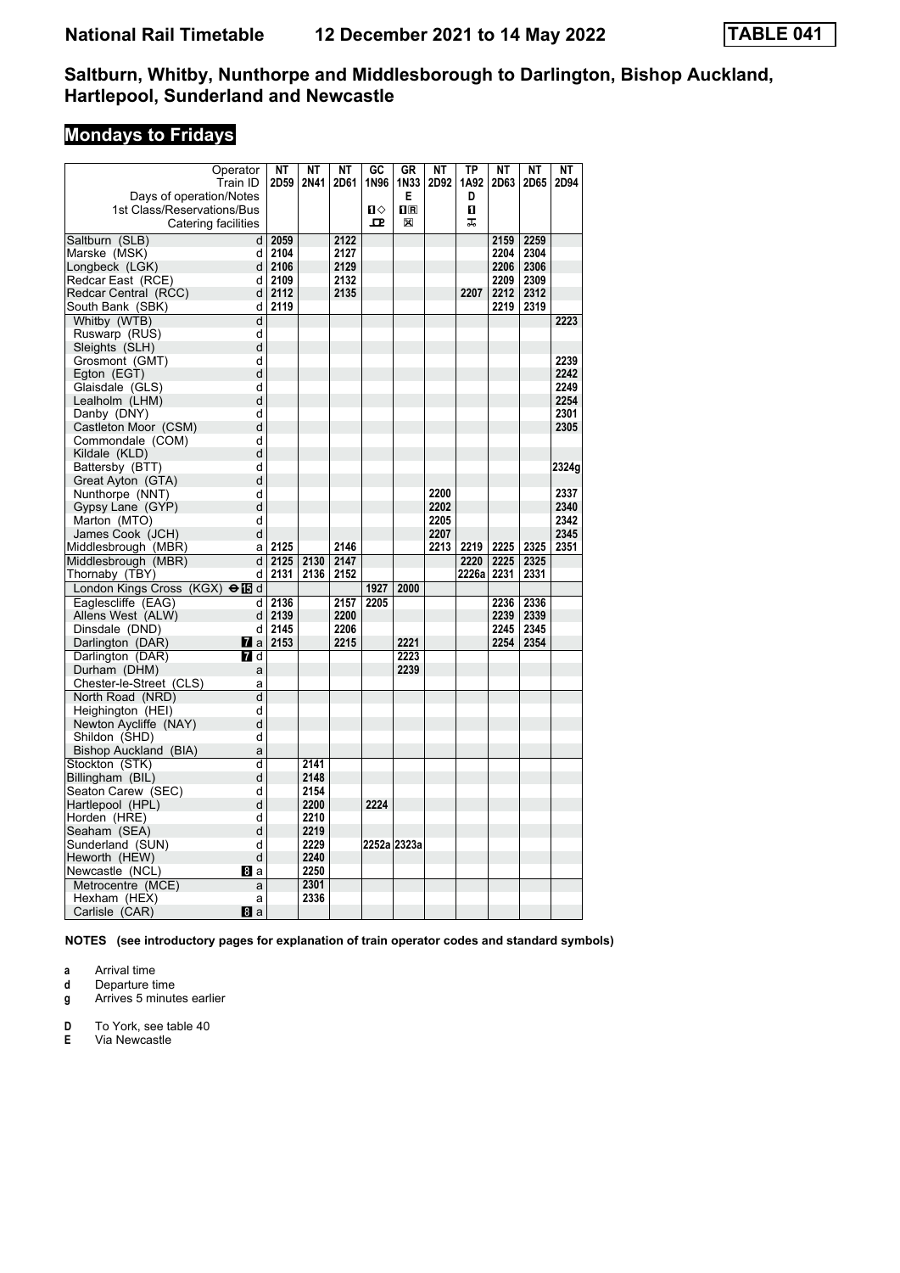# **Mondays to Fridays**

|                                 | Operator         | <b>NT</b> | <b>NT</b> | <b>NT</b> | GC   | <b>GR</b>      | <b>NT</b> | TP    | NΤ   | <b>NT</b> | NΤ    |
|---------------------------------|------------------|-----------|-----------|-----------|------|----------------|-----------|-------|------|-----------|-------|
|                                 | Train ID         | 2D59      | 2N41      | 2D61      | 1N96 | 1N33           | 2D92      | 1A92  | 2D63 | 2D65      | 2D94  |
| Days of operation/Notes         |                  |           |           |           |      | E              |           | D     |      |           |       |
| 1st Class/Reservations/Bus      |                  |           |           |           | п⇔   | $\mathbf{I}$ R |           | п     |      |           |       |
| Catering facilities             |                  |           |           |           | 모    | X              |           | ᠼ     |      |           |       |
| Saltburn (SLB)                  | d                | 2059      |           | 2122      |      |                |           |       | 2159 | 2259      |       |
| Marske (MSK)                    | d                | 2104      |           | 2127      |      |                |           |       | 2204 | 2304      |       |
| Longbeck (LGK)                  | d                | 2106      |           | 2129      |      |                |           |       | 2206 | 2306      |       |
| Redcar East (RCE)               | d                | 2109      |           | 2132      |      |                |           |       | 2209 | 2309      |       |
| Redcar Central (RCC)            | d                | 2112      |           | 2135      |      |                |           | 2207  | 2212 | 2312      |       |
| South Bank (SBK)                | d                | 2119      |           |           |      |                |           |       | 2219 | 2319      |       |
| Whitby (WTB)                    | d                |           |           |           |      |                |           |       |      |           | 2223  |
| Ruswarp (RUS)                   | d                |           |           |           |      |                |           |       |      |           |       |
| Sleights (SLH)                  | d                |           |           |           |      |                |           |       |      |           |       |
| Grosmont (GMT)                  | d                |           |           |           |      |                |           |       |      |           | 2239  |
| Egton (EGT)                     | d                |           |           |           |      |                |           |       |      |           | 2242  |
| Glaisdale (GLS)                 | d                |           |           |           |      |                |           |       |      |           | 2249  |
| Lealholm (LHM)                  | d                |           |           |           |      |                |           |       |      |           | 2254  |
| Danby (DNY)                     | d                |           |           |           |      |                |           |       |      |           | 2301  |
| Castleton Moor (CSM)            | d                |           |           |           |      |                |           |       |      |           | 2305  |
| Commondale (COM)                | d                |           |           |           |      |                |           |       |      |           |       |
| Kildale (KLD)                   | d                |           |           |           |      |                |           |       |      |           |       |
| Battersby (BTT)                 | d                |           |           |           |      |                |           |       |      |           | 2324g |
| Great Ayton (GTA)               | d                |           |           |           |      |                |           |       |      |           |       |
| Nunthorpe (NNT)                 | d                |           |           |           |      |                | 2200      |       |      |           | 2337  |
| Gypsy Lane (GYP)                | d                |           |           |           |      |                | 2202      |       |      |           | 2340  |
| Marton (MTO)                    | d                |           |           |           |      |                | 2205      |       |      |           | 2342  |
| James Cook (JCH)                | d                |           |           |           |      |                | 2207      |       |      |           | 2345  |
| Middlesbrough (MBR)             | a                | 2125      |           | 2146      |      |                | 2213      | 2219  | 2225 | 2325      | 2351  |
| Middlesbrough (MBR)             | d                | 2125      | 2130      | 2147      |      |                |           | 2220  | 2225 | 2325      |       |
| Thornaby (TBY)                  | d                | 2131      | 2136      | 2152      |      |                |           | 2226a | 2231 | 2331      |       |
| London Kings Cross (KGX) → id d |                  |           |           |           | 1927 | 2000           |           |       |      |           |       |
| Eaglescliffe (EAG)              | d                | 2136      |           | 2157      | 2205 |                |           |       | 2236 | 2336      |       |
| Allens West (ALW)               | d                | 2139      |           | 2200      |      |                |           |       | 2239 | 2339      |       |
| Dinsdale (DND)                  | d                | 2145      |           | 2206      |      |                |           |       | 2245 | 2345      |       |
| Darlington (DAR)                | Ma               | 2153      |           | 2215      |      | 2221           |           |       | 2254 | 2354      |       |
| Darlington (DAR)                | $\blacksquare$ d |           |           |           |      | 2223           |           |       |      |           |       |
| Durham (DHM)                    | a                |           |           |           |      | 2239           |           |       |      |           |       |
| Chester-le-Street (CLS)         | a                |           |           |           |      |                |           |       |      |           |       |
| North Road (NRD)                | d                |           |           |           |      |                |           |       |      |           |       |
| Heighington (HEI)               | d                |           |           |           |      |                |           |       |      |           |       |
| Newton Aycliffe (NAY)           | d                |           |           |           |      |                |           |       |      |           |       |
| Shildon (SHD)                   | d                |           |           |           |      |                |           |       |      |           |       |
| Bishop Auckland (BIA)           | a                |           |           |           |      |                |           |       |      |           |       |
| Stockton (STK)                  | d                |           | 2141      |           |      |                |           |       |      |           |       |
| Billingham (BIL)                | d                |           | 2148      |           |      |                |           |       |      |           |       |
| Seaton Carew (SEC)              | d                |           | 2154      |           |      |                |           |       |      |           |       |
| Hartlepool (HPL)                | d                |           | 2200      |           | 2224 |                |           |       |      |           |       |
| Horden (HRE)                    | d                |           | 2210      |           |      |                |           |       |      |           |       |
| Seaham (SEA)                    | d                |           | 2219      |           |      |                |           |       |      |           |       |
| Sunderland (SUN)                | d                |           | 2229      |           |      | 2252a 2323a    |           |       |      |           |       |
| Heworth (HEW)                   | d                |           | 2240      |           |      |                |           |       |      |           |       |
| Newcastle (NCL)                 | Bla              |           | 2250      |           |      |                |           |       |      |           |       |
| Metrocentre (MCE)               | a                |           | 2301      |           |      |                |           |       |      |           |       |
| Hexham (HEX)                    | a                |           | 2336      |           |      |                |           |       |      |           |       |
| Carlisle (CAR)                  | 8a               |           |           |           |      |                |           |       |      |           |       |

**NOTES (see introductory pages for explanation of train operator codes and standard symbols)**

**a** Arrival time<br>**d** Departure ti

**d** Departure time

**g** Arrives 5 minutes earlier

**D** To York, see table 40<br>**E** Via Newcastle

**Via Newcastle**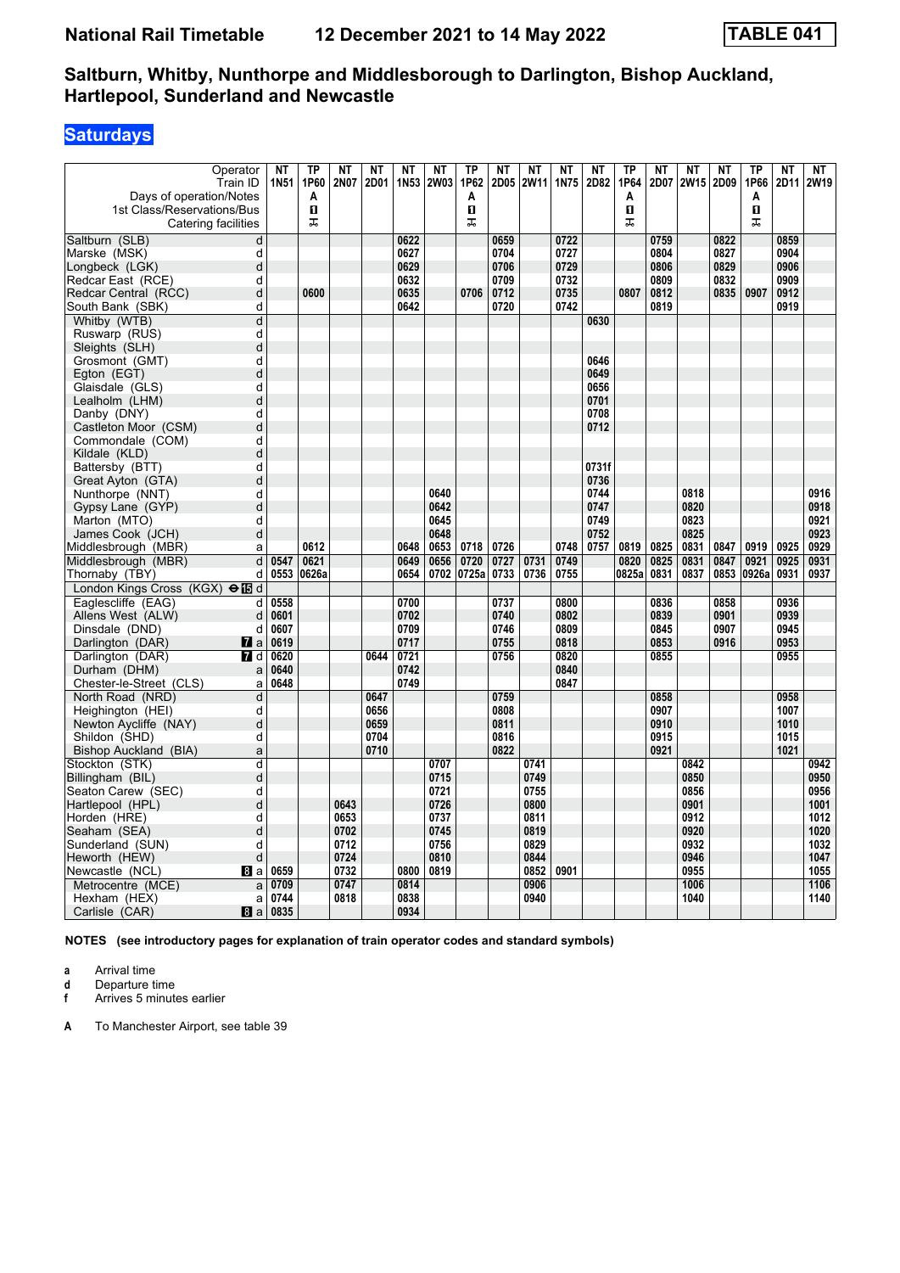# **Saturdays**

| Operator                                  | <b>NT</b> | TP<br>1P60 | <b>NT</b><br>2N07 | <b>NT</b> | NT<br>1N53 | <b>NT</b><br><b>2W03</b> | <b>TP</b><br>1P62 | <b>NT</b><br>2D05 | <b>NT</b>   | NT   | <b>NT</b><br>2D82 | TP<br>1P64 | <b>NT</b><br>2D07 | <b>NT</b><br>2W15 | <b>NT</b><br>2D09 | <b>TP</b><br>1P66 | <b>NT</b> | <b>NT</b><br>2W19 |
|-------------------------------------------|-----------|------------|-------------------|-----------|------------|--------------------------|-------------------|-------------------|-------------|------|-------------------|------------|-------------------|-------------------|-------------------|-------------------|-----------|-------------------|
| Train ID                                  | 1N51      |            |                   | 2D01      |            |                          |                   |                   | <b>2W11</b> | 1N75 |                   |            |                   |                   |                   |                   | 2D11      |                   |
| Days of operation/Notes                   |           | A<br>п     |                   |           |            |                          | Α<br>п            |                   |             |      |                   | A<br>п     |                   |                   |                   | A<br>п            |           |                   |
| 1st Class/Reservations/Bus                |           | ᠼ          |                   |           |            |                          | ᠼ                 |                   |             |      |                   | 工          |                   |                   |                   | ᠼ                 |           |                   |
| Catering facilities                       |           |            |                   |           |            |                          |                   |                   |             |      |                   |            |                   |                   |                   |                   |           |                   |
| $\overline{\mathsf{d}}$<br>Saltburn (SLB) |           |            |                   |           | 0622       |                          |                   | 0659              |             | 0722 |                   |            | 0759              |                   | 0822              |                   | 0859      |                   |
| d<br>Marske (MSK)                         |           |            |                   |           | 0627       |                          |                   | 0704              |             | 0727 |                   |            | 0804              |                   | 0827              |                   | 0904      |                   |
| d<br>Longbeck (LGK)                       |           |            |                   |           | 0629       |                          |                   | 0706              |             | 0729 |                   |            | 0806              |                   | 0829              |                   | 0906      |                   |
| Redcar East (RCE)<br>d                    |           |            |                   |           | 0632       |                          |                   | 0709              |             | 0732 |                   |            | 0809              |                   | 0832              |                   | 0909      |                   |
| d<br>Redcar Central (RCC)                 |           | 0600       |                   |           | 0635       |                          | 0706              | 0712              |             | 0735 |                   | 0807       | 0812              |                   | 0835              | 0907              | 0912      |                   |
| South Bank (SBK)<br>d                     |           |            |                   |           | 0642       |                          |                   | 0720              |             | 0742 |                   |            | 0819              |                   |                   |                   | 0919      |                   |
| Whitby (WTB)<br>d                         |           |            |                   |           |            |                          |                   |                   |             |      | 0630              |            |                   |                   |                   |                   |           |                   |
| d<br>Ruswarp (RUS)                        |           |            |                   |           |            |                          |                   |                   |             |      |                   |            |                   |                   |                   |                   |           |                   |
| d<br>Sleights (SLH)                       |           |            |                   |           |            |                          |                   |                   |             |      | 0646              |            |                   |                   |                   |                   |           |                   |
| d<br>Grosmont (GMT)                       |           |            |                   |           |            |                          |                   |                   |             |      | 0649              |            |                   |                   |                   |                   |           |                   |
| d<br>Egton (EGT)<br>Glaisdale (GLS)<br>d  |           |            |                   |           |            |                          |                   |                   |             |      | 0656              |            |                   |                   |                   |                   |           |                   |
| d                                         |           |            |                   |           |            |                          |                   |                   |             |      | 0701              |            |                   |                   |                   |                   |           |                   |
| Lealholm (LHM)<br>d                       |           |            |                   |           |            |                          |                   |                   |             |      | 0708              |            |                   |                   |                   |                   |           |                   |
| Danby (DNY)<br>Castleton Moor (CSM)<br>d  |           |            |                   |           |            |                          |                   |                   |             |      | 0712              |            |                   |                   |                   |                   |           |                   |
| Commondale (COM)<br>d                     |           |            |                   |           |            |                          |                   |                   |             |      |                   |            |                   |                   |                   |                   |           |                   |
| d<br>Kildale (KLD)                        |           |            |                   |           |            |                          |                   |                   |             |      |                   |            |                   |                   |                   |                   |           |                   |
| d<br>Battersby (BTT)                      |           |            |                   |           |            |                          |                   |                   |             |      | 0731f             |            |                   |                   |                   |                   |           |                   |
| Great Ayton (GTA)<br>d                    |           |            |                   |           |            |                          |                   |                   |             |      | 0736              |            |                   |                   |                   |                   |           |                   |
| Nunthorpe (NNT)<br>d                      |           |            |                   |           |            | 0640                     |                   |                   |             |      | 0744              |            |                   | 0818              |                   |                   |           | 0916              |
| d<br>Gypsy Lane (GYP)                     |           |            |                   |           |            | 0642                     |                   |                   |             |      | 0747              |            |                   | 0820              |                   |                   |           | 0918              |
| Marton (MTO)<br>d                         |           |            |                   |           |            | 0645                     |                   |                   |             |      | 0749              |            |                   | 0823              |                   |                   |           | 0921              |
| d<br>James Cook (JCH)                     |           |            |                   |           |            | 0648                     |                   |                   |             |      | 0752              |            |                   | 0825              |                   |                   |           | 0923              |
| Middlesbrough (MBR)<br>a                  |           | 0612       |                   |           | 0648       | 0653                     | 0718              | 0726              |             | 0748 | 0757              | 0819       | 0825              | 0831              | 0847              | 0919              | 0925      | 0929              |
| Middlesbrough (MBR)                       | d<br>0547 | 0621       |                   |           | 0649       | 0656                     | 0720              | 0727              | 0731        | 0749 |                   | 0820       | 0825              | 0831              | 0847              | 0921              | 0925      | 0931              |
| Thornaby (TBY)<br>d                       | 0553      | 0626a      |                   |           | 0654       |                          | 0702 0725a        | 0733              | 0736        | 0755 |                   | 0825a      | 0831              | 0837              | 0853              | 0926a             | 0931      | 0937              |
| London Kings Cross (KGX) <b>⊖ i</b> B d   |           |            |                   |           |            |                          |                   |                   |             |      |                   |            |                   |                   |                   |                   |           |                   |
| Eaglescliffe (EAG)                        | d<br>0558 |            |                   |           | 0700       |                          |                   | 0737              |             | 0800 |                   |            | 0836              |                   | 0858              |                   | 0936      |                   |
| Allens West (ALW)<br>d                    | 0601      |            |                   |           | 0702       |                          |                   | 0740              |             | 0802 |                   |            | 0839              |                   | 0901              |                   | 0939      |                   |
| Dinsdale (DND)<br>d                       | 0607      |            |                   |           | 0709       |                          |                   | 0746              |             | 0809 |                   |            | 0845              |                   | 0907              |                   | 0945      |                   |
| Darlington (DAR)<br><b>7</b> a            | 0619      |            |                   |           | 0717       |                          |                   | 0755              |             | 0818 |                   |            | 0853              |                   | 0916              |                   | 0953      |                   |
| Darlington (DAR)<br>7 d                   | 0620      |            |                   | 0644      | 0721       |                          |                   | 0756              |             | 0820 |                   |            | 0855              |                   |                   |                   | 0955      |                   |
| Durham (DHM)<br>a                         | 0640      |            |                   |           | 0742       |                          |                   |                   |             | 0840 |                   |            |                   |                   |                   |                   |           |                   |
| Chester-le-Street (CLS)<br>a              | 0648      |            |                   |           | 0749       |                          |                   |                   |             | 0847 |                   |            |                   |                   |                   |                   |           |                   |
| North Road (NRD)<br>d                     |           |            |                   | 0647      |            |                          |                   | 0759              |             |      |                   |            | 0858              |                   |                   |                   | 0958      |                   |
| Heighington (HEI)<br>d                    |           |            |                   | 0656      |            |                          |                   | 0808              |             |      |                   |            | 0907              |                   |                   |                   | 1007      |                   |
| Newton Aycliffe (NAY)<br>d                |           |            |                   | 0659      |            |                          |                   | 0811              |             |      |                   |            | 0910              |                   |                   |                   | 1010      |                   |
| Shildon (SHD)<br>d                        |           |            |                   | 0704      |            |                          |                   | 0816              |             |      |                   |            | 0915              |                   |                   |                   | 1015      |                   |
| Bishop Auckland (BIA)<br>a                |           |            |                   | 0710      |            |                          |                   | 0822              |             |      |                   |            | 0921              |                   |                   |                   | 1021      |                   |
| Stockton (STK)<br>d                       |           |            |                   |           |            | 0707                     |                   |                   | 0741        |      |                   |            |                   | 0842              |                   |                   |           | 0942              |
| d<br>Billingham (BIL)                     |           |            |                   |           |            | 0715                     |                   |                   | 0749        |      |                   |            |                   | 0850              |                   |                   |           | 0950              |
| Seaton Carew (SEC)<br>d                   |           |            |                   |           |            | 0721                     |                   |                   | 0755        |      |                   |            |                   | 0856              |                   |                   |           | 0956              |
| d<br>Hartlepool (HPL)                     |           |            | 0643              |           |            | 0726                     |                   |                   | 0800        |      |                   |            |                   | 0901              |                   |                   |           | 1001              |
| Horden (HRE)<br>d                         |           |            | 0653              |           |            | 0737                     |                   |                   | 0811        |      |                   |            |                   | 0912              |                   |                   |           | 1012              |
| Seaham (SEA)<br>d                         |           |            | 0702              |           |            | 0745                     |                   |                   | 0819        |      |                   |            |                   | 0920              |                   |                   |           | 1020              |
| d<br>Sunderland (SUN)                     |           |            | 0712              |           |            | 0756                     |                   |                   | 0829        |      |                   |            |                   | 0932              |                   |                   |           | 1032              |
| d<br>Heworth (HEW)                        |           |            | 0724              |           |            | 0810                     |                   |                   | 0844        |      |                   |            |                   | 0946              |                   |                   |           | 1047              |
| Newcastle (NCL)<br>8a                     | 0659      |            | 0732              |           | 0800       | 0819                     |                   |                   | 0852        | 0901 |                   |            |                   | 0955              |                   |                   |           | 1055              |
| Metrocentre (MCE)<br>a                    | 0709      |            | 0747              |           | 0814       |                          |                   |                   | 0906        |      |                   |            |                   | 1006              |                   |                   |           | 1106              |
| Hexham (HEX)<br>a                         | 0744      |            | 0818              |           | 0838       |                          |                   |                   | 0940        |      |                   |            |                   | 1040              |                   |                   |           | 1140              |
| Carlisle (CAR)<br>8a                      | 0835      |            |                   |           | 0934       |                          |                   |                   |             |      |                   |            |                   |                   |                   |                   |           |                   |

**NOTES (see introductory pages for explanation of train operator codes and standard symbols)**

**a** Arrival time<br>**d** Departure ti

**d** Departure time **f** Arrives 5 minutes earlier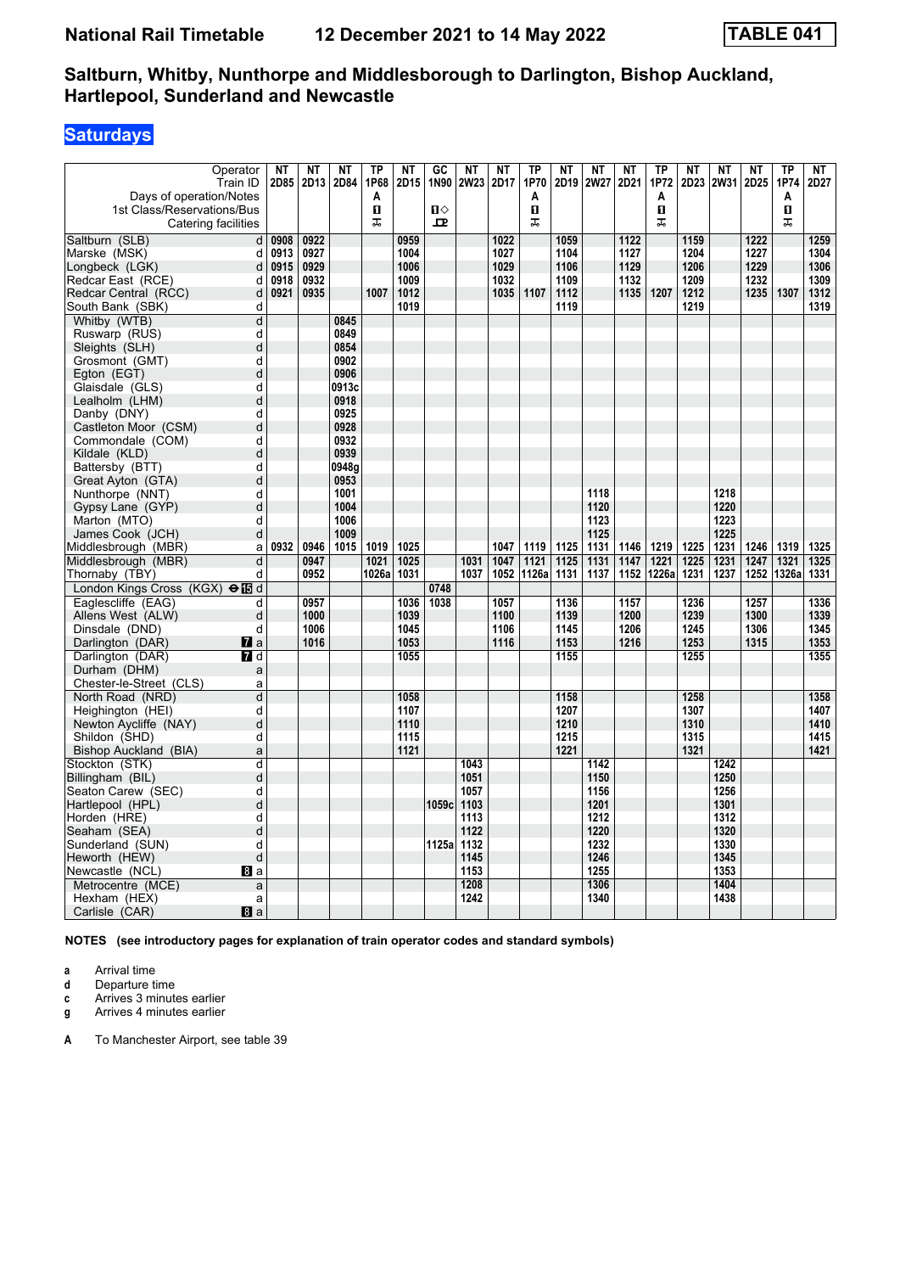# **Saturdays**

| Operator                               | <b>NT</b> | <b>NT</b> | <b>NT</b> | TP    | NT   | $G$ C        | $N$ T | $N$ T | $\overline{\text{TP}}$ | $\overline{\text{NT}}$ | NT          | NT   | <b>TP</b>  | <b>NT</b> | <b>NT</b>   | <b>NT</b> | TP    | NT   |
|----------------------------------------|-----------|-----------|-----------|-------|------|--------------|-------|-------|------------------------|------------------------|-------------|------|------------|-----------|-------------|-----------|-------|------|
| Train ID                               | 2D85      | 2D13      | 2D84      | 1P68  | 2D15 | 1N90         | 2W23  | 2D17  | 1P70                   | 2D19                   | <b>2W27</b> | 2D21 | 1P72       | 2D23      | <b>2W31</b> | 2D25      | 1P74  | 2D27 |
| Days of operation/Notes                |           |           |           | A     |      |              |       |       | A                      |                        |             |      | A          |           |             |           | A     |      |
| 1st Class/Reservations/Bus             |           |           |           | п     |      | $\mathbf{u}$ |       |       | п                      |                        |             |      | п          |           |             |           | п     |      |
| Catering facilities                    |           |           |           | ᠼ     |      | 모            |       |       | ᠼ                      |                        |             |      | ᠼ          |           |             |           | ᠼ     |      |
| Saltburn (SLB)<br>d                    | 0908      | 0922      |           |       | 0959 |              |       | 1022  |                        | 1059                   |             | 1122 |            | 1159      |             | 1222      |       | 1259 |
| Marske (MSK)<br>d                      | 0913      | 0927      |           |       | 1004 |              |       | 1027  |                        | 1104                   |             | 1127 |            | 1204      |             | 1227      |       | 1304 |
| Longbeck (LGK)<br>d                    | 0915      | 0929      |           |       | 1006 |              |       | 1029  |                        | 1106                   |             | 1129 |            | 1206      |             | 1229      |       | 1306 |
| Redcar East (RCE)<br>d                 | 0918      | 0932      |           |       | 1009 |              |       | 1032  |                        | 1109                   |             | 1132 |            | 1209      |             | 1232      |       | 1309 |
| Redcar Central (RCC)<br>d              | 0921      | 0935      |           | 1007  | 1012 |              |       | 1035  | 1107                   | 1112                   |             | 1135 | 1207       | 1212      |             | 1235      | 1307  | 1312 |
| South Bank (SBK)<br>d                  |           |           |           |       | 1019 |              |       |       |                        | 1119                   |             |      |            | 1219      |             |           |       | 1319 |
| Whitby (WTB)<br>d                      |           |           | 0845      |       |      |              |       |       |                        |                        |             |      |            |           |             |           |       |      |
| d<br>Ruswarp (RUS)                     |           |           | 0849      |       |      |              |       |       |                        |                        |             |      |            |           |             |           |       |      |
| d<br>Sleights (SLH)                    |           |           | 0854      |       |      |              |       |       |                        |                        |             |      |            |           |             |           |       |      |
| Grosmont (GMT)<br>d                    |           |           | 0902      |       |      |              |       |       |                        |                        |             |      |            |           |             |           |       |      |
| d<br>Egton (EGT)                       |           |           | 0906      |       |      |              |       |       |                        |                        |             |      |            |           |             |           |       |      |
| Glaisdale (GLS)<br>d                   |           |           | 0913c     |       |      |              |       |       |                        |                        |             |      |            |           |             |           |       |      |
| Lealholm (LHM)<br>d                    |           |           | 0918      |       |      |              |       |       |                        |                        |             |      |            |           |             |           |       |      |
| Danby (DNY)<br>d                       |           |           | 0925      |       |      |              |       |       |                        |                        |             |      |            |           |             |           |       |      |
| Castleton Moor (CSM)<br>d              |           |           | 0928      |       |      |              |       |       |                        |                        |             |      |            |           |             |           |       |      |
| Commondale (COM)<br>d                  |           |           | 0932      |       |      |              |       |       |                        |                        |             |      |            |           |             |           |       |      |
| Kildale (KLD)<br>d                     |           |           | 0939      |       |      |              |       |       |                        |                        |             |      |            |           |             |           |       |      |
| Battersby (BTT)<br>d                   |           |           | 0948g     |       |      |              |       |       |                        |                        |             |      |            |           |             |           |       |      |
| Great Ayton (GTA)<br>d                 |           |           | 0953      |       |      |              |       |       |                        |                        |             |      |            |           |             |           |       |      |
| Nunthorpe (NNT)<br>d                   |           |           | 1001      |       |      |              |       |       |                        |                        | 1118        |      |            |           | 1218        |           |       |      |
| d<br>Gypsy Lane (GYP)                  |           |           | 1004      |       |      |              |       |       |                        |                        | 1120        |      |            |           | 1220        |           |       |      |
| Marton (MTO)<br>d                      |           |           | 1006      |       |      |              |       |       |                        |                        | 1123        |      |            |           | 1223        |           |       |      |
| James Cook (JCH)<br>d                  |           |           | 1009      |       |      |              |       |       |                        |                        | 1125        |      |            |           | 1225        |           |       |      |
| Middlesbrough (MBR)<br>a               | 0932      | 0946      | 1015      | 1019  | 1025 |              |       | 1047  | 1119                   | 1125                   | 1131        | 1146 | 1219       | 1225      | 1231        | 1246      | 1319  | 1325 |
| Middlesbrough (MBR)<br>d               |           | 0947      |           | 1021  | 1025 |              | 1031  | 1047  | 1121                   | 1125                   | 1131        | 1147 | 1221       | 1225      | 1231        | 1247      | 1321  | 1325 |
| Thornaby (TBY)<br>d                    |           | 0952      |           | 1026a | 1031 |              | 1037  | 1052  | 1126a                  | 1131                   | 1137        |      | 1152 1226a | 1231      | 1237        | 1252      | 1326a | 1331 |
| London Kings Cross (KGX) $\Theta$ IB d |           |           |           |       |      | 0748         |       |       |                        |                        |             |      |            |           |             |           |       |      |
| Eaglescliffe (EAG)<br>d                |           | 0957      |           |       | 1036 | 1038         |       | 1057  |                        | 1136                   |             | 1157 |            | 1236      |             | 1257      |       | 1336 |
| Allens West (ALW)<br>d                 |           | 1000      |           |       | 1039 |              |       | 1100  |                        | 1139                   |             | 1200 |            | 1239      |             | 1300      |       | 1339 |
| d<br>Dinsdale (DND)                    |           | 1006      |           |       | 1045 |              |       | 1106  |                        | 1145                   |             | 1206 |            | 1245      |             | 1306      |       | 1345 |
| Darlington (DAR)<br><b>7</b> a         |           | 1016      |           |       | 1053 |              |       | 1116  |                        | 1153                   |             | 1216 |            | 1253      |             | 1315      |       | 1353 |
| Darlington (DAR)<br><b>7</b> d         |           |           |           |       | 1055 |              |       |       |                        | 1155                   |             |      |            | 1255      |             |           |       | 1355 |
| Durham (DHM)<br>a                      |           |           |           |       |      |              |       |       |                        |                        |             |      |            |           |             |           |       |      |
| Chester-le-Street (CLS)<br>a           |           |           |           |       |      |              |       |       |                        |                        |             |      |            |           |             |           |       |      |
| d<br>North Road (NRD)                  |           |           |           |       | 1058 |              |       |       |                        | 1158                   |             |      |            | 1258      |             |           |       | 1358 |
| d<br>Heighington (HEI)                 |           |           |           |       | 1107 |              |       |       |                        | 1207                   |             |      |            | 1307      |             |           |       | 1407 |
| Newton Aycliffe (NAY)<br>d             |           |           |           |       | 1110 |              |       |       |                        | 1210                   |             |      |            | 1310      |             |           |       | 1410 |
| Shildon (SHD)<br>d                     |           |           |           |       | 1115 |              |       |       |                        | 1215                   |             |      |            | 1315      |             |           |       | 1415 |
| Bishop Auckland (BIA)<br>a             |           |           |           |       | 1121 |              |       |       |                        | 1221                   |             |      |            | 1321      |             |           |       | 1421 |
| Stockton (STK)<br>d                    |           |           |           |       |      |              | 1043  |       |                        |                        | 1142        |      |            |           | 1242        |           |       |      |
| Billingham (BIL)<br>d                  |           |           |           |       |      |              | 1051  |       |                        |                        | 1150        |      |            |           | 1250        |           |       |      |
| Seaton Carew (SEC)<br>d                |           |           |           |       |      |              | 1057  |       |                        |                        | 1156        |      |            |           | 1256        |           |       |      |
| d<br>Hartlepool (HPL)                  |           |           |           |       |      | 1059c        | 1103  |       |                        |                        | 1201        |      |            |           | 1301        |           |       |      |
| d<br>Horden (HRE)                      |           |           |           |       |      |              | 1113  |       |                        |                        | 1212        |      |            |           | 1312        |           |       |      |
| d<br>Seaham (SEA)                      |           |           |           |       |      |              | 1122  |       |                        |                        | 1220        |      |            |           | 1320        |           |       |      |
| Sunderland (SUN)<br>d                  |           |           |           |       |      | 1125a        | 1132  |       |                        |                        | 1232        |      |            |           | 1330        |           |       |      |
| d<br>Heworth (HEW)                     |           |           |           |       |      |              | 1145  |       |                        |                        | 1246        |      |            |           | 1345        |           |       |      |
| Newcastle (NCL)<br>8I a                |           |           |           |       |      |              | 1153  |       |                        |                        | 1255        |      |            |           | 1353        |           |       |      |
| Metrocentre (MCE)<br>a                 |           |           |           |       |      |              | 1208  |       |                        |                        | 1306        |      |            |           | 1404        |           |       |      |
| Hexham (HEX)<br>a                      |           |           |           |       |      |              | 1242  |       |                        |                        | 1340        |      |            |           | 1438        |           |       |      |
| 8a<br>Carlisle (CAR)                   |           |           |           |       |      |              |       |       |                        |                        |             |      |            |           |             |           |       |      |

**NOTES (see introductory pages for explanation of train operator codes and standard symbols)**

**a** Arrival time<br>**d** Departure t

**d** Departure time

**c** Arrives 3 minutes earlier

**g** Arrives 4 minutes earlier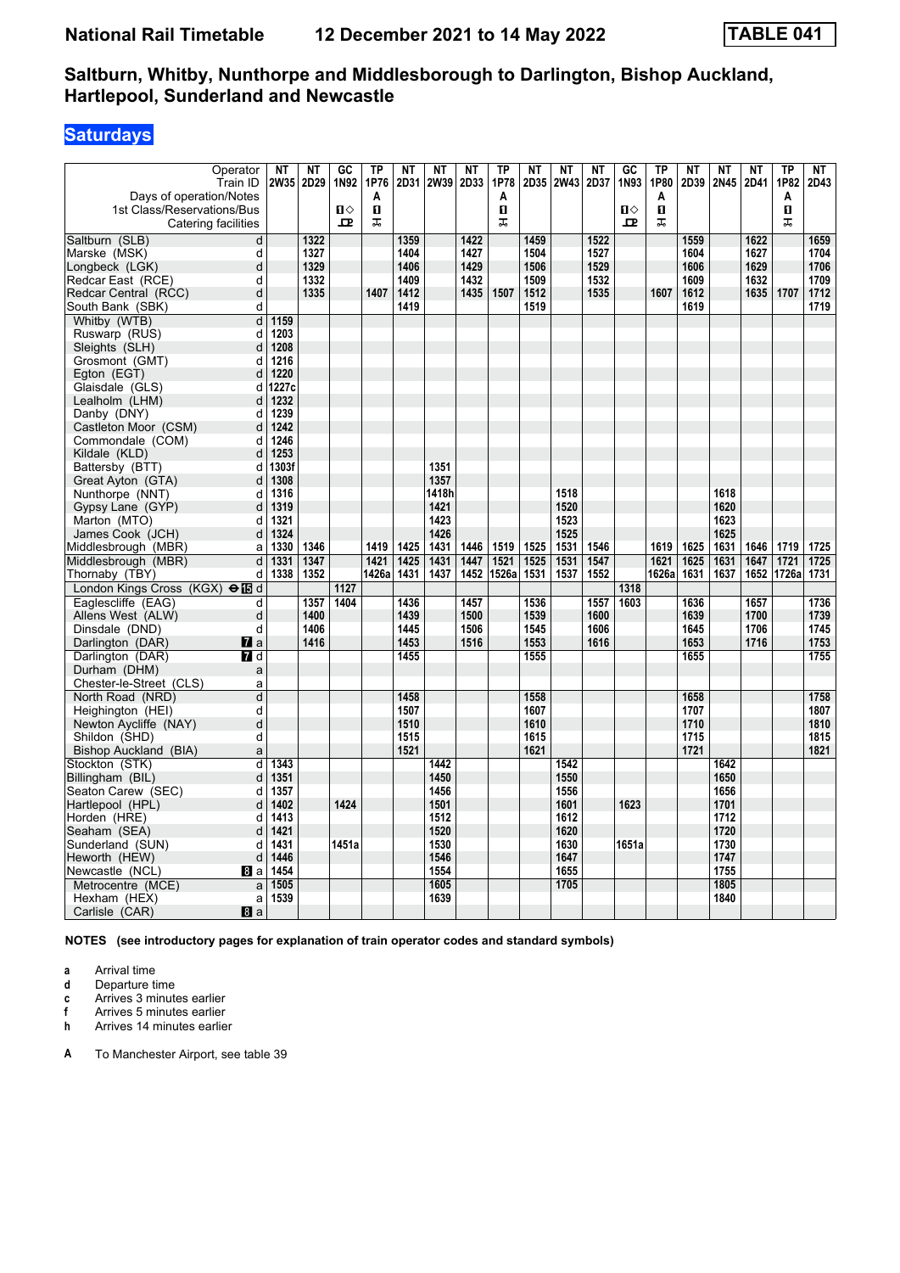## **Saturdays**

| Operator                                              | NΤ           | <b>NT</b> | $\overline{GC}$ | <b>TP</b>    | <b>NT</b> | NT    | NT   | <b>TP</b> | NT   | NT   | NT   | $G$ C        | <b>TP</b>    | <b>NT</b> | ΝT   | <b>NT</b> | <b>TP</b>  | NT   |
|-------------------------------------------------------|--------------|-----------|-----------------|--------------|-----------|-------|------|-----------|------|------|------|--------------|--------------|-----------|------|-----------|------------|------|
| Train ID                                              | 2W35         | 2D29      | 1N92            | 1P76         | 2D31      | 2W39  | 2D33 | 1P78      | 2D35 | 2W43 | 2D37 | 1N93         | 1P80         | 2D39      | 2N45 | 2D41      | 1P82       | 2D43 |
| Days of operation/Notes                               |              |           |                 | Α            |           |       |      | A         |      |      |      |              | A            |           |      |           | A          |      |
| 1st Class/Reservations/Bus                            |              |           | $\mathbf{u}$    | $\mathbf{u}$ |           |       |      | O         |      |      |      | $\mathbf{u}$ | $\mathbf{u}$ |           |      |           | п          |      |
| Catering facilities                                   |              |           | $\mathbf{p}$    | ᠼ            |           |       |      | ᠼ         |      |      |      | $\mathbf{P}$ | ᠼ            |           |      |           | ᠼ          |      |
| Saltburn (SLB)<br>d                                   |              | 1322      |                 |              | 1359      |       | 1422 |           | 1459 |      | 1522 |              |              | 1559      |      | 1622      |            | 1659 |
| d<br>Marske (MSK)                                     |              | 1327      |                 |              | 1404      |       | 1427 |           | 1504 |      | 1527 |              |              | 1604      |      | 1627      |            | 1704 |
| Longbeck (LGK)<br>d                                   |              | 1329      |                 |              | 1406      |       | 1429 |           | 1506 |      | 1529 |              |              | 1606      |      | 1629      |            | 1706 |
| Redcar East (RCE)<br>d                                |              | 1332      |                 |              | 1409      |       | 1432 |           | 1509 |      | 1532 |              |              | 1609      |      | 1632      |            | 1709 |
| Redcar Central (RCC)<br>d                             |              | 1335      |                 | 1407         | 1412      |       | 1435 | 1507      | 1512 |      | 1535 |              | 1607         | 1612      |      | 1635      | 1707       | 1712 |
| South Bank (SBK)<br>d                                 |              |           |                 |              | 1419      |       |      |           | 1519 |      |      |              |              | 1619      |      |           |            | 1719 |
| Whitby (WTB)<br>d                                     | 1159         |           |                 |              |           |       |      |           |      |      |      |              |              |           |      |           |            |      |
| Ruswarp (RUS)<br>d<br>d                               | 1203<br>1208 |           |                 |              |           |       |      |           |      |      |      |              |              |           |      |           |            |      |
| Sleights (SLH)<br>Grosmont (GMT)<br>d                 | 1216         |           |                 |              |           |       |      |           |      |      |      |              |              |           |      |           |            |      |
| Egton (EGT)<br>d                                      | 1220         |           |                 |              |           |       |      |           |      |      |      |              |              |           |      |           |            |      |
| Glaisdale (GLS)<br>d                                  | 1227c        |           |                 |              |           |       |      |           |      |      |      |              |              |           |      |           |            |      |
| Lealholm (LHM)<br>d                                   | 1232         |           |                 |              |           |       |      |           |      |      |      |              |              |           |      |           |            |      |
| Danby (DNY)<br>d                                      | 1239         |           |                 |              |           |       |      |           |      |      |      |              |              |           |      |           |            |      |
| Castleton Moor (CSM)<br>d                             | 1242         |           |                 |              |           |       |      |           |      |      |      |              |              |           |      |           |            |      |
| Commondale (COM)<br>d                                 | 1246         |           |                 |              |           |       |      |           |      |      |      |              |              |           |      |           |            |      |
| Kildale (KLD)<br>d                                    | 1253         |           |                 |              |           |       |      |           |      |      |      |              |              |           |      |           |            |      |
| Battersby (BTT)<br>d                                  | 1303f        |           |                 |              |           | 1351  |      |           |      |      |      |              |              |           |      |           |            |      |
| Great Ayton (GTA)<br>d                                | 1308         |           |                 |              |           | 1357  |      |           |      |      |      |              |              |           |      |           |            |      |
| Nunthorpe (NNT)<br>d                                  | 1316         |           |                 |              |           | 1418h |      |           |      | 1518 |      |              |              |           | 1618 |           |            |      |
| Gypsy Lane (GYP)<br>d                                 | 1319         |           |                 |              |           | 1421  |      |           |      | 1520 |      |              |              |           | 1620 |           |            |      |
| Marton (MTO)<br>d                                     | 1321         |           |                 |              |           | 1423  |      |           |      | 1523 |      |              |              |           | 1623 |           |            |      |
| James Cook (JCH)<br>d                                 | 1324         |           |                 |              |           | 1426  |      |           |      | 1525 |      |              |              |           | 1625 |           |            |      |
| Middlesbrough (MBR)<br>a                              | 1330         | 1346      |                 | 1419         | 1425      | 1431  | 1446 | 1519      | 1525 | 1531 | 1546 |              | 1619         | 1625      | 1631 | 1646      | 1719       | 1725 |
| Middlesbrough (MBR)<br>d                              | 1331         | 1347      |                 | 1421         | 1425      | 1431  | 1447 | 1521      | 1525 | 1531 | 1547 |              | 1621         | 1625      | 1631 | 1647      | 1721       | 1725 |
| Thornaby (TBY)<br>d                                   | 1338         | 1352      |                 | 1426a        | 1431      | 1437  | 1452 | 1526a     | 1531 | 1537 | 1552 |              | 1626a        | 1631      | 1637 |           | 1652 1726a | 1731 |
| London Kings Cross (KGX) elled                        |              |           | 1127            |              |           |       |      |           |      |      |      | 1318         |              |           |      |           |            |      |
| Eaglescliffe (EAG)<br>d                               |              | 1357      | 1404            |              | 1436      |       | 1457 |           | 1536 |      | 1557 | 1603         |              | 1636      |      | 1657      |            | 1736 |
| Allens West (ALW)<br>d                                |              | 1400      |                 |              | 1439      |       | 1500 |           | 1539 |      | 1600 |              |              | 1639      |      | 1700      |            | 1739 |
| Dinsdale (DND)<br>d                                   |              | 1406      |                 |              | 1445      |       | 1506 |           | 1545 |      | 1606 |              |              | 1645      |      | 1706      |            | 1745 |
| Darlington (DAR)<br>$\mathbf{z}$ a                    |              | 1416      |                 |              | 1453      |       | 1516 |           | 1553 |      | 1616 |              |              | 1653      |      | 1716      |            | 1753 |
| Darlington (DAR)<br>7 d                               |              |           |                 |              | 1455      |       |      |           | 1555 |      |      |              |              | 1655      |      |           |            | 1755 |
| Durham (DHM)<br>a                                     |              |           |                 |              |           |       |      |           |      |      |      |              |              |           |      |           |            |      |
| Chester-le-Street (CLS)<br>a<br>d<br>North Road (NRD) |              |           |                 |              | 1458      |       |      |           | 1558 |      |      |              |              | 1658      |      |           |            | 1758 |
| Heighington (HEI)<br>d                                |              |           |                 |              | 1507      |       |      |           | 1607 |      |      |              |              | 1707      |      |           |            | 1807 |
| Newton Aycliffe (NAY)<br>d                            |              |           |                 |              | 1510      |       |      |           | 1610 |      |      |              |              | 1710      |      |           |            | 1810 |
| d<br>Shildon (SHD)                                    |              |           |                 |              | 1515      |       |      |           | 1615 |      |      |              |              | 1715      |      |           |            | 1815 |
| Bishop Auckland (BIA)<br>a                            |              |           |                 |              | 1521      |       |      |           | 1621 |      |      |              |              | 1721      |      |           |            | 1821 |
| $\mathsf{d}$<br>Stockton (STK)                        | 1343         |           |                 |              |           | 1442  |      |           |      | 1542 |      |              |              |           | 1642 |           |            |      |
| Billingham (BIL)<br>d                                 | 1351         |           |                 |              |           | 1450  |      |           |      | 1550 |      |              |              |           | 1650 |           |            |      |
| Seaton Carew (SEC)<br>d                               | 1357         |           |                 |              |           | 1456  |      |           |      | 1556 |      |              |              |           | 1656 |           |            |      |
| Hartlepool (HPL)<br>d                                 | 1402         |           | 1424            |              |           | 1501  |      |           |      | 1601 |      | 1623         |              |           | 1701 |           |            |      |
| Horden (HRE)<br>d                                     | 1413         |           |                 |              |           | 1512  |      |           |      | 1612 |      |              |              |           | 1712 |           |            |      |
| Seaham (SEA)<br>d                                     | 1421         |           |                 |              |           | 1520  |      |           |      | 1620 |      |              |              |           | 1720 |           |            |      |
| Sunderland (SUN)<br>d                                 | 1431         |           | 1451a           |              |           | 1530  |      |           |      | 1630 |      | 1651a        |              |           | 1730 |           |            |      |
| Heworth (HEW)<br>d                                    | 1446         |           |                 |              |           | 1546  |      |           |      | 1647 |      |              |              |           | 1747 |           |            |      |
| Newcastle (NCL)<br>8l a                               | 1454         |           |                 |              |           | 1554  |      |           |      | 1655 |      |              |              |           | 1755 |           |            |      |
| Metrocentre (MCE)<br>a                                | 1505         |           |                 |              |           | 1605  |      |           |      | 1705 |      |              |              |           | 1805 |           |            |      |
| Hexham (HEX)<br>a                                     | 1539         |           |                 |              |           | 1639  |      |           |      |      |      |              |              |           | 1840 |           |            |      |
| Carlisle (CAR)<br>8a                                  |              |           |                 |              |           |       |      |           |      |      |      |              |              |           |      |           |            |      |

**NOTES (see introductory pages for explanation of train operator codes and standard symbols)**

**a** Arrival time<br>**d** Departure t

**d** Departure time

**c** Arrives 3 minutes earlier

**f** Arrives 5 minutes earlier<br>**h** Arrives 14 minutes earlie **K** Arrives 14 minutes earlier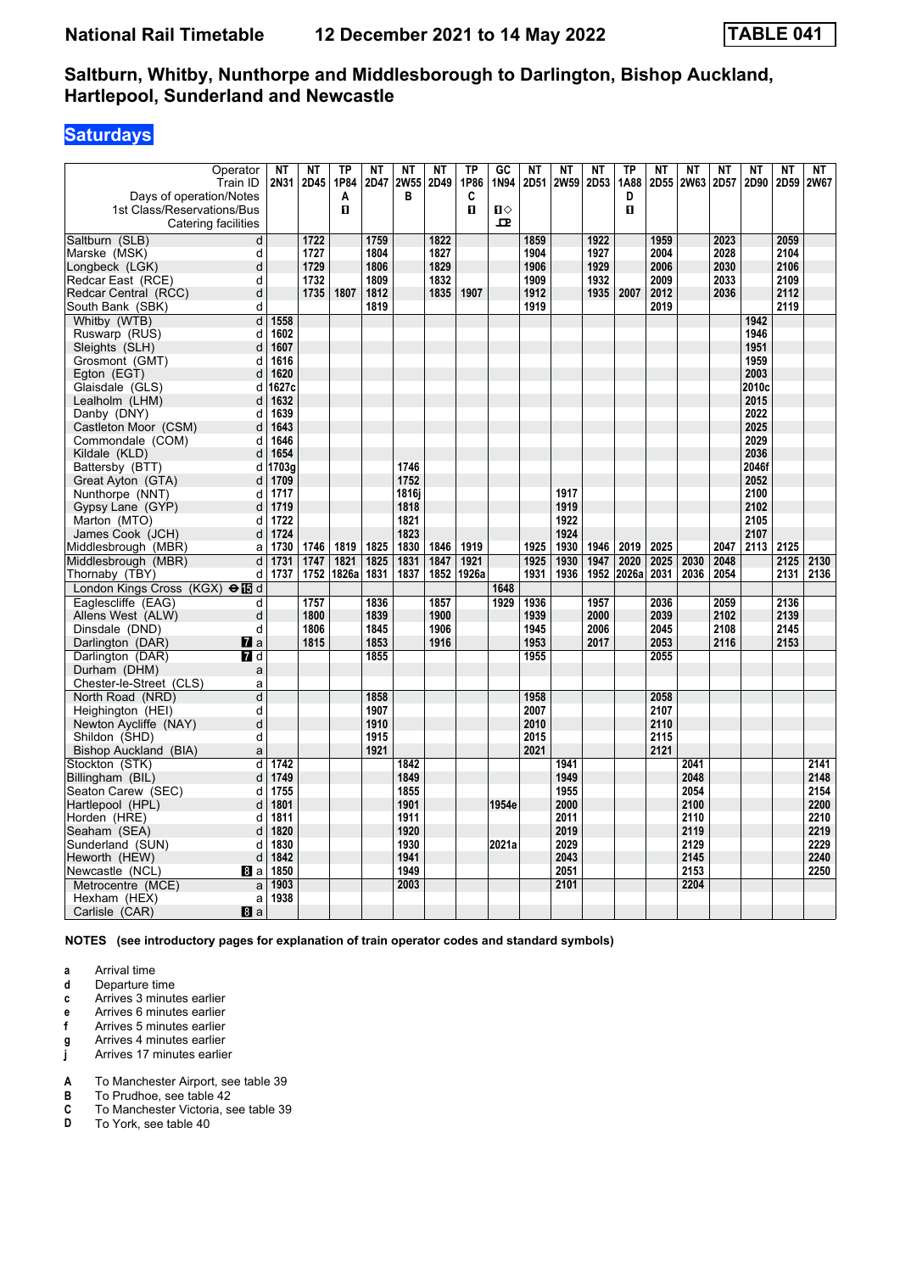## **Saturdays**

| Operator                                  | <b>NT</b>    | NT   | <b>TP</b> | <b>NT</b> | <b>NT</b>   | <b>NT</b> | <b>TP</b> | G <sub>C</sub> | <b>NT</b> | NT   | <b>NT</b> | <b>TP</b> | <b>NT</b> | <b>NT</b> | <b>NT</b> | <b>NT</b>    | <b>NT</b> | <b>NT</b> |
|-------------------------------------------|--------------|------|-----------|-----------|-------------|-----------|-----------|----------------|-----------|------|-----------|-----------|-----------|-----------|-----------|--------------|-----------|-----------|
| Train ID                                  | 2N31         | 2D45 | 1P84      | 2D47      | <b>2W55</b> | 2D49      | 1P86      | 1N94           | 2D51      | 2W59 | 2D53      | 1A88      | 2D55      | 2W63      | 2D57      | 2D90         | 2D59      | 2W67      |
| Days of operation/Notes                   |              |      | Α         |           | В           |           | C         |                |           |      |           | D         |           |           |           |              |           |           |
| 1st Class/Reservations/Bus                |              |      | п         |           |             |           | п         | $\mathbf{u}$   |           |      |           | п         |           |           |           |              |           |           |
| Catering facilities                       |              |      |           |           |             |           |           | 모              |           |      |           |           |           |           |           |              |           |           |
| $\overline{\mathsf{d}}$<br>Saltburn (SLB) |              | 1722 |           | 1759      |             | 1822      |           |                | 1859      |      | 1922      |           | 1959      |           | 2023      |              | 2059      |           |
| d<br>Marske (MSK)                         |              | 1727 |           | 1804      |             | 1827      |           |                | 1904      |      | 1927      |           | 2004      |           | 2028      |              | 2104      |           |
| d<br>Longbeck (LGK)                       |              | 1729 |           | 1806      |             | 1829      |           |                | 1906      |      | 1929      |           | 2006      |           | 2030      |              | 2106      |           |
| Redcar East (RCE)<br>d                    |              | 1732 |           | 1809      |             | 1832      |           |                | 1909      |      | 1932      |           | 2009      |           | 2033      |              | 2109      |           |
| Redcar Central (RCC)<br>d                 |              | 1735 | 1807      | 1812      |             | 1835      | 1907      |                | 1912      |      | 1935      | 2007      | 2012      |           | 2036      |              | 2112      |           |
| South Bank (SBK)<br>d                     |              |      |           | 1819      |             |           |           |                | 1919      |      |           |           | 2019      |           |           |              | 2119      |           |
| Whitby (WTB)<br>d<br>d                    | 1558<br>1602 |      |           |           |             |           |           |                |           |      |           |           |           |           |           | 1942<br>1946 |           |           |
| Ruswarp (RUS)<br>d                        | 1607         |      |           |           |             |           |           |                |           |      |           |           |           |           |           | 1951         |           |           |
| Sleights (SLH)<br>d                       | 1616         |      |           |           |             |           |           |                |           |      |           |           |           |           |           | 1959         |           |           |
| Grosmont (GMT)<br>d                       | 1620         |      |           |           |             |           |           |                |           |      |           |           |           |           |           | 2003         |           |           |
| Egton (EGT)<br>Glaisdale (GLS)<br>d       | 1627c        |      |           |           |             |           |           |                |           |      |           |           |           |           |           | 2010c        |           |           |
| Lealholm (LHM)<br>d                       | 1632         |      |           |           |             |           |           |                |           |      |           |           |           |           |           | 2015         |           |           |
| Danby (DNY)<br>d                          | 1639         |      |           |           |             |           |           |                |           |      |           |           |           |           |           | 2022         |           |           |
| Castleton Moor (CSM)<br>d                 | 1643         |      |           |           |             |           |           |                |           |      |           |           |           |           |           | 2025         |           |           |
| Commondale (COM)<br>d                     | 1646         |      |           |           |             |           |           |                |           |      |           |           |           |           |           | 2029         |           |           |
| Kildale (KLD)<br>d                        | 1654         |      |           |           |             |           |           |                |           |      |           |           |           |           |           | 2036         |           |           |
| Battersby (BTT)<br>d                      | 1703g        |      |           |           | 1746        |           |           |                |           |      |           |           |           |           |           | 2046f        |           |           |
| Great Ayton (GTA)<br>d                    | 1709         |      |           |           | 1752        |           |           |                |           |      |           |           |           |           |           | 2052         |           |           |
| Nunthorpe (NNT)<br>d                      | 1717         |      |           |           | 1816i       |           |           |                |           | 1917 |           |           |           |           |           | 2100         |           |           |
| Gypsy Lane (GYP)<br>d                     | 1719         |      |           |           | 1818        |           |           |                |           | 1919 |           |           |           |           |           | 2102         |           |           |
| Marton (MTO)<br>d                         | 1722         |      |           |           | 1821        |           |           |                |           | 1922 |           |           |           |           |           | 2105         |           |           |
| James Cook (JCH)<br>d                     | 1724         |      |           |           | 1823        |           |           |                |           | 1924 |           |           |           |           |           | 2107         |           |           |
| Middlesbrough (MBR)<br>a                  | 1730         | 1746 | 1819      | 1825      | 1830        | 1846      | 1919      |                | 1925      | 1930 | 1946      | 2019      | 2025      |           | 2047      | 2113         | 2125      |           |
| Middlesbrough (MBR)<br>d                  | 1731         | 1747 | 1821      | 1825      | 1831        | 1847      | 1921      |                | 1925      | 1930 | 1947      | 2020      | 2025      | 2030      | 2048      |              | 2125      | 2130      |
| Thornaby (TBY)<br>d                       | 1737         | 1752 | 1826a     | 1831      | 1837        | 1852      | 1926a     |                | 1931      | 1936 | 1952      | 2026a     | 2031      | 2036      | 2054      |              | 2131      | 2136      |
| London Kings Cross (KGX) <b>⊖個</b> d      |              |      |           |           |             |           |           | 1648           |           |      |           |           |           |           |           |              |           |           |
| Eaglescliffe (EAG)<br>d                   |              | 1757 |           | 1836      |             | 1857      |           | 1929           | 1936      |      | 1957      |           | 2036      |           | 2059      |              | 2136      |           |
| d<br>Allens West (ALW)                    |              | 1800 |           | 1839      |             | 1900      |           |                | 1939      |      | 2000      |           | 2039      |           | 2102      |              | 2139      |           |
| Dinsdale (DND)<br>d                       |              | 1806 |           | 1845      |             | 1906      |           |                | 1945      |      | 2006      |           | 2045      |           | 2108      |              | 2145      |           |
| Darlington (DAR)<br>$\mathbf{z}$ a        |              | 1815 |           | 1853      |             | 1916      |           |                | 1953      |      | 2017      |           | 2053      |           | 2116      |              | 2153      |           |
| Darlington (DAR)<br>7 d                   |              |      |           | 1855      |             |           |           |                | 1955      |      |           |           | 2055      |           |           |              |           |           |
| Durham (DHM)<br>a                         |              |      |           |           |             |           |           |                |           |      |           |           |           |           |           |              |           |           |
| Chester-le-Street (CLS)<br>a              |              |      |           |           |             |           |           |                |           |      |           |           |           |           |           |              |           |           |
| d<br>North Road (NRD)                     |              |      |           | 1858      |             |           |           |                | 1958      |      |           |           | 2058      |           |           |              |           |           |
| d<br>Heighington (HEI)                    |              |      |           | 1907      |             |           |           |                | 2007      |      |           |           | 2107      |           |           |              |           |           |
| Newton Aycliffe (NAY)<br>d                |              |      |           | 1910      |             |           |           |                | 2010      |      |           |           | 2110      |           |           |              |           |           |
| Shildon (SHD)<br>d                        |              |      |           | 1915      |             |           |           |                | 2015      |      |           |           | 2115      |           |           |              |           |           |
| <b>Bishop Auckland (BIA)</b><br>a         |              |      |           | 1921      |             |           |           |                | 2021      |      |           |           | 2121      |           |           |              |           |           |
| Stockton (STK)<br>d                       | 1742         |      |           |           | 1842        |           |           |                |           | 1941 |           |           |           | 2041      |           |              |           | 2141      |
| Billingham (BIL)<br>d                     | 1749         |      |           |           | 1849        |           |           |                |           | 1949 |           |           |           | 2048      |           |              |           | 2148      |
| Seaton Carew (SEC)<br>d                   | 1755         |      |           |           | 1855        |           |           |                |           | 1955 |           |           |           | 2054      |           |              |           | 2154      |
| Hartlepool (HPL)<br>d                     | 1801         |      |           |           | 1901        |           |           | 1954e          |           | 2000 |           |           |           | 2100      |           |              |           | 2200      |
| Horden (HRE)<br>d                         | 1811         |      |           |           | 1911        |           |           |                |           | 2011 |           |           |           | 2110      |           |              |           | 2210      |
| Seaham (SEA)<br>d                         | 1820         |      |           |           | 1920        |           |           |                |           | 2019 |           |           |           | 2119      |           |              |           | 2219      |
| Sunderland (SUN)<br>d                     | 1830         |      |           |           | 1930        |           |           | 2021a          |           | 2029 |           |           |           | 2129      |           |              |           | 2229      |
| Heworth (HEW)<br>d                        | 1842         |      |           |           | 1941        |           |           |                |           | 2043 |           |           |           | 2145      |           |              |           | 2240      |
| Newcastle (NCL)<br>8a                     | 1850         |      |           |           | 1949        |           |           |                |           | 2051 |           |           |           | 2153      |           |              |           | 2250      |
| Metrocentre (MCE)<br>a                    | 1903<br>1938 |      |           |           | 2003        |           |           |                |           | 2101 |           |           |           | 2204      |           |              |           |           |
| Hexham (HEX)<br>a                         |              |      |           |           |             |           |           |                |           |      |           |           |           |           |           |              |           |           |
| 8a<br>Carlisle (CAR)                      |              |      |           |           |             |           |           |                |           |      |           |           |           |           |           |              |           |           |

**NOTES (see introductory pages for explanation of train operator codes and standard symbols)**

**a** Arrival time<br>**d** Departure t

- **d** Departure time
- **c** Arrives 3 minutes earlier
- **e** Arrives 6 minutes earlier<br>**f** Arrives 5 minutes earlier

**f** Arrives 5 minutes earlier

**g** Arrives 4 minutes earlier

**j** Arrives 17 minutes earlier

**A** To Manchester Airport, see table 39<br>**B** To Prudhoe, see table 42

To Prudhoe, see table 42

**C** To Manchester Victoria, see table 39<br>**D** To York, see table 40

To York, see table 40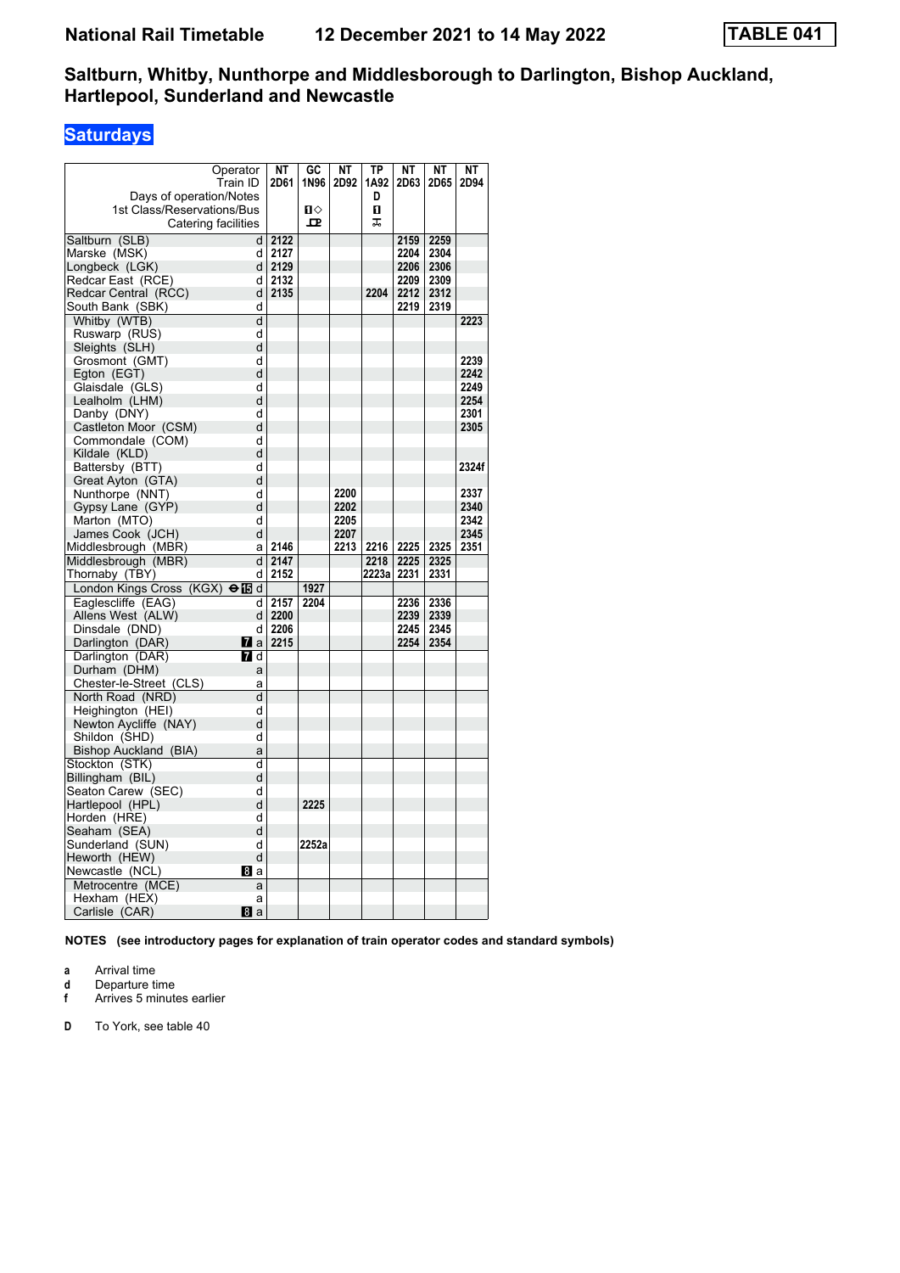# **Saturdays**

|                                      | Operator         | NΤ   | GC    | <b>NT</b> | <b>TP</b> | NΤ   | <b>NT</b> | NΤ    |
|--------------------------------------|------------------|------|-------|-----------|-----------|------|-----------|-------|
|                                      | Train ID         | 2D61 | 1N96  | 2D92      | 1A92      | 2D63 | 2D65      | 2D94  |
| Days of operation/Notes              |                  |      |       |           | D         |      |           |       |
| 1st Class/Reservations/Bus           |                  |      | п⇔    |           | 0         |      |           |       |
|                                      |                  |      | ᇁ     |           | ᠼ         |      |           |       |
| Catering facilities                  |                  |      |       |           |           |      |           |       |
| Saltburn (SLB)                       | d                | 2122 |       |           |           | 2159 | 2259      |       |
| Marske (MSK)                         | d                | 2127 |       |           |           | 2204 | 2304      |       |
| Longbeck (LGK)                       | d                | 2129 |       |           |           | 2206 | 2306      |       |
| Redcar East (RCE)                    | d                | 2132 |       |           |           | 2209 | 2309      |       |
| Redcar Central (RCC)                 | d                | 2135 |       |           | 2204      | 2212 | 2312      |       |
| South Bank (SBK)                     | d                |      |       |           |           | 2219 | 2319      |       |
| Whitby (WTB)                         | d                |      |       |           |           |      |           | 2223  |
| Ruswarp (RUS)                        | d                |      |       |           |           |      |           |       |
| Sleights (SLH)                       | d                |      |       |           |           |      |           |       |
| Grosmont (GMT)                       | d                |      |       |           |           |      |           | 2239  |
| Egton (EGT)                          | d                |      |       |           |           |      |           | 2242  |
| Glaisdale (GLS)                      | d                |      |       |           |           |      |           | 2249  |
| Lealholm (LHM)                       | d                |      |       |           |           |      |           | 2254  |
| Danby (DNY)                          | d                |      |       |           |           |      |           | 2301  |
| Castleton Moor (CSM)                 | d                |      |       |           |           |      |           | 2305  |
| Commondale (COM)                     | d                |      |       |           |           |      |           |       |
| Kildale (KLD)                        | d                |      |       |           |           |      |           |       |
| Battersby (BTT)                      | d                |      |       |           |           |      |           | 2324f |
| Great Ayton (GTA)                    | d                |      |       |           |           |      |           |       |
| Nunthorpe (NNT)                      | d                |      |       | 2200      |           |      |           | 2337  |
| Gypsy Lane (GYP)                     | d                |      |       | 2202      |           |      |           | 2340  |
| Marton (MTO)                         | d                |      |       | 2205      |           |      |           | 2342  |
| James Cook (JCH)                     | d                |      |       | 2207      |           |      |           | 2345  |
| Middlesbrough (MBR)                  | a                | 2146 |       | 2213      | 2216      | 2225 | 2325      | 2351  |
| Middlesbrough (MBR)                  | d                | 2147 |       |           | 2218      | 2225 | 2325      |       |
| Thornaby (TBY)                       | d                | 2152 |       |           | 2223a     | 2231 | 2331      |       |
| London Kings Cross (KGX)             | $\Theta$ is d    |      | 1927  |           |           |      |           |       |
| Eaglescliffe (EAG)                   | d                | 2157 | 2204  |           |           | 2236 | 2336      |       |
| Allens West (ALW)                    | d                | 2200 |       |           |           | 2239 | 2339      |       |
| Dinsdale (DND)                       | d                | 2206 |       |           |           | 2245 | 2345      |       |
| Darlington (DAR)                     | <b>M</b> a       | 2215 |       |           |           | 2254 | 2354      |       |
| Darlington (DAR)                     | $\blacksquare$ d |      |       |           |           |      |           |       |
| Durham (DHM)                         | a                |      |       |           |           |      |           |       |
| Chester-le-Street (CLS)              | a                |      |       |           |           |      |           |       |
| North Road (NRD)                     | d                |      |       |           |           |      |           |       |
| Heighington (HEI)                    | d                |      |       |           |           |      |           |       |
| Newton Aycliffe (NAY)                | d                |      |       |           |           |      |           |       |
| Shildon (SHD)                        | d                |      |       |           |           |      |           |       |
| Bishop Auckland (BIA)                | a                |      |       |           |           |      |           |       |
| Stockton (STK)                       | d                |      |       |           |           |      |           |       |
| Billingham (BIL)                     | d                |      |       |           |           |      |           |       |
| Seaton Carew (SEC)                   | d                |      |       |           |           |      |           |       |
| Hartlepool (HPL)                     | d<br>d           |      | 2225  |           |           |      |           |       |
| Horden (HRE)                         | d                |      |       |           |           |      |           |       |
| Seaham (SEA)                         |                  |      | 2252a |           |           |      |           |       |
| Sunderland (SUN)                     | d<br>d           |      |       |           |           |      |           |       |
| Heworth (HEW)                        | Bl a             |      |       |           |           |      |           |       |
| Newcastle (NCL)<br>Metrocentre (MCE) | a                |      |       |           |           |      |           |       |
| Hexham (HEX)                         | а                |      |       |           |           |      |           |       |
| Carlisle (CAR)                       | 8a               |      |       |           |           |      |           |       |
|                                      |                  |      |       |           |           |      |           |       |

**NOTES (see introductory pages for explanation of train operator codes and standard symbols)**

- **a** Arrival time<br>**d** Departure ti
- **d** Departure time
- **f** Arrives 5 minutes earlier
- **D** To York, see table 40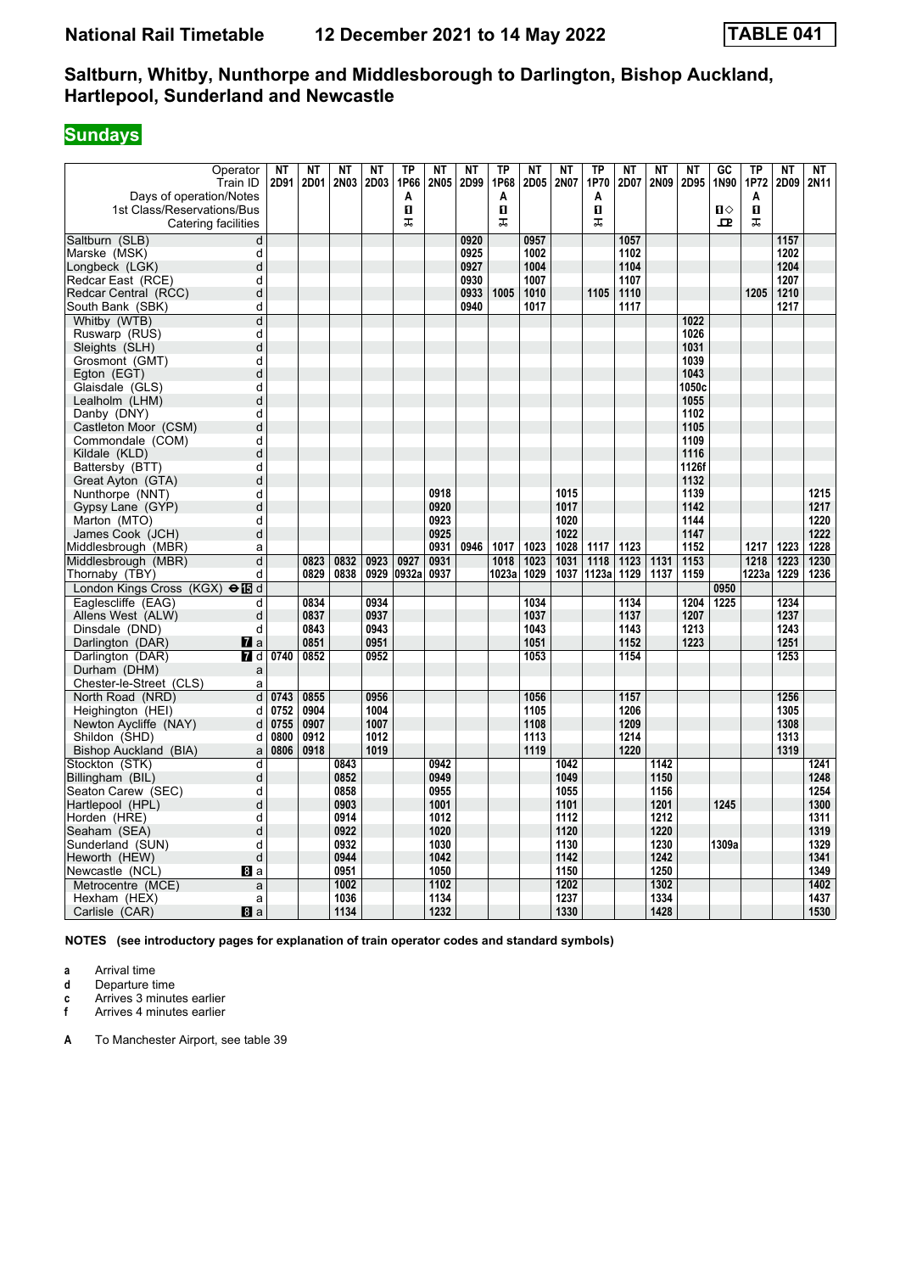# **Sundays**

| Operator<br>Train ID               | <b>NT</b><br>2D91 | <b>NT</b><br>2D01 | <b>NT</b><br>2N03 | <b>NT</b><br>2D03 | <b>TP</b><br>1P66 | <b>NT</b><br>2N05 | <b>NT</b><br>2D99 | <b>TP</b><br>1P68 | <b>NT</b><br>2D05 | <b>NT</b><br>2N07 | <b>TP</b><br>1P70 | <b>NT</b><br>2D07 | <b>NT</b><br>2N09 | <b>NT</b><br>2D95 | GC<br>1N90     | <b>TP</b><br>1P72 | <b>NT</b><br>2D09 | <b>NT</b><br>2N11 |
|------------------------------------|-------------------|-------------------|-------------------|-------------------|-------------------|-------------------|-------------------|-------------------|-------------------|-------------------|-------------------|-------------------|-------------------|-------------------|----------------|-------------------|-------------------|-------------------|
| Days of operation/Notes            |                   |                   |                   |                   | A                 |                   |                   | A                 |                   |                   | A                 |                   |                   |                   |                | A                 |                   |                   |
| 1st Class/Reservations/Bus         |                   |                   |                   |                   | п                 |                   |                   | П                 |                   |                   | п                 |                   |                   |                   | $\blacksquare$ | 0                 |                   |                   |
| Catering facilities                |                   |                   |                   |                   | ᠼ                 |                   |                   | ᠼ                 |                   |                   | ᠼ                 |                   |                   |                   | $\mathbf{p}$   | ᠼ                 |                   |                   |
| Saltburn (SLB)                     | d                 |                   |                   |                   |                   |                   | 0920              |                   | 0957              |                   |                   | 1057              |                   |                   |                |                   | 1157              |                   |
| Marske (MSK)                       | d                 |                   |                   |                   |                   |                   | 0925              |                   | 1002              |                   |                   | 1102              |                   |                   |                |                   | 1202              |                   |
| Longbeck (LGK)                     | d                 |                   |                   |                   |                   |                   | 0927              |                   | 1004              |                   |                   | 1104              |                   |                   |                |                   | 1204              |                   |
| Redcar East (RCE)                  | d                 |                   |                   |                   |                   |                   | 0930              |                   | 1007              |                   |                   | 1107              |                   |                   |                |                   | 1207              |                   |
| Redcar Central (RCC)               | d                 |                   |                   |                   |                   |                   | 0933              | 1005              | 1010              |                   | 1105              | 1110              |                   |                   |                | 1205              | 1210              |                   |
| South Bank (SBK)                   | d                 |                   |                   |                   |                   |                   | 0940              |                   | 1017              |                   |                   | 1117              |                   |                   |                |                   | 1217              |                   |
| Whitby (WTB)                       | d                 |                   |                   |                   |                   |                   |                   |                   |                   |                   |                   |                   |                   | 1022              |                |                   |                   |                   |
| Ruswarp (RUS)                      | d                 |                   |                   |                   |                   |                   |                   |                   |                   |                   |                   |                   |                   | 1026              |                |                   |                   |                   |
| Sleights (SLH)                     | d                 |                   |                   |                   |                   |                   |                   |                   |                   |                   |                   |                   |                   | 1031              |                |                   |                   |                   |
| Grosmont (GMT)                     | d                 |                   |                   |                   |                   |                   |                   |                   |                   |                   |                   |                   |                   | 1039              |                |                   |                   |                   |
| Egton (EGT)                        | d                 |                   |                   |                   |                   |                   |                   |                   |                   |                   |                   |                   |                   | 1043              |                |                   |                   |                   |
| Glaisdale (GLS)                    | d                 |                   |                   |                   |                   |                   |                   |                   |                   |                   |                   |                   |                   | 1050c             |                |                   |                   |                   |
| Lealholm (LHM)                     | d                 |                   |                   |                   |                   |                   |                   |                   |                   |                   |                   |                   |                   | 1055              |                |                   |                   |                   |
| Danby (DNY)                        | d                 |                   |                   |                   |                   |                   |                   |                   |                   |                   |                   |                   |                   | 1102              |                |                   |                   |                   |
| Castleton Moor (CSM)               | d                 |                   |                   |                   |                   |                   |                   |                   |                   |                   |                   |                   |                   | 1105              |                |                   |                   |                   |
| Commondale (COM)                   | d                 |                   |                   |                   |                   |                   |                   |                   |                   |                   |                   |                   |                   | 1109              |                |                   |                   |                   |
| Kildale (KLD)                      | d                 |                   |                   |                   |                   |                   |                   |                   |                   |                   |                   |                   |                   | 1116              |                |                   |                   |                   |
| Battersby (BTT)                    | d                 |                   |                   |                   |                   |                   |                   |                   |                   |                   |                   |                   |                   | 1126f             |                |                   |                   |                   |
| Great Ayton (GTA)                  | d                 |                   |                   |                   |                   |                   |                   |                   |                   |                   |                   |                   |                   | 1132              |                |                   |                   |                   |
| Nunthorpe (NNT)                    | d                 |                   |                   |                   |                   | 0918              |                   |                   |                   | 1015              |                   |                   |                   | 1139              |                |                   |                   | 1215              |
| Gypsy Lane (GYP)                   | d                 |                   |                   |                   |                   | 0920              |                   |                   |                   | 1017              |                   |                   |                   | 1142              |                |                   |                   | 1217              |
| Marton (MTO)                       | d                 |                   |                   |                   |                   | 0923              |                   |                   |                   | 1020              |                   |                   |                   | 1144              |                |                   |                   | 1220              |
| James Cook (JCH)                   | d                 |                   |                   |                   |                   | 0925              |                   |                   |                   | 1022              |                   |                   |                   | 1147              |                |                   |                   | 1222              |
| Middlesbrough (MBR)                | a                 |                   |                   |                   |                   | 0931              | 0946              | 1017              | 1023              | 1028              | 1117              | 1123              |                   | 1152              |                | 1217              | 1223              | 1228              |
| Middlesbrough (MBR)                | d                 | 0823              | 0832              | 0923              | 0927              | 0931              |                   | 1018              | 1023              | 1031              | 1118              | 1123              | 1131              | 1153              |                | 1218              | 1223              | 1230              |
| Thornaby (TBY)                     | d                 | 0829              | 0838              | 0929              | 0932a             | 0937              |                   | 1023a             | 1029              | 1037              | 1123a             | 1129              | 1137              | 1159              |                | 1223a             | 1229              | 1236              |
| London Kings Cross (KGX) ellad     |                   |                   |                   |                   |                   |                   |                   |                   |                   |                   |                   |                   |                   |                   | 0950           |                   |                   |                   |
| Eaglescliffe (EAG)                 | d                 | 0834              |                   | 0934              |                   |                   |                   |                   | 1034              |                   |                   | 1134              |                   | 1204              | 1225           |                   | 1234              |                   |
| Allens West (ALW)                  | d                 | 0837              |                   | 0937              |                   |                   |                   |                   | 1037              |                   |                   | 1137              |                   | 1207              |                |                   | 1237              |                   |
| Dinsdale (DND)                     | d                 | 0843              |                   | 0943              |                   |                   |                   |                   | 1043              |                   |                   | 1143              |                   | 1213              |                |                   | 1243              |                   |
| Darlington (DAR)<br>$\mathbf{z}$ a |                   | 0851              |                   | 0951              |                   |                   |                   |                   | 1051              |                   |                   | 1152              |                   | 1223              |                |                   | 1251              |                   |
| Darlington (DAR)<br>7 d            | 0740              | 0852              |                   | 0952              |                   |                   |                   |                   | 1053              |                   |                   | 1154              |                   |                   |                |                   | 1253              |                   |
| Durham (DHM)                       | a                 |                   |                   |                   |                   |                   |                   |                   |                   |                   |                   |                   |                   |                   |                |                   |                   |                   |
| Chester-le-Street (CLS)            | a                 |                   |                   |                   |                   |                   |                   |                   |                   |                   |                   |                   |                   |                   |                |                   |                   |                   |
| North Road (NRD)                   | þ<br>0743         | 0855              |                   | 0956              |                   |                   |                   |                   | 1056              |                   |                   | 1157              |                   |                   |                |                   | 1256              |                   |
| Heighington (HEI)                  | d<br>0752         | 0904              |                   | 1004              |                   |                   |                   |                   | 1105              |                   |                   | 1206              |                   |                   |                |                   | 1305              |                   |
| Newton Aycliffe (NAY)              | d<br>0755         | 0907              |                   | 1007              |                   |                   |                   |                   | 1108              |                   |                   | 1209              |                   |                   |                |                   | 1308              |                   |
| Shildon (SHD)                      | d<br>0800         | 0912              |                   | 1012              |                   |                   |                   |                   | 1113              |                   |                   | 1214              |                   |                   |                |                   | 1313              |                   |
| Bishop Auckland (BIA)              | 0806<br>a         | 0918              |                   | 1019              |                   |                   |                   |                   | 1119              |                   |                   | 1220              |                   |                   |                |                   | 1319              |                   |
| Stockton (STK)                     | d                 |                   | 0843              |                   |                   | 0942              |                   |                   |                   | 1042              |                   |                   | 1142              |                   |                |                   |                   | 1241              |
| Billingham (BIL)                   | d                 |                   | 0852              |                   |                   | 0949              |                   |                   |                   | 1049              |                   |                   | 1150              |                   |                |                   |                   | 1248              |
| Seaton Carew (SEC)                 | d                 |                   | 0858              |                   |                   | 0955              |                   |                   |                   | 1055              |                   |                   | 1156              |                   |                |                   |                   | 1254              |
| Hartlepool (HPL)                   | d                 |                   | 0903              |                   |                   | 1001              |                   |                   |                   | 1101              |                   |                   | 1201              |                   | 1245           |                   |                   | 1300              |
| Horden (HRE)                       | d                 |                   | 0914              |                   |                   | 1012              |                   |                   |                   | 1112              |                   |                   | 1212              |                   |                |                   |                   | 1311              |
| Seaham (SEA)                       | d                 |                   | 0922              |                   |                   | 1020              |                   |                   |                   | 1120              |                   |                   | 1220              |                   |                |                   |                   | 1319              |
| Sunderland (SUN)                   | d                 |                   | 0932              |                   |                   | 1030              |                   |                   |                   | 1130              |                   |                   | 1230              |                   | 1309a          |                   |                   | 1329              |
| Heworth (HEW)                      | d                 |                   | 0944              |                   |                   | 1042              |                   |                   |                   | 1142              |                   |                   | 1242              |                   |                |                   |                   | 1341              |
| Newcastle (NCL)<br>8a              |                   |                   | 0951              |                   |                   | 1050              |                   |                   |                   | 1150              |                   |                   | 1250              |                   |                |                   |                   | 1349              |
| Metrocentre (MCE)                  | a                 |                   | 1002              |                   |                   | 1102              |                   |                   |                   | 1202              |                   |                   | 1302              |                   |                |                   |                   | 1402              |
| Hexham (HEX)                       | a                 |                   | 1036              |                   |                   | 1134              |                   |                   |                   | 1237              |                   |                   | 1334              |                   |                |                   |                   | 1437<br>1530      |
| Carlisle (CAR)<br>8a               |                   |                   | 1134              |                   |                   | 1232              |                   |                   |                   | 1330              |                   |                   | 1428              |                   |                |                   |                   |                   |

**NOTES (see introductory pages for explanation of train operator codes and standard symbols)**

**a** Arrival time<br>**d** Departure t

**d** Departure time

**c** Arrives 3 minutes earlier

**f** Arrives 4 minutes earlier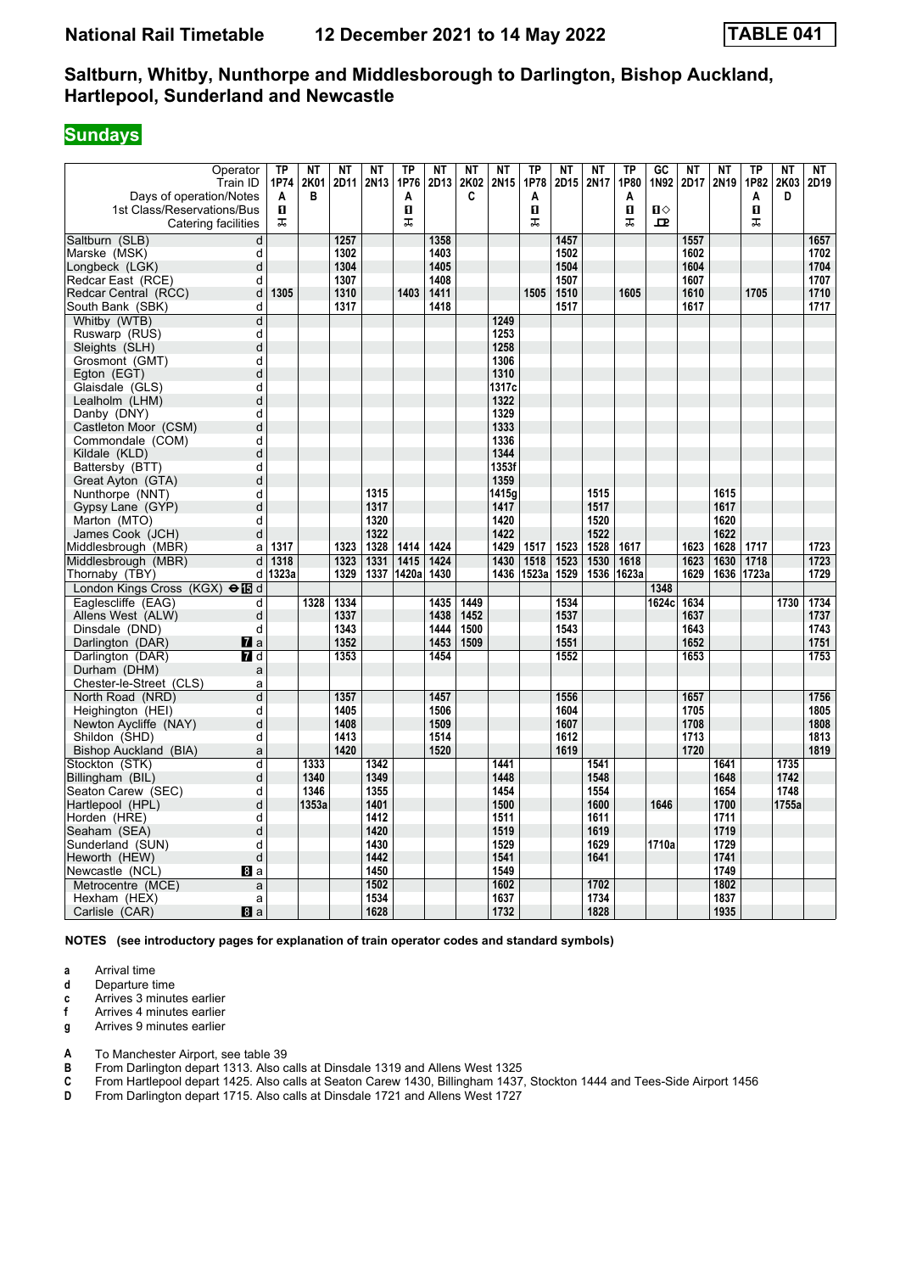#### **Sundays**

| 1st Class/Reservations/Bus<br>Catering facilities | п<br>ᠼ                  | в            |              | 2N13         | 1P76<br>A<br>O<br>ᠼ | 2D13 | 2K02<br>C | 2N15         | 1P78<br>Α<br>п<br>ᠼ | 2D15         | 2N17         | 1P80<br>A<br>$\mathbf{u}$<br>ᠼ | 1N92<br>$\mathbf{u}$<br>모 | 2D17         | 2N19         | 1P82<br>A<br>0<br>ᠼ | 2K03<br>D    | 2D19         |
|---------------------------------------------------|-------------------------|--------------|--------------|--------------|---------------------|------|-----------|--------------|---------------------|--------------|--------------|--------------------------------|---------------------------|--------------|--------------|---------------------|--------------|--------------|
| Saltburn (SLB)                                    | d                       |              | 1257         |              |                     | 1358 |           |              |                     | 1457         |              |                                |                           | 1557         |              |                     |              | 1657         |
| Marske (MSK)                                      | d                       |              | 1302         |              |                     | 1403 |           |              |                     | 1502         |              |                                |                           | 1602         |              |                     |              | 1702         |
| Longbeck (LGK)                                    | d                       |              | 1304         |              |                     | 1405 |           |              |                     | 1504         |              |                                |                           | 1604         |              |                     |              | 1704         |
| Redcar East (RCE)                                 | d                       |              | 1307         |              |                     | 1408 |           |              |                     | 1507         |              |                                |                           | 1607         |              |                     |              | 1707         |
| Redcar Central (RCC)                              | 1305<br>d               |              | 1310         |              | 1403                | 1411 |           |              | 1505                | 1510         |              | 1605                           |                           | 1610         |              | 1705                |              | 1710         |
| South Bank (SBK)                                  | d                       |              | 1317         |              |                     | 1418 |           |              |                     | 1517         |              |                                |                           | 1617         |              |                     |              | 1717         |
| Whitby (WTB)                                      | $\overline{\mathsf{d}}$ |              |              |              |                     |      |           | 1249         |                     |              |              |                                |                           |              |              |                     |              |              |
| Ruswarp (RUS)                                     | d                       |              |              |              |                     |      |           | 1253         |                     |              |              |                                |                           |              |              |                     |              |              |
| Sleights (SLH)                                    | d                       |              |              |              |                     |      |           | 1258         |                     |              |              |                                |                           |              |              |                     |              |              |
| Grosmont (GMT)                                    | d                       |              |              |              |                     |      |           | 1306         |                     |              |              |                                |                           |              |              |                     |              |              |
| Egton (EGT)                                       | d                       |              |              |              |                     |      |           | 1310         |                     |              |              |                                |                           |              |              |                     |              |              |
| Glaisdale (GLS)                                   | d                       |              |              |              |                     |      |           | 1317c        |                     |              |              |                                |                           |              |              |                     |              |              |
| Lealholm (LHM)                                    | d                       |              |              |              |                     |      |           | 1322         |                     |              |              |                                |                           |              |              |                     |              |              |
| Danby (DNY)                                       | d                       |              |              |              |                     |      |           | 1329         |                     |              |              |                                |                           |              |              |                     |              |              |
| Castleton Moor (CSM)                              | d                       |              |              |              |                     |      |           | 1333         |                     |              |              |                                |                           |              |              |                     |              |              |
| Commondale (COM)                                  | d                       |              |              |              |                     |      |           | 1336         |                     |              |              |                                |                           |              |              |                     |              |              |
| Kildale (KLD)                                     | d                       |              |              |              |                     |      |           | 1344         |                     |              |              |                                |                           |              |              |                     |              |              |
| Battersby (BTT)                                   | d                       |              |              |              |                     |      |           | 1353f        |                     |              |              |                                |                           |              |              |                     |              |              |
| Great Ayton (GTA)                                 | d                       |              |              |              |                     |      |           | 1359         |                     |              |              |                                |                           |              |              |                     |              |              |
| Nunthorpe (NNT)                                   | d                       |              |              | 1315         |                     |      |           | 1415a        |                     |              | 1515         |                                |                           |              | 1615         |                     |              |              |
| Gypsy Lane (GYP)                                  | d                       |              |              | 1317         |                     |      |           | 1417         |                     |              | 1517         |                                |                           |              | 1617         |                     |              |              |
| Marton (MTO)                                      | d                       |              |              | 1320         |                     |      |           | 1420         |                     |              | 1520         |                                |                           |              | 1620         |                     |              |              |
| James Cook (JCH)                                  | d                       |              |              | 1322         |                     |      |           | 1422         |                     |              | 1522         |                                |                           |              | 1622         |                     |              |              |
| Middlesbrough (MBR)                               | 1317<br>a               |              | 1323         | 1328         | 1414                | 1424 |           | 1429         | 1517                | 1523         | 1528         | 1617                           |                           | 1623         | 1628         | 1717                |              | 1723         |
| Middlesbrough (MBR)                               | 1318<br>d               |              | 1323         | 1331         | 1415                | 1424 |           | 1430         | 1518                | 1523         | 1530         | 1618                           |                           | 1623         | 1630         | 1718                |              | 1723         |
| Thornaby (TBY)                                    | 1323a<br>d              |              | 1329         | 1337         | 1420a               | 1430 |           | 1436         | 1523a               | 1529         | 1536         | 1623a                          |                           | 1629         | 1636         | 1723a               |              | 1729         |
| London Kings Cross (KGX) → Fd                     |                         |              |              |              |                     |      |           |              |                     |              |              |                                | 1348                      |              |              |                     |              |              |
| Eaglescliffe (EAG)                                | d                       | 1328         | 1334         |              |                     | 1435 | 1449      |              |                     | 1534         |              |                                | 1624c                     | 1634         |              |                     | 1730         | 1734         |
| Allens West (ALW)                                 | d                       |              | 1337         |              |                     | 1438 | 1452      |              |                     | 1537         |              |                                |                           | 1637         |              |                     |              | 1737         |
| Dinsdale (DND)                                    | d                       |              | 1343         |              |                     | 1444 | 1500      |              |                     | 1543         |              |                                |                           | 1643         |              |                     |              | 1743         |
| Darlington (DAR)<br><b>7</b> a                    |                         |              | 1352         |              |                     | 1453 | 1509      |              |                     | 1551         |              |                                |                           | 1652         |              |                     |              | 1751         |
| Darlington (DAR)<br>7 d                           |                         |              | 1353         |              |                     | 1454 |           |              |                     | 1552         |              |                                |                           | 1653         |              |                     |              | 1753         |
| Durham (DHM)                                      | a                       |              |              |              |                     |      |           |              |                     |              |              |                                |                           |              |              |                     |              |              |
| Chester-le-Street (CLS)                           | a                       |              |              |              |                     |      |           |              |                     |              |              |                                |                           |              |              |                     |              |              |
| North Road (NRD)                                  | d                       |              | 1357         |              |                     | 1457 |           |              |                     | 1556         |              |                                |                           | 1657         |              |                     |              | 1756         |
| Heighington (HEI)                                 | d                       |              | 1405         |              |                     | 1506 |           |              |                     | 1604         |              |                                |                           | 1705         |              |                     |              | 1805         |
| Newton Aycliffe (NAY)                             | d                       |              | 1408         |              |                     | 1509 |           |              |                     | 1607         |              |                                |                           | 1708         |              |                     |              | 1808         |
| Shildon (SHD)                                     | d                       |              | 1413<br>1420 |              |                     | 1514 |           |              |                     | 1612<br>1619 |              |                                |                           | 1713<br>1720 |              |                     |              | 1813<br>1819 |
| Bishop Auckland (BIA)                             | a                       |              |              |              |                     | 1520 |           |              |                     |              |              |                                |                           |              |              |                     |              |              |
| Stockton (STK)                                    | d                       | 1333<br>1340 |              | 1342<br>1349 |                     |      |           | 1441<br>1448 |                     |              | 1541<br>1548 |                                |                           |              | 1641<br>1648 |                     | 1735<br>1742 |              |
| Billingham (BIL)<br>Seaton Carew (SEC)            | d<br>d                  | 1346         |              | 1355         |                     |      |           | 1454         |                     |              | 1554         |                                |                           |              | 1654         |                     | 1748         |              |
| Hartlepool (HPL)                                  | d                       | 1353a        |              | 1401         |                     |      |           | 1500         |                     |              | 1600         |                                | 1646                      |              | 1700         |                     | 1755a        |              |
| Horden (HRE)                                      | d                       |              |              | 1412         |                     |      |           | 1511         |                     |              | 1611         |                                |                           |              | 1711         |                     |              |              |
| Seaham (SEA)                                      | d                       |              |              | 1420         |                     |      |           | 1519         |                     |              | 1619         |                                |                           |              | 1719         |                     |              |              |
| Sunderland (SUN)                                  | d                       |              |              | 1430         |                     |      |           | 1529         |                     |              | 1629         |                                | 1710a                     |              | 1729         |                     |              |              |
| Heworth (HEW)                                     | d                       |              |              | 1442         |                     |      |           | 1541         |                     |              | 1641         |                                |                           |              | 1741         |                     |              |              |
| Newcastle (NCL)<br>8a                             |                         |              |              | 1450         |                     |      |           | 1549         |                     |              |              |                                |                           |              | 1749         |                     |              |              |
| Metrocentre (MCE)                                 | a                       |              |              | 1502         |                     |      |           | 1602         |                     |              | 1702         |                                |                           |              | 1802         |                     |              |              |
| Hexham (HEX)                                      | a                       |              |              | 1534         |                     |      |           | 1637         |                     |              | 1734         |                                |                           |              | 1837         |                     |              |              |
| 8a<br>Carlisle (CAR)                              |                         |              |              | 1628         |                     |      |           | 1732         |                     |              | 1828         |                                |                           |              | 1935         |                     |              |              |

**NOTES (see introductory pages for explanation of train operator codes and standard symbols)**

**a** Arrival time<br>**d** Departure t

**d** Departure time

**c** Arrives 3 minutes earlier

**f** Arrives 4 minutes earlier

**g** Arrives 9 minutes earlier

**A** To Manchester Airport, see table 39<br>**B** From Darlington depart 1313. Also c

**B** From Darlington depart 1313. Also calls at Dinsdale 1319 and Allens West 1325<br>**C** From Hartlepool depart 1425. Also calls at Seaton Carew 1430, Billingham 1437

**C** From Hartlepool depart 1425. Also calls at Seaton Carew 1430, Billingham 1437, Stockton 1444 and Tees-Side Airport 1456<br>**D** From Darlington depart 1715. Also calls at Dinsdale 1721 and Allens West 1727

From Darlington depart 1715. Also calls at Dinsdale 1721 and Allens West 1727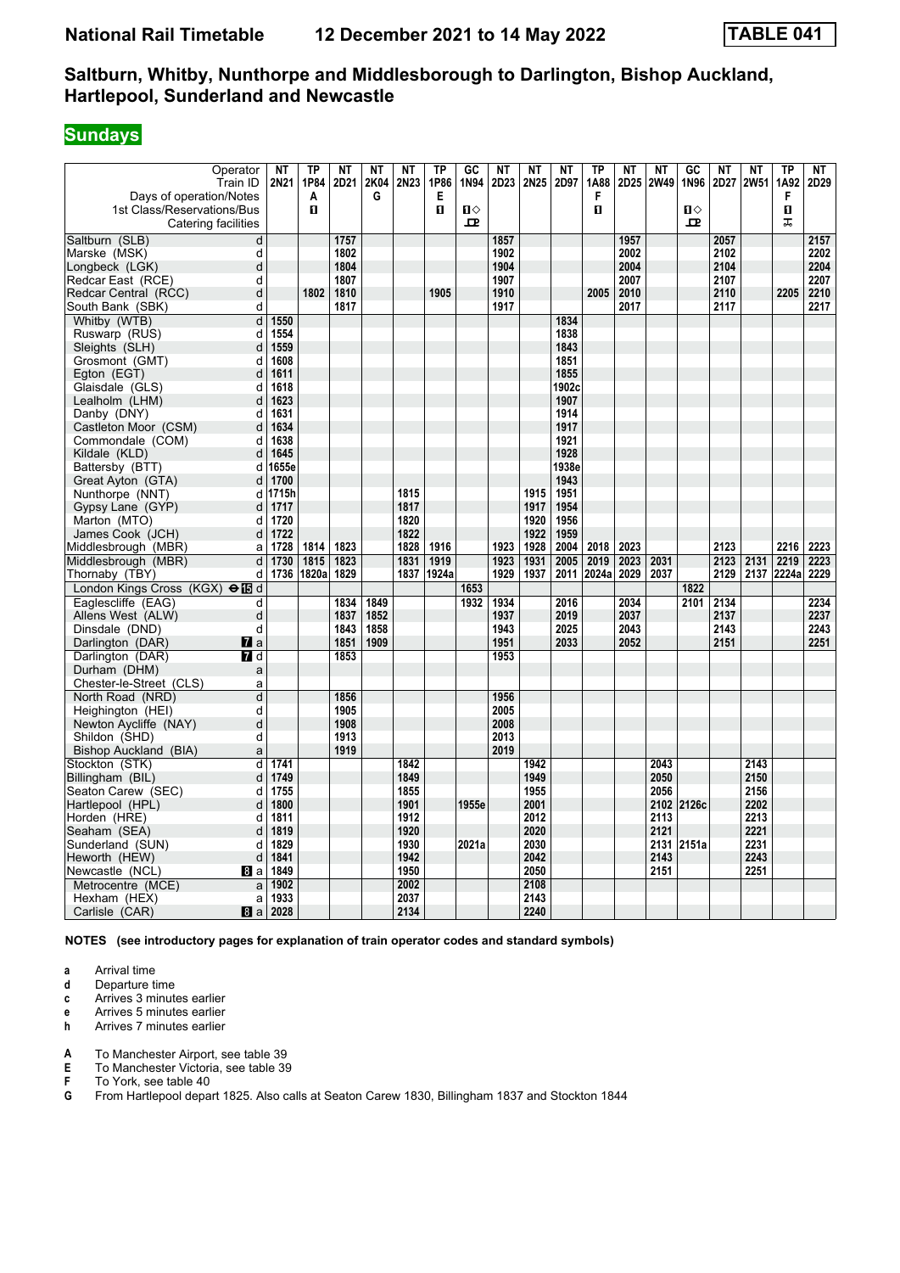#### **Sundays**

| Operator<br>Train ID                                                         | <b>NT</b><br>2N21 | <b>TP</b><br>1P84 | <b>NT</b><br>2D21 | <b>NT</b><br>2K04<br>G | <b>NT</b><br>2N23 | <b>TP</b><br>1P86 | GC<br>1N94                   | <b>NT</b><br>2D23 | <b>NT</b><br>2N25 | <b>NT</b><br>2D97 | <b>TP</b><br>1A88<br>F | <b>NT</b><br>2D25 | <b>NT</b><br>2W49 | GC<br>1N96                   | <b>NT</b><br>2D27 | <b>NT</b><br><b>2W51</b> | <b>TP</b><br>1A92 | NΤ<br>2D29 |
|------------------------------------------------------------------------------|-------------------|-------------------|-------------------|------------------------|-------------------|-------------------|------------------------------|-------------------|-------------------|-------------------|------------------------|-------------------|-------------------|------------------------------|-------------------|--------------------------|-------------------|------------|
| Days of operation/Notes<br>1st Class/Reservations/Bus<br>Catering facilities |                   | A<br>п            |                   |                        |                   | Е<br>$\mathbf{u}$ | $\mathbf{u}$<br>$\mathbf{p}$ |                   |                   |                   | 0                      |                   |                   | $\mathbf{u}$<br>$\mathbf{p}$ |                   |                          | F<br>п<br>ᅚ       |            |
| Saltburn (SLB)<br>d                                                          |                   |                   | 1757              |                        |                   |                   |                              | 1857              |                   |                   |                        | 1957              |                   |                              | 2057              |                          |                   | 2157       |
| Marske (MSK)<br>d                                                            |                   |                   | 1802              |                        |                   |                   |                              | 1902              |                   |                   |                        | 2002              |                   |                              | 2102              |                          |                   | 2202       |
| d<br>Longbeck (LGK)                                                          |                   |                   | 1804              |                        |                   |                   |                              | 1904              |                   |                   |                        | 2004              |                   |                              | 2104              |                          |                   | 2204       |
| Redcar East (RCE)<br>d                                                       |                   |                   | 1807              |                        |                   |                   |                              | 1907              |                   |                   |                        | 2007              |                   |                              | 2107              |                          |                   | 2207       |
| d<br>Redcar Central (RCC)                                                    |                   | 1802              | 1810              |                        |                   | 1905              |                              | 1910              |                   |                   | 2005                   | 2010              |                   |                              | 2110              |                          | 2205              | 2210       |
| South Bank (SBK)<br>d                                                        |                   |                   | 1817              |                        |                   |                   |                              | 1917              |                   |                   |                        | 2017              |                   |                              | 2117              |                          |                   | 2217       |
| Whitby (WTB)<br>d                                                            | 1550              |                   |                   |                        |                   |                   |                              |                   |                   | 1834              |                        |                   |                   |                              |                   |                          |                   |            |
| d<br>Ruswarp (RUS)                                                           | 1554              |                   |                   |                        |                   |                   |                              |                   |                   | 1838              |                        |                   |                   |                              |                   |                          |                   |            |
| d<br>Sleights (SLH)                                                          | 1559              |                   |                   |                        |                   |                   |                              |                   |                   | 1843              |                        |                   |                   |                              |                   |                          |                   |            |
| Grosmont (GMT)<br>d                                                          | 1608              |                   |                   |                        |                   |                   |                              |                   |                   | 1851              |                        |                   |                   |                              |                   |                          |                   |            |
| d<br>Egton (EGT)                                                             | 1611              |                   |                   |                        |                   |                   |                              |                   |                   | 1855              |                        |                   |                   |                              |                   |                          |                   |            |
| d<br>Glaisdale (GLS)                                                         | 1618              |                   |                   |                        |                   |                   |                              |                   |                   | 1902c             |                        |                   |                   |                              |                   |                          |                   |            |
| Lealholm (LHM)<br>d                                                          | 1623              |                   |                   |                        |                   |                   |                              |                   |                   | 1907              |                        |                   |                   |                              |                   |                          |                   |            |
| Danby (DNY)<br>d                                                             | 1631              |                   |                   |                        |                   |                   |                              |                   |                   | 1914              |                        |                   |                   |                              |                   |                          |                   |            |
| Castleton Moor (CSM)<br>d                                                    | 1634              |                   |                   |                        |                   |                   |                              |                   |                   | 1917              |                        |                   |                   |                              |                   |                          |                   |            |
| Commondale (COM)<br>d                                                        | 1638              |                   |                   |                        |                   |                   |                              |                   |                   | 1921              |                        |                   |                   |                              |                   |                          |                   |            |
| Kildale (KLD)<br>d                                                           | 1645              |                   |                   |                        |                   |                   |                              |                   |                   | 1928              |                        |                   |                   |                              |                   |                          |                   |            |
| Battersby (BTT)<br>d                                                         | 1655e             |                   |                   |                        |                   |                   |                              |                   |                   | 1938e             |                        |                   |                   |                              |                   |                          |                   |            |
| Great Ayton (GTA)<br>d                                                       | 1700              |                   |                   |                        |                   |                   |                              |                   |                   | 1943              |                        |                   |                   |                              |                   |                          |                   |            |
| Nunthorpe (NNT)<br>d                                                         | 1715h             |                   |                   |                        | 1815              |                   |                              |                   | 1915              | 1951              |                        |                   |                   |                              |                   |                          |                   |            |
| Gypsy Lane (GYP)<br>d                                                        | 1717              |                   |                   |                        | 1817              |                   |                              |                   | 1917              | 1954              |                        |                   |                   |                              |                   |                          |                   |            |
| Marton (MTO)<br>d                                                            | 1720              |                   |                   |                        | 1820              |                   |                              |                   | 1920              | 1956              |                        |                   |                   |                              |                   |                          |                   |            |
| James Cook (JCH)<br>d                                                        | 1722              |                   |                   |                        | 1822              |                   |                              |                   | 1922              | 1959              |                        |                   |                   |                              |                   |                          |                   |            |
| Middlesbrough (MBR)<br>a                                                     | 1728              | 1814              | 1823              |                        | 1828              | 1916              |                              | 1923              | 1928              | 2004              | 2018                   | 2023              |                   |                              | 2123              |                          | 2216              | 2223       |
| Middlesbrough (MBR)<br>$\mathbf d$                                           | 1730              | 1815              | 1823              |                        | 1831              | 1919              |                              | 1923              | 1931              | 2005              | 2019                   | 2023              | 2031              |                              | 2123              | 2131                     | 2219              | 2223       |
| Thornaby (TBY)<br>d                                                          | 1736              | 1820a             | 1829              |                        |                   | 1837 1924a        |                              | 1929              | 1937              | 2011              | 2024a                  | 2029              | 2037              |                              | 2129              | 2137                     | 2224a             | 2229       |
| London Kings Cross (KGX) elled                                               |                   |                   |                   |                        |                   |                   | 1653                         |                   |                   |                   |                        |                   |                   | 1822                         |                   |                          |                   |            |
| Eaglescliffe (EAG)<br>d                                                      |                   |                   | 1834              | 1849                   |                   |                   | 1932                         | 1934              |                   | 2016              |                        | 2034              |                   | 2101                         | 2134              |                          |                   | 2234       |
| d<br>Allens West (ALW)                                                       |                   |                   | 1837              | 1852                   |                   |                   |                              | 1937              |                   | 2019              |                        | 2037              |                   |                              | 2137              |                          |                   | 2237       |
| d<br>Dinsdale (DND)                                                          |                   |                   | 1843              | 1858                   |                   |                   |                              | 1943              |                   | 2025              |                        | 2043              |                   |                              | 2143              |                          |                   | 2243       |
| Darlington (DAR)<br>$\mathbf{z}$ a                                           |                   |                   | 1851              | 1909                   |                   |                   |                              | 1951              |                   | 2033              |                        | 2052              |                   |                              | 2151              |                          |                   | 2251       |
| Darlington (DAR)<br>7 d                                                      |                   |                   | 1853              |                        |                   |                   |                              | 1953              |                   |                   |                        |                   |                   |                              |                   |                          |                   |            |
| Durham (DHM)<br>a                                                            |                   |                   |                   |                        |                   |                   |                              |                   |                   |                   |                        |                   |                   |                              |                   |                          |                   |            |
| Chester-le-Street (CLS)<br>a                                                 |                   |                   |                   |                        |                   |                   |                              |                   |                   |                   |                        |                   |                   |                              |                   |                          |                   |            |
| d<br>North Road (NRD)                                                        |                   |                   | 1856              |                        |                   |                   |                              | 1956              |                   |                   |                        |                   |                   |                              |                   |                          |                   |            |
| Heighington (HEI)<br>d                                                       |                   |                   | 1905              |                        |                   |                   |                              | 2005              |                   |                   |                        |                   |                   |                              |                   |                          |                   |            |
| Newton Aycliffe (NAY)<br>d                                                   |                   |                   | 1908              |                        |                   |                   |                              | 2008              |                   |                   |                        |                   |                   |                              |                   |                          |                   |            |
| d<br>Shildon (SHD)                                                           |                   |                   | 1913              |                        |                   |                   |                              | 2013              |                   |                   |                        |                   |                   |                              |                   |                          |                   |            |
| <b>Bishop Auckland (BIA)</b><br>a                                            |                   |                   | 1919              |                        |                   |                   |                              | 2019              |                   |                   |                        |                   |                   |                              |                   |                          |                   |            |
| Stockton (STK)<br>d                                                          | 1741              |                   |                   |                        | 1842              |                   |                              |                   | 1942              |                   |                        |                   | 2043              |                              |                   | 2143                     |                   |            |
| d<br>Billingham (BIL)                                                        | 1749              |                   |                   |                        | 1849              |                   |                              |                   | 1949              |                   |                        |                   | 2050              |                              |                   | 2150                     |                   |            |
| Seaton Carew (SEC)<br>d                                                      | 1755              |                   |                   |                        | 1855              |                   |                              |                   | 1955              |                   |                        |                   | 2056              |                              |                   | 2156                     |                   |            |
| Hartlepool (HPL)<br>d                                                        | 1800              |                   |                   |                        | 1901              |                   | 1955e                        |                   | 2001              |                   |                        |                   |                   | 2102 2126c                   |                   | 2202                     |                   |            |
| Horden (HRE)<br>d                                                            | 1811              |                   |                   |                        | 1912              |                   |                              |                   | 2012              |                   |                        |                   | 2113              |                              |                   | 2213                     |                   |            |
| d<br>Seaham (SEA)                                                            | 1819              |                   |                   |                        | 1920              |                   |                              |                   | 2020              |                   |                        |                   | 2121              |                              |                   | 2221                     |                   |            |
| Sunderland (SUN)<br>d                                                        | 1829              |                   |                   |                        | 1930              |                   | 2021a                        |                   | 2030              |                   |                        |                   | 2131              | 2151a                        |                   | 2231                     |                   |            |
| Heworth (HEW)<br>d                                                           | 1841              |                   |                   |                        | 1942              |                   |                              |                   | 2042              |                   |                        |                   | 2143              |                              |                   | 2243                     |                   |            |
| Newcastle (NCL)<br>8a                                                        | 1849              |                   |                   |                        | 1950              |                   |                              |                   | 2050              |                   |                        |                   | 2151              |                              |                   | 2251                     |                   |            |
| Metrocentre (MCE)<br>a                                                       | 1902              |                   |                   |                        | 2002              |                   |                              |                   | 2108              |                   |                        |                   |                   |                              |                   |                          |                   |            |
| Hexham (HEX)<br>a                                                            | 1933              |                   |                   |                        | 2037              |                   |                              |                   | 2143              |                   |                        |                   |                   |                              |                   |                          |                   |            |
| Carlisle (CAR)<br>8a                                                         | 2028              |                   |                   |                        | 2134              |                   |                              |                   | 2240              |                   |                        |                   |                   |                              |                   |                          |                   |            |

**NOTES (see introductory pages for explanation of train operator codes and standard symbols)**

**a** Arrival time<br>**d** Departure t

**d** Departure time

**c** Arrives 3 minutes earlier

**e** Arrives 5 minutes earlier<br>**h** Arrives 7 minutes earlier

**K** Arrives 7 minutes earlier

**A** To Manchester Airport, see table 39<br>**E** To Manchester Victoria, see table 39

**E** To Manchester Victoria, see table 39<br>**F** To York, see table 40

**F** To York, see table 40<br>**G** From Hartlepool depa

From Hartlepool depart 1825. Also calls at Seaton Carew 1830, Billingham 1837 and Stockton 1844